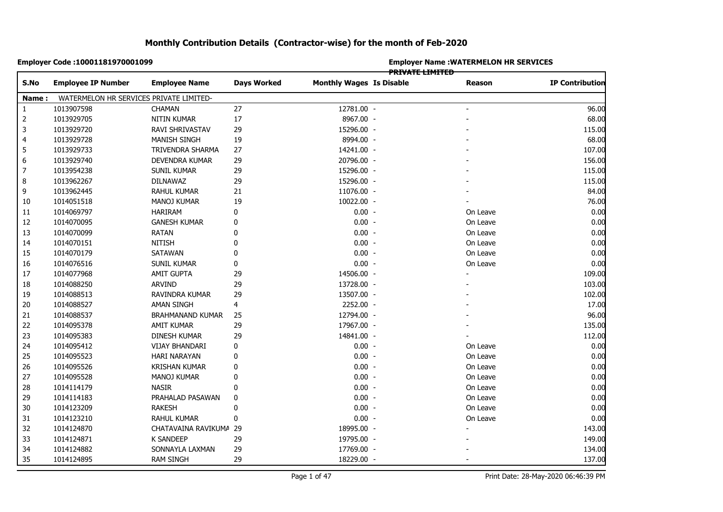|                | Employer Code: 10001181970001099        |                         |                    | <b>Employer Name: WATERMELON HR SERVICES</b><br><del>PRIVATE LIMITED</del> |  |               |                        |  |  |
|----------------|-----------------------------------------|-------------------------|--------------------|----------------------------------------------------------------------------|--|---------------|------------------------|--|--|
| S.No           | <b>Employee IP Number</b>               | <b>Employee Name</b>    | <b>Days Worked</b> | <b>Monthly Wages Is Disable</b>                                            |  | <b>Reason</b> | <b>IP Contribution</b> |  |  |
| Name:          | WATERMELON HR SERVICES PRIVATE LIMITED- |                         |                    |                                                                            |  |               |                        |  |  |
| $\mathbf{1}$   | 1013907598                              | <b>CHAMAN</b>           | 27                 | 12781.00 -                                                                 |  |               | 96.00                  |  |  |
| $\overline{2}$ | 1013929705                              | NITIN KUMAR             | $17\,$             | 8967.00 -                                                                  |  |               | 68.00                  |  |  |
| 3              | 1013929720                              | RAVI SHRIVASTAV         | 29                 | 15296.00 -                                                                 |  |               | 115.00                 |  |  |
| 4              | 1013929728                              | <b>MANISH SINGH</b>     | 19                 | 8994.00 -                                                                  |  |               | 68.00                  |  |  |
|                | 1013929733                              | TRIVENDRA SHARMA        | 27                 | 14241.00 -                                                                 |  |               | 107.00                 |  |  |
|                | 1013929740                              | DEVENDRA KUMAR          | 29                 | 20796.00 -                                                                 |  |               | 156.00                 |  |  |
|                | 1013954238                              | <b>SUNIL KUMAR</b>      | 29                 | 15296.00 -                                                                 |  |               | 115.00                 |  |  |
|                | 1013962267                              | DILNAWAZ                | 29                 | 15296.00 -                                                                 |  |               | 115.00                 |  |  |
|                | 1013962445                              | RAHUL KUMAR             | 21                 | 11076.00 -                                                                 |  |               | 84.00                  |  |  |
|                | 1014051518                              | <b>MANOJ KUMAR</b>      | 19                 | 10022.00 -                                                                 |  |               | 76.00                  |  |  |
| 10<br>11       | 1014069797                              | HARIRAM                 | $\pmb{0}$          | $0.00 -$                                                                   |  | On Leave      | 0.00                   |  |  |
|                | 1014070095                              | <b>GANESH KUMAR</b>     | 0                  | $0.00 -$                                                                   |  | On Leave      | 0.00                   |  |  |
|                | 1014070099                              | <b>RATAN</b>            | $\mathbf 0$        | $0.00 -$                                                                   |  | On Leave      | 0.00                   |  |  |
|                | 1014070151                              | <b>NITISH</b>           | $\mathbf 0$        | $0.00 -$                                                                   |  | On Leave      | 0.00                   |  |  |
|                | 1014070179                              | <b>SATAWAN</b>          | $\mathbf{0}$       | $0.00 -$                                                                   |  | On Leave      | 0.00                   |  |  |
|                | 1014076516                              | <b>SUNIL KUMAR</b>      | 0                  | $0.00 -$                                                                   |  | On Leave      | 0.00                   |  |  |
|                | 1014077968                              | <b>AMIT GUPTA</b>       | 29                 | 14506.00 -                                                                 |  |               | 109.00                 |  |  |
|                | 1014088250                              | <b>ARVIND</b>           | 29                 | 13728.00 -                                                                 |  |               | 103.00                 |  |  |
|                | 1014088513                              | RAVINDRA KUMAR          | 29                 | 13507.00 -                                                                 |  |               | 102.00                 |  |  |
|                | 1014088527                              | AMAN SINGH              | 4                  | 2252.00 -                                                                  |  |               | 17.00                  |  |  |
|                | 1014088537                              | <b>BRAHMANAND KUMAR</b> | 25                 | 12794.00 -                                                                 |  |               | 96.00                  |  |  |
|                | 1014095378                              | AMIT KUMAR              | 29                 | 17967.00 -                                                                 |  |               | 135.00                 |  |  |
|                | 1014095383                              | DINESH KUMAR            | 29                 | 14841.00 -                                                                 |  |               | 112.00                 |  |  |
|                | 1014095412                              | <b>VIJAY BHANDARI</b>   | $\pmb{0}$          | $0.00 -$                                                                   |  | On Leave      | 0.00                   |  |  |
|                | 1014095523                              | <b>HARI NARAYAN</b>     | 0                  | $0.00 -$                                                                   |  | On Leave      | 0.00                   |  |  |
|                | 1014095526                              | <b>KRISHAN KUMAR</b>    | 0                  | $0.00 -$                                                                   |  | On Leave      | 0.00                   |  |  |
|                | 1014095528                              | MANOJ KUMAR             | 0                  | $0.00 -$                                                                   |  | On Leave      | 0.00                   |  |  |
|                | 1014114179                              | <b>NASIR</b>            | 0                  | $0.00 -$                                                                   |  | On Leave      | 0.00                   |  |  |
|                | 1014114183                              | PRAHALAD PASAWAN        | $\pmb{0}$          | $0.00 -$                                                                   |  | On Leave      | 0.00                   |  |  |
|                | 1014123209                              | <b>RAKESH</b>           | $\mathbf 0$        | $0.00 -$                                                                   |  | On Leave      | 0.00                   |  |  |
|                | 1014123210                              | RAHUL KUMAR             | 0                  | $0.00 -$                                                                   |  | On Leave      | 0.00                   |  |  |
|                | 1014124870                              | CHATAVAINA RAVIKUMA 29  |                    | 18995.00 -                                                                 |  |               | 143.00                 |  |  |
| 32<br>33       | 1014124871                              | <b>K SANDEEP</b>        | 29                 | 19795.00 -                                                                 |  |               | 149.00                 |  |  |
| 34             | 1014124882                              | SONNAYLA LAXMAN         | 29                 | 17769.00 -                                                                 |  |               | 134.00                 |  |  |
|                | 1014124895                              | <b>RAM SINGH</b>        | 29                 | 18229.00 -                                                                 |  |               | 137.00                 |  |  |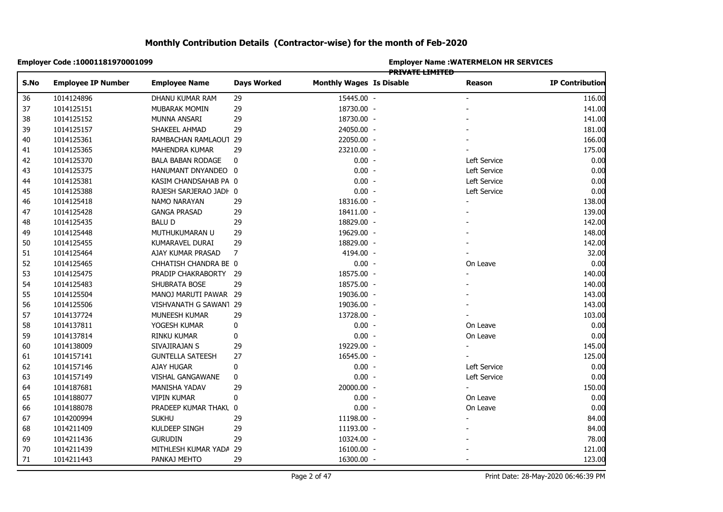|      | Employer Code: 10001181970001099 |                          |                    | <b>Employer Name: WATERMELON HR SERVICES</b><br><b>PRIVATE LIMITED</b> |  |                |                        |  |  |
|------|----------------------------------|--------------------------|--------------------|------------------------------------------------------------------------|--|----------------|------------------------|--|--|
| S.No | <b>Employee IP Number</b>        | <b>Employee Name</b>     | <b>Days Worked</b> | <b>Monthly Wages Is Disable</b>                                        |  | <b>Reason</b>  | <b>IP Contribution</b> |  |  |
| 36   | 1014124896                       | DHANU KUMAR RAM          | 29                 | 15445.00 -                                                             |  |                | 116.00                 |  |  |
| 37   | 1014125151                       | MUBARAK MOMIN            | 29                 | 18730.00 -                                                             |  |                | 141.00                 |  |  |
| 38   | 1014125152                       | MUNNA ANSARI             | 29                 | 18730.00 -                                                             |  |                | 141.00                 |  |  |
| 39   | 1014125157                       | SHAKEEL AHMAD            | 29                 | 24050.00 -                                                             |  |                | 181.00                 |  |  |
|      | 1014125361                       | RAMBACHAN RAMLAOUT 29    |                    | 22050.00 -                                                             |  |                | 166.00                 |  |  |
|      | 1014125365                       | <b>MAHENDRA KUMAR</b>    | 29                 | 23210.00 -                                                             |  |                | 175.00                 |  |  |
|      | 1014125370                       | <b>BALA BABAN RODAGE</b> | 0                  | $0.00 -$                                                               |  | Left Service   | 0.00                   |  |  |
|      | 1014125375                       | HANUMANT DNYANDEO 0      |                    | $0.00 -$                                                               |  | Left Service   | 0.00                   |  |  |
|      | 1014125381                       | KASIM CHANDSAHAB PA 0    |                    | $0.00 -$                                                               |  | Left Service   | 0.00                   |  |  |
|      | 1014125388                       | RAJESH SARJERAO JADI 0   |                    | $0.00 -$                                                               |  | Left Service   | 0.00                   |  |  |
|      | 1014125418                       | NAMO NARAYAN             | 29                 | 18316.00 -                                                             |  | $\blacksquare$ | 138.00                 |  |  |
|      | 1014125428                       | <b>GANGA PRASAD</b>      | 29                 | 18411.00 -                                                             |  |                | 139.00                 |  |  |
|      | 1014125435                       | <b>BALUD</b>             | 29                 | 18829.00 -                                                             |  |                | 142.00                 |  |  |
|      | 1014125448                       | MUTHUKUMARAN U           | 29                 | 19629.00 -                                                             |  |                | 148.00                 |  |  |
|      | 1014125455                       | KUMARAVEL DURAI          | 29                 | 18829.00 -                                                             |  |                | 142.00                 |  |  |
|      | 1014125464                       | AJAY KUMAR PRASAD        | 7                  | 4194.00 -                                                              |  |                | 32.00                  |  |  |
|      | 1014125465                       | CHHATISH CHANDRA BE 0    |                    | $0.00 -$                                                               |  | On Leave       | 0.00                   |  |  |
|      | 1014125475                       | PRADIP CHAKRABORTY 29    |                    | 18575.00 -                                                             |  |                | 140.00                 |  |  |
|      | 1014125483                       | SHUBRATA BOSE            | 29                 | 18575.00 -                                                             |  |                | 140.00                 |  |  |
|      | 1014125504                       | MANOJ MARUTI PAWAR 29    |                    | 19036.00 -                                                             |  |                | 143.00                 |  |  |
|      | 1014125506                       | VISHVANATH G SAWAN1 29   |                    | 19036.00 -                                                             |  |                | 143.00                 |  |  |
|      | 1014137724                       | MUNEESH KUMAR            | 29                 | 13728.00 -                                                             |  |                | 103.00                 |  |  |
|      | 1014137811                       | YOGESH KUMAR             | $\pmb{0}$          | $0.00 -$                                                               |  | On Leave       | 0.00                   |  |  |
|      | 1014137814                       | RINKU KUMAR              | 0                  | $0.00 -$                                                               |  | On Leave       | 0.00                   |  |  |
|      | 1014138009                       | SIVAJIRAJAN S            | 29                 | 19229.00 -                                                             |  |                | 145.00                 |  |  |
|      | 1014157141                       | <b>GUNTELLA SATEESH</b>  | 27                 | 16545.00 -                                                             |  |                | 125.00                 |  |  |
|      | 1014157146                       | AJAY HUGAR               | 0                  | $0.00 -$                                                               |  | Left Service   | 0.00                   |  |  |
|      | 1014157149                       | VISHAL GANGAWANE         | 0                  | $0.00 -$                                                               |  | Left Service   | 0.00                   |  |  |
|      | 1014187681                       | MANISHA YADAV            | 29                 | 20000.00 -                                                             |  | $\blacksquare$ | 150.00                 |  |  |
|      | 1014188077                       | <b>VIPIN KUMAR</b>       | 0                  | $0.00 -$                                                               |  | On Leave       | 0.00                   |  |  |
|      | 1014188078                       | PRADEEP KUMAR THAKL 0    |                    | $0.00 -$                                                               |  | On Leave       | 0.00                   |  |  |
|      | 1014200994                       | <b>SUKHU</b>             | 29                 | 11198.00 -                                                             |  |                | 84.00                  |  |  |
|      | 1014211409                       | KULDEEP SINGH            | 29                 | 11193.00 -                                                             |  |                | 84.00                  |  |  |
|      | 1014211436                       | <b>GURUDIN</b>           | 29                 | 10324.00 -                                                             |  |                | 78.00                  |  |  |
|      | 1014211439                       | MITHLESH KUMAR YADA 29   |                    | 16100.00 -                                                             |  |                | 121.00                 |  |  |
|      | 1014211443                       | PANKAJ MEHTO             | 29                 | 16300.00 -                                                             |  |                | 123.00                 |  |  |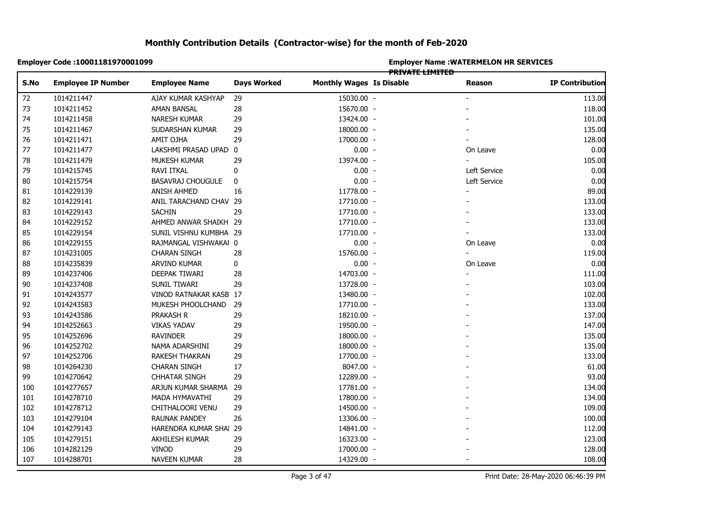|      | Employer Code: 10001181970001099 |                          |                    | <b>Employer Name : WATERMELON HR SERVICES</b><br><b>PRIVATE LIMITED</b> |  |                          |                        |  |  |
|------|----------------------------------|--------------------------|--------------------|-------------------------------------------------------------------------|--|--------------------------|------------------------|--|--|
| S.No | <b>Employee IP Number</b>        | <b>Employee Name</b>     | <b>Days Worked</b> | <b>Monthly Wages Is Disable</b>                                         |  | Reason                   | <b>IP Contribution</b> |  |  |
| 72   | 1014211447                       | AJAY KUMAR KASHYAP       | 29                 | 15030.00 -                                                              |  |                          | 113.00                 |  |  |
|      | 1014211452                       | AMAN BANSAL              | 28                 | 15670.00 -                                                              |  |                          | 118.00                 |  |  |
|      | 1014211458                       | NARESH KUMAR             | 29                 | 13424.00 -                                                              |  |                          | 101.00                 |  |  |
|      | 1014211467                       | SUDARSHAN KUMAR          | 29                 | 18000.00 -                                                              |  |                          | 135.00                 |  |  |
|      | 1014211471                       | AMIT OJHA                | 29                 | 17000.00 -                                                              |  |                          | 128.00                 |  |  |
|      | 1014211477                       | LAKSHMI PRASAD UPAD 0    |                    | $0.00 -$                                                                |  | On Leave                 | 0.00                   |  |  |
|      | 1014211479                       | MUKESH KUMAR             | 29                 | 13974.00 -                                                              |  |                          | 105.00                 |  |  |
|      | 1014215745                       | <b>RAVI ITKAL</b>        | 0                  | $0.00 -$                                                                |  | Left Service             | 0.00                   |  |  |
|      | 1014215754                       | <b>BASAVRAJ CHOUGULE</b> | 0                  | $0.00 -$                                                                |  | Left Service             | 0.00                   |  |  |
|      | 1014229139                       | <b>ANISH AHMED</b>       | 16                 | 11778.00 -                                                              |  | $\overline{\phantom{0}}$ | 89.00                  |  |  |
|      | 1014229141                       | ANIL TARACHAND CHAV 29   |                    | 17710.00 -                                                              |  |                          | 133.00                 |  |  |
|      | 1014229143                       | <b>SACHIN</b>            | 29                 | 17710.00 -                                                              |  |                          | 133.00                 |  |  |
|      | 1014229152                       | AHMED ANWAR SHAIKH 29    |                    | 17710.00 -                                                              |  |                          | 133.00                 |  |  |
|      | 1014229154                       | SUNIL VISHNU KUMBHA 29   |                    | 17710.00 -                                                              |  |                          | 133.00                 |  |  |
|      | 1014229155                       | RAJMANGAL VISHWAKAI 0    |                    | $0.00 -$                                                                |  | On Leave                 | 0.00                   |  |  |
|      | 1014231005                       | <b>CHARAN SINGH</b>      | 28                 | 15760.00 -                                                              |  |                          | 119.00                 |  |  |
|      | 1014235839                       | ARVIND KUMAR             | 0                  | $0.00 -$                                                                |  | On Leave                 | 0.00                   |  |  |
|      | 1014237406                       | DEEPAK TIWARI            | 28                 | 14703.00 -                                                              |  |                          | 111.00                 |  |  |
|      | 1014237408                       | SUNIL TIWARI             | 29                 | 13728.00 -                                                              |  |                          | 103.00                 |  |  |
|      | 1014243577                       | VINOD RATNAKAR KASB 17   |                    | 13480.00 -                                                              |  |                          | 102.00                 |  |  |
|      | 1014243583                       | MUKESH PHOOLCHAND 29     |                    | 17710.00 -                                                              |  |                          | 133.00                 |  |  |
|      | 1014243586                       | PRAKASH R                | 29                 | 18210.00 -                                                              |  |                          | 137.00                 |  |  |
|      | 1014252663                       | <b>VIKAS YADAV</b>       | 29                 | 19500.00 -                                                              |  |                          | 147.00                 |  |  |
|      | 1014252696                       | <b>RAVINDER</b>          | 29                 | 18000.00 -                                                              |  |                          | 135.00                 |  |  |
|      | 1014252702                       | NAMA ADARSHINI           | 29                 | 18000.00 -                                                              |  |                          | 135.00                 |  |  |
|      | 1014252706                       | RAKESH THAKRAN           | 29                 | 17700.00 -                                                              |  |                          | 133.00                 |  |  |
|      | 1014264230                       | <b>CHARAN SINGH</b>      | 17                 | 8047.00 -                                                               |  |                          | 61.00                  |  |  |
|      | 1014270642                       | <b>CHHATAR SINGH</b>     | 29                 | 12289.00 -                                                              |  |                          | 93.00                  |  |  |
|      | 1014277657                       | ARJUN KUMAR SHARMA 29    |                    | 17781.00 -                                                              |  |                          | 134.00                 |  |  |
|      | 1014278710                       | MADA HYMAVATHI           | 29                 | 17800.00 -                                                              |  |                          | 134.00                 |  |  |
|      | 1014278712                       | CHITHALOORI VENU         | 29                 | 14500.00 -                                                              |  |                          | 109.00                 |  |  |
|      | 1014279104                       | RAUNAK PANDEY            | 26                 | 13306.00 -                                                              |  |                          | 100.00                 |  |  |
|      | 1014279143                       | HARENDRA KUMAR SHAI 29   |                    | 14841.00 -                                                              |  |                          | 112.00                 |  |  |
|      | 1014279151                       | AKHILESH KUMAR           | 29                 | 16323.00 -                                                              |  |                          | 123.00                 |  |  |
|      | 1014282129                       | <b>VINOD</b>             | 29                 | 17000.00 -                                                              |  |                          | 128.00                 |  |  |
|      | 1014288701                       | <b>NAVEEN KUMAR</b>      | 28                 | 14329.00 -                                                              |  |                          | 108.00                 |  |  |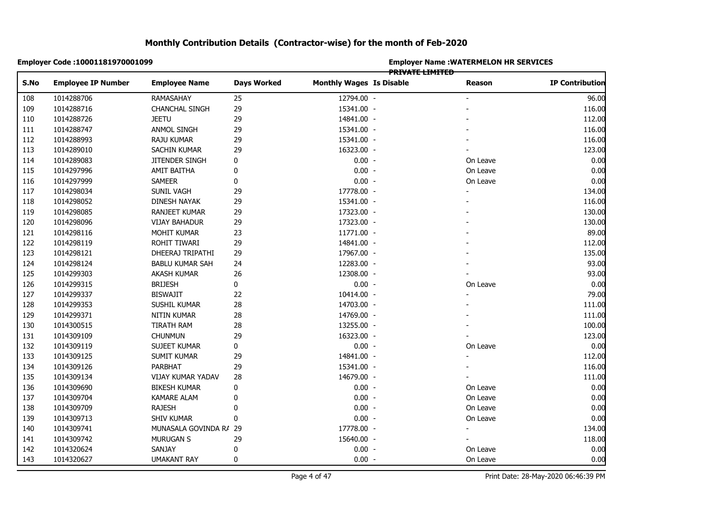|      | Employer Code: 10001181970001099 |                        |                    |                                 | <b>Employer Name: WATERMELON HR SERVICES</b><br>PRIVATE LIMITED |                |                        |  |  |
|------|----------------------------------|------------------------|--------------------|---------------------------------|-----------------------------------------------------------------|----------------|------------------------|--|--|
| S.No | <b>Employee IP Number</b>        | <b>Employee Name</b>   | <b>Days Worked</b> | <b>Monthly Wages Is Disable</b> |                                                                 | <b>Reason</b>  | <b>IP Contribution</b> |  |  |
| 108  | 1014288706                       | RAMASAHAY              | 25                 | 12794.00 -                      |                                                                 |                | 96.00                  |  |  |
| 109  | 1014288716                       | CHANCHAL SINGH         | 29                 | 15341.00 -                      |                                                                 |                | 116.00                 |  |  |
| 110  | 1014288726                       | <b>JEETU</b>           | 29                 | 14841.00 -                      |                                                                 |                | 112.00                 |  |  |
|      | 1014288747                       | ANMOL SINGH            | 29                 | 15341.00 -                      |                                                                 |                | 116.00                 |  |  |
|      | 1014288993                       | RAJU KUMAR             | 29                 | 15341.00 -                      |                                                                 |                | 116.00                 |  |  |
|      | 1014289010                       | SACHIN KUMAR           | 29                 | 16323.00 -                      |                                                                 |                | 123.00                 |  |  |
|      | 1014289083                       | JITENDER SINGH         | 0                  | $0.00 -$                        |                                                                 | On Leave       | 0.00                   |  |  |
|      | 1014297996                       | AMIT BAITHA            | 0                  | $0.00 -$                        |                                                                 | On Leave       | 0.00                   |  |  |
|      | 1014297999                       | <b>SAMEER</b>          | $\pmb{0}$          | $0.00 -$                        |                                                                 | On Leave       | 0.00                   |  |  |
|      | 1014298034                       | SUNIL VAGH             | 29                 | 17778.00 -                      |                                                                 |                | 134.00                 |  |  |
|      | 1014298052                       | <b>DINESH NAYAK</b>    | 29                 | 15341.00 -                      |                                                                 |                | 116.00                 |  |  |
|      | 1014298085                       | RANJEET KUMAR          | 29                 | 17323.00 -                      |                                                                 |                | 130.00                 |  |  |
|      | 1014298096                       | <b>VIJAY BAHADUR</b>   | 29                 | 17323.00 -                      |                                                                 |                | 130.00                 |  |  |
|      | 1014298116                       | MOHIT KUMAR            | 23                 | 11771.00 -                      |                                                                 |                | 89.00                  |  |  |
|      | 1014298119                       | ROHIT TIWARI           | 29                 | 14841.00 -                      |                                                                 |                | 112.00                 |  |  |
|      | 1014298121                       | DHEERAJ TRIPATHI       | 29                 | 17967.00 -                      |                                                                 |                | 135.00                 |  |  |
|      | 1014298124                       | <b>BABLU KUMAR SAH</b> | 24                 | 12283.00 -                      |                                                                 |                | 93.00                  |  |  |
|      | 1014299303                       | AKASH KUMAR            | 26                 | 12308.00 -                      |                                                                 |                | 93.00                  |  |  |
|      | 1014299315                       | <b>BRIJESH</b>         | 0                  | $0.00 -$                        |                                                                 | On Leave       | 0.00                   |  |  |
|      | 1014299337                       | <b>BISWAJIT</b>        | 22                 | 10414.00 -                      |                                                                 |                | 79.00                  |  |  |
|      | 1014299353                       | SUSHIL KUMAR           | 28                 | 14703.00 -                      |                                                                 |                | 111.00                 |  |  |
|      | 1014299371                       | NITIN KUMAR            | 28                 | 14769.00 -                      |                                                                 |                | 111.00                 |  |  |
|      | 1014300515                       | TIRATH RAM             | 28                 | 13255.00 -                      |                                                                 |                | 100.00                 |  |  |
|      | 1014309109                       | <b>CHUNMUN</b>         | 29                 | 16323.00 -                      |                                                                 |                | 123.00                 |  |  |
|      | 1014309119                       | SUJEET KUMAR           | 0                  | $0.00 -$                        |                                                                 | On Leave       | 0.00                   |  |  |
|      | 1014309125                       | <b>SUMIT KUMAR</b>     | 29                 | 14841.00 -                      |                                                                 |                | 112.00                 |  |  |
|      | 1014309126                       | PARBHAT                | 29                 | 15341.00 -                      |                                                                 |                | 116.00                 |  |  |
|      | 1014309134                       | VIJAY KUMAR YADAV      | 28                 | 14679.00 -                      |                                                                 |                | 111.00                 |  |  |
|      | 1014309690                       | <b>BIKESH KUMAR</b>    | 0                  | $0.00 -$                        |                                                                 | On Leave       | 0.00                   |  |  |
|      | 1014309704                       | <b>KAMARE ALAM</b>     | 0                  | $0.00 -$                        |                                                                 | On Leave       | 0.00                   |  |  |
|      | 1014309709                       | <b>RAJESH</b>          | 0                  | $0.00 -$                        |                                                                 | On Leave       | 0.00                   |  |  |
|      | 1014309713                       | <b>SHIV KUMAR</b>      | 0                  | $0.00 -$                        |                                                                 | On Leave       | 0.00                   |  |  |
|      | 1014309741                       | MUNASALA GOVINDA R/ 29 |                    | 17778.00 -                      |                                                                 | $\blacksquare$ | 134.00                 |  |  |
|      | 1014309742                       | <b>MURUGAN S</b>       | 29                 | 15640.00 -                      |                                                                 |                | 118.00                 |  |  |
|      | 1014320624                       | SANJAY                 | 0                  | $0.00 -$                        |                                                                 | On Leave       | 0.00                   |  |  |
|      | 1014320627                       | <b>UMAKANT RAY</b>     | 0                  | $0.00 -$                        |                                                                 | On Leave       | 0.00                   |  |  |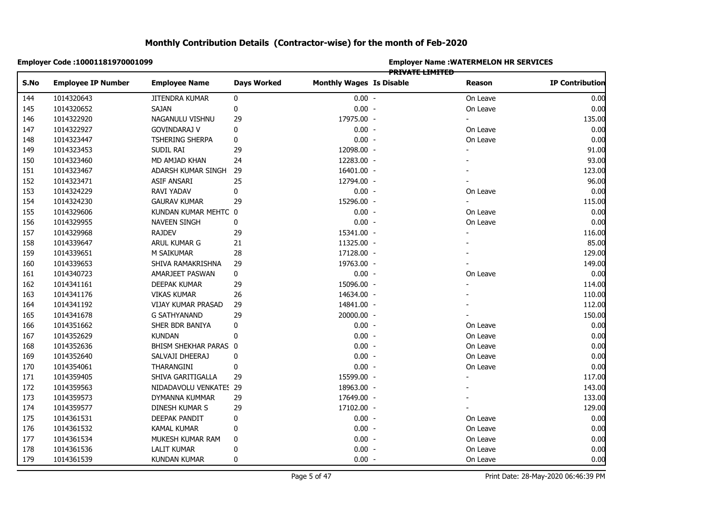|            | Employer Code : 10001181970001099 |                        |                    | <b>Employer Name : WATERMELON HR SERVICES</b><br><b>PRIVATE LIMITED</b> |  |                |                        |  |  |
|------------|-----------------------------------|------------------------|--------------------|-------------------------------------------------------------------------|--|----------------|------------------------|--|--|
| S.No       | <b>Employee IP Number</b>         | <b>Employee Name</b>   | <b>Days Worked</b> | <b>Monthly Wages Is Disable</b>                                         |  | Reason         | <b>IP Contribution</b> |  |  |
|            | 1014320643                        | JITENDRA KUMAR         | 0                  | $0.00 -$                                                                |  | On Leave       | 0.00                   |  |  |
| 144<br>145 | 1014320652                        | SAJAN                  | $\pmb{0}$          | $0.00 -$                                                                |  | On Leave       | 0.00                   |  |  |
|            | 1014322920                        | NAGANULU VISHNU        | 29                 | 17975.00 -                                                              |  |                | 135.00                 |  |  |
|            | 1014322927                        | GOVINDARAJ V           | $\pmb{0}$          | $0.00 -$                                                                |  | On Leave       | 0.00                   |  |  |
|            | 1014323447                        | TSHERING SHERPA        | 0                  | $0.00 -$                                                                |  | On Leave       | 0.00                   |  |  |
|            | 1014323453                        | SUDIL RAI              | 29                 | 12098.00 -                                                              |  |                | 91.00                  |  |  |
|            | 1014323460                        | MD AMJAD KHAN          | 24                 | 12283.00 -                                                              |  |                | 93.00                  |  |  |
|            | 1014323467                        | ADARSH KUMAR SINGH     | 29                 | 16401.00 -                                                              |  |                | 123.00                 |  |  |
|            | 1014323471                        | ASIF ANSARI            | 25                 | 12794.00 -                                                              |  |                | 96.00                  |  |  |
|            | 1014324229                        | RAVI YADAV             | 0                  | $0.00 -$                                                                |  | On Leave       | 0.00                   |  |  |
|            | 1014324230                        | <b>GAURAV KUMAR</b>    | 29                 | 15296.00 -                                                              |  | $\blacksquare$ | 115.00                 |  |  |
|            | 1014329606                        | KUNDAN KUMAR MEHTC 0   |                    | $0.00 -$                                                                |  | On Leave       | 0.00                   |  |  |
|            | 1014329955                        | <b>NAVEEN SINGH</b>    | 0                  | $0.00 -$                                                                |  | On Leave       | 0.00                   |  |  |
|            | 1014329968                        | <b>RAJDEV</b>          | 29                 | 15341.00 -                                                              |  |                | 116.00                 |  |  |
|            | 1014339647                        | ARUL KUMAR G           | 21                 | 11325.00 -                                                              |  |                | 85.00                  |  |  |
|            | 1014339651                        | M SAIKUMAR             | 28                 | 17128.00 -                                                              |  |                | 129.00                 |  |  |
|            | 1014339653                        | SHIVA RAMAKRISHNA      | 29                 | 19763.00 -                                                              |  |                | 149.00                 |  |  |
|            | 1014340723                        | AMARJEET PASWAN        | 0                  | $0.00 -$                                                                |  | On Leave       | 0.00                   |  |  |
|            | 1014341161                        | DEEPAK KUMAR           | 29                 | 15096.00 -                                                              |  |                | 114.00                 |  |  |
|            | 1014341176                        | <b>VIKAS KUMAR</b>     | 26                 | 14634.00 -                                                              |  |                | 110.00                 |  |  |
|            | 1014341192                        | VIJAY KUMAR PRASAD     | 29                 | 14841.00 -                                                              |  |                | 112.00                 |  |  |
|            | 1014341678                        | G SATHYANAND           | 29                 | 20000.00 -                                                              |  |                | 150.00                 |  |  |
|            | 1014351662                        | SHER BDR BANIYA        | 0                  | $0.00 -$                                                                |  | On Leave       | 0.00                   |  |  |
|            | 1014352629                        | <b>KUNDAN</b>          | 0                  | $0.00 -$                                                                |  | On Leave       | 0.00                   |  |  |
|            | 1014352636                        | BHISM SHEKHAR PARAS 0  |                    | $0.00 -$                                                                |  | On Leave       | 0.00                   |  |  |
|            | 1014352640                        | SALVAJI DHEERAJ        | 0                  | $0.00 -$                                                                |  | On Leave       | 0.00                   |  |  |
|            | 1014354061                        | THARANGINI             | $\pmb{0}$          | $0.00 -$                                                                |  | On Leave       | 0.00                   |  |  |
|            | 1014359405                        | SHIVA GARITIGALLA      | 29                 | 15599.00 -                                                              |  |                | 117.00                 |  |  |
|            | 1014359563                        | NIDADAVOLU VENKATES 29 |                    | 18963.00 -                                                              |  |                | 143.00                 |  |  |
|            | 1014359573                        | DYMANNA KUMMAR         | 29                 | 17649.00 -                                                              |  |                | 133.00                 |  |  |
|            | 1014359577                        | DINESH KUMAR S         | 29                 | 17102.00 -                                                              |  |                | 129.00                 |  |  |
|            | 1014361531                        | DEEPAK PANDIT          | 0                  | $0.00 -$                                                                |  | On Leave       | 0.00                   |  |  |
|            | 1014361532                        | KAMAL KUMAR            | 0                  | $0.00 -$                                                                |  | On Leave       | 0.00                   |  |  |
|            | 1014361534                        | MUKESH KUMAR RAM       | 0                  | $0.00 -$                                                                |  | On Leave       | 0.00                   |  |  |
|            | 1014361536                        | <b>LALIT KUMAR</b>     | $\mathbf 0$        | $0.00 -$                                                                |  | On Leave       | 0.00                   |  |  |
|            | 1014361539                        | <b>KUNDAN KUMAR</b>    | 0                  | $0.00 -$                                                                |  | On Leave       | 0.00                   |  |  |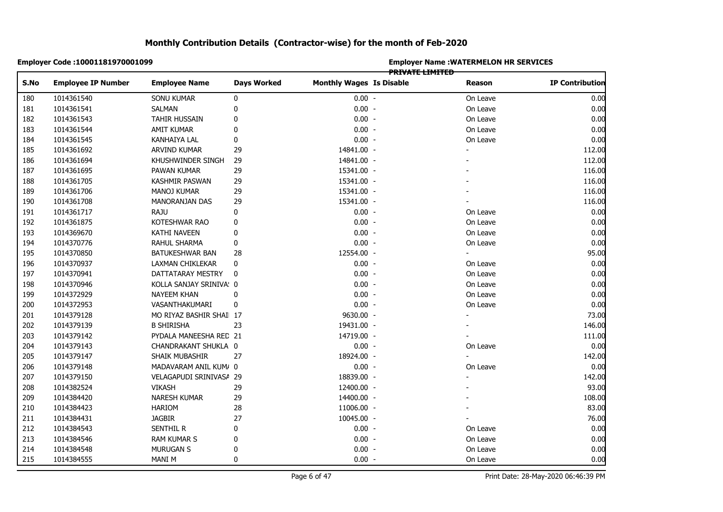| Employer Code : 10001181970001099 |                         |                    | <b>Employer Name: WATERMELON HR SERVICES</b><br><b>PRIVATE LIMITED</b> |  |          |                        |  |  |
|-----------------------------------|-------------------------|--------------------|------------------------------------------------------------------------|--|----------|------------------------|--|--|
| S.No<br><b>Employee IP Number</b> | <b>Employee Name</b>    | <b>Days Worked</b> | <b>Monthly Wages Is Disable</b>                                        |  | Reason   | <b>IP Contribution</b> |  |  |
| 1014361540                        | SONU KUMAR              | 0                  | $0.00 -$                                                               |  | On Leave | 0.00                   |  |  |
| 180<br>181<br>1014361541          | <b>SALMAN</b>           | $\pmb{0}$          | $0.00 -$                                                               |  | On Leave | 0.00                   |  |  |
| 1014361543                        | TAHIR HUSSAIN           | 0                  | $0.00 -$                                                               |  | On Leave | 0.00                   |  |  |
| 1014361544                        | AMIT KUMAR              | 0                  | $0.00 -$                                                               |  | On Leave | 0.00                   |  |  |
| 1014361545                        | KANHAIYA LAL            | 0                  | $0.00 -$                                                               |  | On Leave | 0.00                   |  |  |
| 1014361692                        | ARVIND KUMAR            | 29                 | 14841.00 -                                                             |  |          | 112.00                 |  |  |
| 1014361694                        | KHUSHWINDER SINGH       | 29                 | 14841.00 -                                                             |  |          | 112.00                 |  |  |
| 1014361695                        | PAWAN KUMAR             | 29                 | 15341.00 -                                                             |  |          | 116.00                 |  |  |
| 1014361705                        | KASHMIR PASWAN          | 29                 | 15341.00 -                                                             |  |          | 116.00                 |  |  |
| 1014361706                        | <b>MANOJ KUMAR</b>      | 29                 | 15341.00 -                                                             |  |          | 116.00                 |  |  |
| 1014361708                        | MANORANJAN DAS          | 29                 | 15341.00 -                                                             |  |          | 116.00                 |  |  |
| 1014361717                        | RAJU                    | 0                  | $0.00 -$                                                               |  | On Leave | 0.00                   |  |  |
| 1014361875                        | KOTESHWAR RAO           | 0                  | $0.00 -$                                                               |  | On Leave | 0.00                   |  |  |
| 1014369670                        | KATHI NAVEEN            | 0                  | $0.00 -$                                                               |  | On Leave | 0.00                   |  |  |
| 1014370776                        | RAHUL SHARMA            | 0                  | $0.00 -$                                                               |  | On Leave | 0.00                   |  |  |
| 1014370850                        | BATUKESHWAR BAN         | 28                 | 12554.00 -                                                             |  |          | 95.00                  |  |  |
| 1014370937                        | LAXMAN CHIKLEKAR        | 0                  | $0.00 -$                                                               |  | On Leave | 0.00                   |  |  |
| 1014370941                        | DATTATARAY MESTRY       | 0                  | $0.00 -$                                                               |  | On Leave | 0.00                   |  |  |
| 1014370946                        | KOLLA SANJAY SRINIVA: 0 |                    | $0.00 -$                                                               |  | On Leave | 0.00                   |  |  |
| 1014372929                        | NAYEEM KHAN             | 0                  | $0.00 -$                                                               |  | On Leave | 0.00                   |  |  |
| 1014372953                        | VASANTHAKUMARI          | 0                  | $0.00 -$                                                               |  | On Leave | 0.00                   |  |  |
| 1014379128                        | MO RIYAZ BASHIR SHAI 17 |                    | 9630.00 -                                                              |  |          | 73.00                  |  |  |
| 1014379139                        | <b>B SHIRISHA</b>       | 23                 | 19431.00 -                                                             |  |          | 146.00                 |  |  |
| 1014379142                        | PYDALA MANEESHA RED 21  |                    | 14719.00 -                                                             |  |          | 111.00                 |  |  |
| 1014379143                        | CHANDRAKANT SHUKLA 0    |                    | $0.00 -$                                                               |  | On Leave | 0.00                   |  |  |
| 1014379147                        | SHAIK MUBASHIR          | 27                 | 18924.00 -                                                             |  |          | 142.00                 |  |  |
| 1014379148                        | MADAVARAM ANIL KUM/ 0   |                    | $0.00 -$                                                               |  | On Leave | 0.00                   |  |  |
| 1014379150                        | VELAGAPUDI SRINIVASA 29 |                    | 18839.00 -                                                             |  |          | 142.00                 |  |  |
| 1014382524                        | <b>VIKASH</b>           | 29                 | 12400.00 -                                                             |  |          | 93.00                  |  |  |
| 1014384420                        | <b>NARESH KUMAR</b>     | 29                 | 14400.00 -                                                             |  |          | 108.00                 |  |  |
| 1014384423                        | <b>HARIOM</b>           | 28                 | 11006.00 -                                                             |  |          | 83.00                  |  |  |
| 1014384431                        | JAGBIR                  | 27                 | 10045.00 -                                                             |  |          | 76.00                  |  |  |
| 1014384543                        | <b>SENTHIL R</b>        | 0                  | $0.00 -$                                                               |  | On Leave | 0.00                   |  |  |
| 1014384546                        | <b>RAM KUMAR S</b>      | 0                  | $0.00 -$                                                               |  | On Leave | 0.00                   |  |  |
| 1014384548                        | MURUGAN S               | $\pmb{0}$          | $0.00 -$                                                               |  | On Leave | 0.00                   |  |  |
| 1014384555                        | <b>MANI M</b>           | $\mathbf 0$        | $0.00 -$                                                               |  | On Leave | 0.00                   |  |  |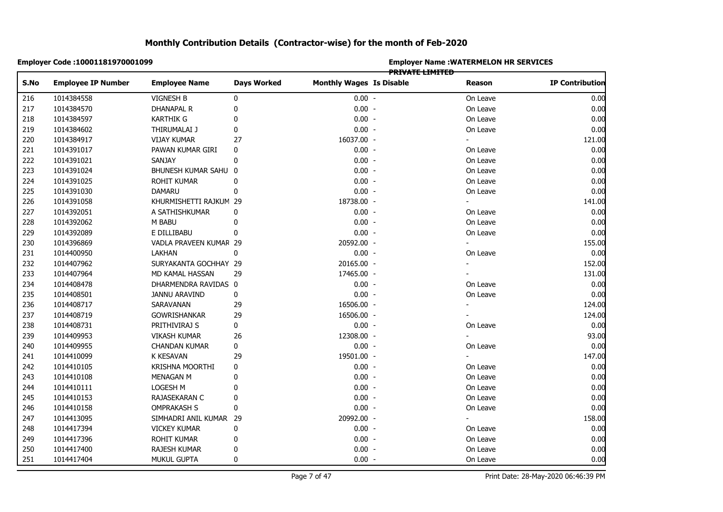|            | Employer Code: 10001181970001099 |                        |                    | <b>Employer Name : WATERMELON HR SERVICES</b><br>PRIVATE LIMITED |  |                |                        |  |  |
|------------|----------------------------------|------------------------|--------------------|------------------------------------------------------------------|--|----------------|------------------------|--|--|
| S.No       | <b>Employee IP Number</b>        | <b>Employee Name</b>   | <b>Days Worked</b> | <b>Monthly Wages Is Disable</b>                                  |  | Reason         | <b>IP Contribution</b> |  |  |
| 216        | 1014384558                       | <b>VIGNESH B</b>       | 0                  | $0.00 -$                                                         |  | On Leave       | 0.00                   |  |  |
| 217        | 1014384570                       | <b>DHANAPAL R</b>      | 0                  | $0.00 -$                                                         |  | On Leave       | 0.00                   |  |  |
| 218        | 1014384597                       | <b>KARTHIK G</b>       | 0                  | $0.00 -$                                                         |  | On Leave       | 0.00                   |  |  |
| 219        | 1014384602                       | THIRUMALAI J           | 0                  | $0.00 -$                                                         |  | On Leave       | 0.00                   |  |  |
| 220        | 1014384917                       | <b>VIJAY KUMAR</b>     | 27                 | 16037.00 -                                                       |  |                | 121.00                 |  |  |
| 221        | 1014391017                       | PAWAN KUMAR GIRI       | 0                  | $0.00 -$                                                         |  | On Leave       | 0.00                   |  |  |
| 222        | 1014391021                       | SANJAY                 | 0                  | $0.00 -$                                                         |  | On Leave       | 0.00                   |  |  |
| 223        | 1014391024                       | BHUNESH KUMAR SAHU 0   |                    | $0.00 -$                                                         |  | On Leave       | 0.00                   |  |  |
| 224        | 1014391025                       | ROHIT KUMAR            | $\mathbf 0$        | $0.00 -$                                                         |  | On Leave       | 0.00                   |  |  |
| 225        | 1014391030                       | DAMARU                 | 0                  | $0.00 -$                                                         |  | On Leave       | 0.00                   |  |  |
| 226        | 1014391058                       | KHURMISHETTI RAJKUM 29 |                    | 18738.00 -                                                       |  | $\blacksquare$ | 141.00                 |  |  |
| 227        | 1014392051                       | A SATHISHKUMAR         | 0                  | $0.00 -$                                                         |  | On Leave       | 0.00                   |  |  |
| 228        | 1014392062                       | M BABU                 | 0                  | $0.00 -$                                                         |  | On Leave       | 0.00                   |  |  |
|            | 1014392089                       | E DILLIBABU            | $\mathbf 0$        | $0.00 -$                                                         |  | On Leave       | 0.00                   |  |  |
|            | 1014396869                       | VADLA PRAVEEN KUMAR 29 |                    | 20592.00 -                                                       |  |                | 155.00                 |  |  |
|            | 1014400950                       | <b>LAKHAN</b>          | 0                  | $0.00 -$                                                         |  | On Leave       | 0.00                   |  |  |
|            | 1014407962                       | SURYAKANTA GOCHHAY 29  |                    | 20165.00 -                                                       |  | $\sim$         | 152.00                 |  |  |
|            | 1014407964                       | MD KAMAL HASSAN        | 29                 | 17465.00 -                                                       |  |                | 131.00                 |  |  |
|            | 1014408478                       | DHARMENDRA RAVIDAS 0   |                    | $0.00 -$                                                         |  | On Leave       | 0.00                   |  |  |
|            | 1014408501                       | <b>JANNU ARAVIND</b>   | 0                  | $0.00 -$                                                         |  | On Leave       | 0.00                   |  |  |
|            | 1014408717                       | SARAVANAN              | 29                 | 16506.00 -                                                       |  |                | 124.00                 |  |  |
|            | 1014408719                       | GOWRISHANKAR           | 29                 | 16506.00 -                                                       |  |                | 124.00                 |  |  |
|            | 1014408731                       | PRITHIVIRAJ S          | 0                  | $0.00 -$                                                         |  | On Leave       | 0.00                   |  |  |
|            | 1014409953                       | <b>VIKASH KUMAR</b>    | 26                 | 12308.00 -                                                       |  |                | 93.00                  |  |  |
|            | 1014409955                       | CHANDAN KUMAR          | 0                  | $0.00 -$                                                         |  | On Leave       | 0.00                   |  |  |
|            | 1014410099                       | K KESAVAN              | 29                 | 19501.00 -                                                       |  |                | 147.00                 |  |  |
|            | 1014410105                       | KRISHNA MOORTHI        | 0                  | $0.00 -$                                                         |  | On Leave       | 0.00                   |  |  |
|            | 1014410108                       | MENAGAN M              | 0                  | $0.00 -$                                                         |  | On Leave       | 0.00                   |  |  |
|            | 1014410111                       | LOGESH M               | 0                  | $0.00 -$                                                         |  | On Leave       | 0.00                   |  |  |
|            | 1014410153                       | RAJASEKARAN C          | $\mathbf 0$        | $0.00 -$                                                         |  | On Leave       | 0.00                   |  |  |
|            | 1014410158                       | <b>OMPRAKASH S</b>     | 0                  | $0.00 -$                                                         |  | On Leave       | 0.00                   |  |  |
|            | 1014413095                       | SIMHADRI ANIL KUMAR 29 |                    | 20992.00 -                                                       |  |                | 158.00                 |  |  |
|            | 1014417394                       | <b>VICKEY KUMAR</b>    | 0                  | $0.00 -$                                                         |  | On Leave       | 0.00                   |  |  |
| 248<br>249 | 1014417396                       | ROHIT KUMAR            | 0                  | $0.00 -$                                                         |  | On Leave       | 0.00                   |  |  |
| 250        | 1014417400                       | RAJESH KUMAR           | $\mathbf 0$        | $0.00 -$                                                         |  | On Leave       | 0.00                   |  |  |
|            | 1014417404                       | <b>MUKUL GUPTA</b>     | 0                  | $0.00 -$                                                         |  | On Leave       | 0.00                   |  |  |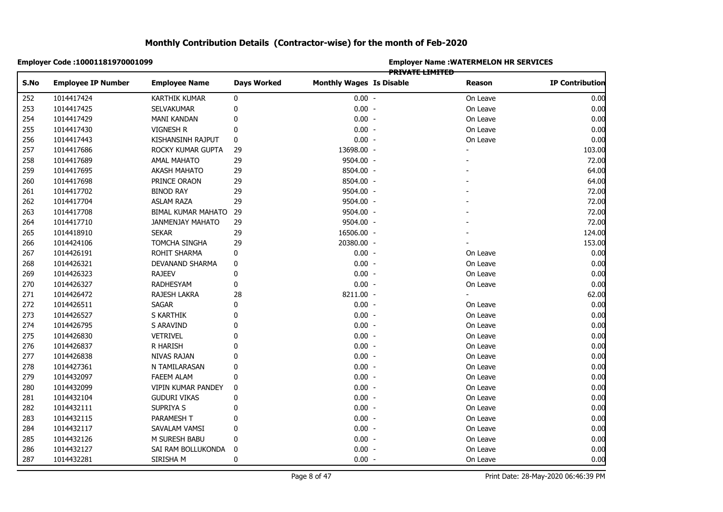|            | Employer Code: 10001181970001099 |                         |                    | <b>Employer Name: WATERMELON HR SERVICES</b><br><b>PRIVATE LIMITED</b> |  |                |                        |  |  |
|------------|----------------------------------|-------------------------|--------------------|------------------------------------------------------------------------|--|----------------|------------------------|--|--|
| S.No       | <b>Employee IP Number</b>        | <b>Employee Name</b>    | <b>Days Worked</b> | <b>Monthly Wages Is Disable</b>                                        |  | Reason         | <b>IP Contribution</b> |  |  |
| 252        | 1014417424                       | <b>KARTHIK KUMAR</b>    | 0                  | $0.00 -$                                                               |  | On Leave       | 0.00                   |  |  |
| 253        | 1014417425                       | SELVAKUMAR              | 0                  | $0.00 -$                                                               |  | On Leave       | 0.00                   |  |  |
| 254        | 1014417429                       | <b>MANI KANDAN</b>      | 0                  | $0.00 -$                                                               |  | On Leave       | 0.00                   |  |  |
| 255        | 1014417430                       | VIGNESH R               | $\pmb{0}$          | $0.00 -$                                                               |  | On Leave       | 0.00                   |  |  |
| 256        | 1014417443                       | KISHANSINH RAJPUT       | 0                  | $0.00 -$                                                               |  | On Leave       | 0.00                   |  |  |
| 257        | 1014417686                       | ROCKY KUMAR GUPTA       | 29                 | 13698.00 -                                                             |  |                | 103.00                 |  |  |
| 258        | 1014417689                       | <b>AMAL MAHATO</b>      | 29                 | 9504.00 -                                                              |  |                | 72.00                  |  |  |
|            | 1014417695                       | <b>AKASH MAHATO</b>     | 29                 | 8504.00 -                                                              |  |                | 64.00                  |  |  |
|            | 1014417698                       | PRINCE ORAON            | 29                 | 8504.00 -                                                              |  |                | 64.00                  |  |  |
| 260<br>261 | 1014417702                       | <b>BINOD RAY</b>        | 29                 | 9504.00 -                                                              |  |                | 72.00                  |  |  |
| 262        | 1014417704                       | <b>ASLAM RAZA</b>       | 29                 | 9504.00 -                                                              |  |                | 72.00                  |  |  |
| 263        | 1014417708                       | BIMAL KUMAR MAHATO      | 29                 | 9504.00 -                                                              |  |                | 72.00                  |  |  |
|            | 1014417710                       | <b>JANMENJAY MAHATO</b> | 29                 | 9504.00 -                                                              |  |                | 72.00                  |  |  |
|            | 1014418910                       | <b>SEKAR</b>            | 29                 | 16506.00 -                                                             |  |                | 124.00                 |  |  |
|            | 1014424106                       | <b>TOMCHA SINGHA</b>    | 29                 | 20380.00 -                                                             |  |                | 153.00                 |  |  |
|            | 1014426191                       | ROHIT SHARMA            | $\pmb{0}$          | $0.00 -$                                                               |  | On Leave       | 0.00                   |  |  |
|            | 1014426321                       | DEVANAND SHARMA         | 0                  | $0.00 -$                                                               |  | On Leave       | 0.00                   |  |  |
|            | 1014426323                       | <b>RAJEEV</b>           | 0                  | $0.00 -$                                                               |  | On Leave       | 0.00                   |  |  |
|            | 1014426327                       | RADHESYAM               | 0                  | $0.00 -$                                                               |  | On Leave       | 0.00                   |  |  |
|            | 1014426472                       | RAJESH LAKRA            | 28                 | 8211.00 -                                                              |  | $\blacksquare$ | 62.00                  |  |  |
|            | 1014426511                       | <b>SAGAR</b>            | 0                  | $0.00 -$                                                               |  | On Leave       | 0.00                   |  |  |
|            | 1014426527                       | S KARTHIK               | 0                  | $0.00 -$                                                               |  | On Leave       | 0.00                   |  |  |
|            | 1014426795                       | S ARAVIND               | 0                  | $0.00 -$                                                               |  | On Leave       | 0.00                   |  |  |
|            | 1014426830                       | <b>VETRIVEL</b>         | $\mathbf{0}$       | $0.00 -$                                                               |  | On Leave       | 0.00                   |  |  |
|            | 1014426837                       | R HARISH                | $\mathbf 0$        | $0.00 -$                                                               |  | On Leave       | 0.00                   |  |  |
|            | 1014426838                       | NIVAS RAJAN             | $\mathbf 0$        | $0.00 -$                                                               |  | On Leave       | 0.00                   |  |  |
|            | 1014427361                       | N TAMILARASAN           | $\mathbf{0}$       | $0.00 -$                                                               |  | On Leave       | 0.00                   |  |  |
|            | 1014432097                       | <b>FAEEM ALAM</b>       | 0                  | $0.00 -$                                                               |  | On Leave       | 0.00                   |  |  |
|            | 1014432099                       | VIPIN KUMAR PANDEY      | 0                  | $0.00 -$                                                               |  | On Leave       | 0.00                   |  |  |
|            | 1014432104                       | <b>GUDURI VIKAS</b>     | 0                  | $0.00 -$                                                               |  | On Leave       | 0.00                   |  |  |
|            | 1014432111                       | SUPRIYA S               | $\mathbf 0$        | $0.00 -$                                                               |  | On Leave       | 0.00                   |  |  |
|            | 1014432115                       | PARAMESH T              | 0                  | $0.00 -$                                                               |  | On Leave       | 0.00                   |  |  |
|            | 1014432117                       | SAVALAM VAMSI           | $\mathbf 0$        | $0.00 -$                                                               |  | On Leave       | 0.00                   |  |  |
|            | 1014432126                       | M SURESH BABU           | 0                  | $0.00 -$                                                               |  | On Leave       | 0.00                   |  |  |
|            | 1014432127                       | SAI RAM BOLLUKONDA      | 0                  | $0.00 -$                                                               |  | On Leave       | 0.00                   |  |  |
|            | 1014432281                       | SIRISHA M               | $\mathbf{0}$       | $0.00 -$                                                               |  | On Leave       | 0.00                   |  |  |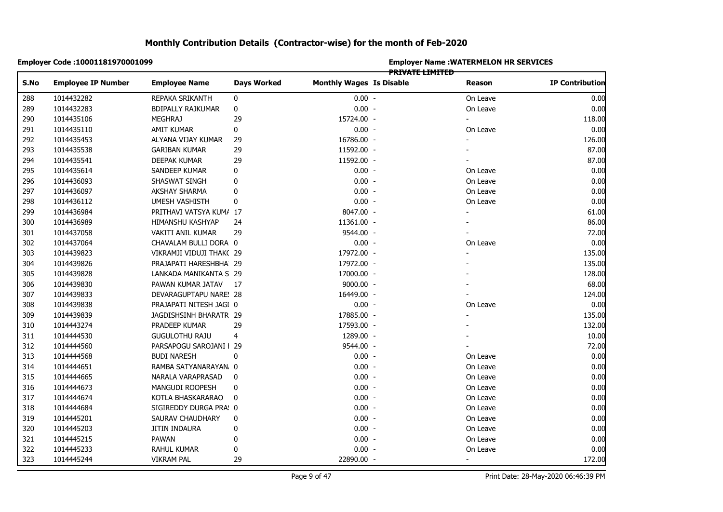|      | Employer Code: 10001181970001099 |                          |                    | <b>Employer Name: WATERMELON HR SERVICES</b><br><del>PRIVATE LIMITED</del> |  |                          |                        |  |  |
|------|----------------------------------|--------------------------|--------------------|----------------------------------------------------------------------------|--|--------------------------|------------------------|--|--|
| S.No | <b>Employee IP Number</b>        | <b>Employee Name</b>     | <b>Days Worked</b> | <b>Monthly Wages Is Disable</b>                                            |  | Reason                   | <b>IP Contribution</b> |  |  |
| 288  | 1014432282                       | REPAKA SRIKANTH          | 0                  | $0.00 -$                                                                   |  | On Leave                 | 0.00                   |  |  |
| 289  | 1014432283                       | <b>BDIPALLY RAJKUMAR</b> | $\pmb{0}$          | $0.00 -$                                                                   |  | On Leave                 | 0.00                   |  |  |
| 290  | 1014435106                       | <b>MEGHRAJ</b>           | 29                 | 15724.00 -                                                                 |  |                          | 118.00                 |  |  |
| 291  | 1014435110                       | AMIT KUMAR               | 0                  | $0.00 -$                                                                   |  | On Leave                 | 0.00                   |  |  |
| 292  | 1014435453                       | ALYANA VIJAY KUMAR       | 29                 | 16786.00 -                                                                 |  |                          | 126.00                 |  |  |
| 293  | 1014435538                       | <b>GARIBAN KUMAR</b>     | 29                 | 11592.00 -                                                                 |  |                          | 87.00                  |  |  |
| 294  | 1014435541                       | DEEPAK KUMAR             | 29                 | 11592.00 -                                                                 |  |                          | 87.00                  |  |  |
| 295  | 1014435614                       | SANDEEP KUMAR            | 0                  | $0.00 -$                                                                   |  | On Leave                 | 0.00                   |  |  |
| 296  | 1014436093                       | SHASWAT SINGH            | 0                  | $0.00 -$                                                                   |  | On Leave                 | 0.00                   |  |  |
| 297  | 1014436097                       | AKSHAY SHARMA            | 0                  | $0.00 -$                                                                   |  | On Leave                 | 0.00                   |  |  |
| 298  | 1014436112                       | UMESH VASHISTH           | 0                  | $0.00 -$                                                                   |  | On Leave                 | 0.00                   |  |  |
| 299  | 1014436984                       | PRITHAVI VATSYA KUM/ 17  |                    | 8047.00 -                                                                  |  | $\overline{\phantom{0}}$ | 61.00                  |  |  |
| 300  | 1014436989                       | HIMANSHU KASHYAP         | 24                 | 11361.00 -                                                                 |  |                          | 86.00                  |  |  |
| 301  | 1014437058                       | VAKITI ANIL KUMAR        | 29                 | 9544.00 -                                                                  |  |                          | 72.00                  |  |  |
| 302  | 1014437064                       | CHAVALAM BULLI DORA 0    |                    | $0.00 -$                                                                   |  | On Leave                 | 0.00                   |  |  |
| 303  | 1014439823                       | VIKRAMJI VIDUJI THAK(29  |                    | 17972.00 -                                                                 |  |                          | 135.00                 |  |  |
| 304  | 1014439826                       | PRAJAPATI HARESHBHA 29   |                    | 17972.00 -                                                                 |  |                          | 135.00                 |  |  |
| 305  | 1014439828                       | LANKADA MANIKANTA S 29   |                    | 17000.00 -                                                                 |  |                          | 128.00                 |  |  |
| 306  | 1014439830                       | PAWAN KUMAR JATAV        | 17                 | $9000.00 -$                                                                |  |                          | 68.00                  |  |  |
| 307  | 1014439833                       | DEVARAGUPTAPU NARE! 28   |                    | 16449.00 -                                                                 |  |                          | 124.00                 |  |  |
| 308  | 1014439838                       | PRAJAPATI NITESH JAGI 0  |                    | $0.00 -$                                                                   |  | On Leave                 | 0.00                   |  |  |
| 309  | 1014439839                       | JAGDISHSINH BHARATR 29   |                    | 17885.00 -                                                                 |  |                          | 135.00                 |  |  |
| 310  | 1014443274                       | PRADEEP KUMAR            | 29                 | 17593.00 -                                                                 |  |                          | 132.00                 |  |  |
| 311  | 1014444530                       | <b>GUGULOTHU RAJU</b>    | 4                  | 1289.00 -                                                                  |  |                          | 10.00                  |  |  |
| 312  | 1014444560                       | PARSAPOGU SAROJANI   29  |                    | 9544.00 -                                                                  |  |                          | 72.00                  |  |  |
| 313  | 1014444568                       | <b>BUDI NARESH</b>       | 0                  | $0.00 -$                                                                   |  | On Leave                 | 0.00                   |  |  |
| 314  | 1014444651                       | RAMBA SATYANARAYAN, 0    |                    | $0.00 -$                                                                   |  | On Leave                 | 0.00                   |  |  |
| 315  | 1014444665                       | NARALA VARAPRASAD        | 0                  | $0.00 -$                                                                   |  | On Leave                 | 0.00                   |  |  |
| 316  | 1014444673                       | MANGUDI ROOPESH          | 0                  | $0.00 -$                                                                   |  | On Leave                 | 0.00                   |  |  |
| 317  | 1014444674                       | KOTLA BHASKARARAO        | 0                  | $0.00 -$                                                                   |  | On Leave                 | 0.00                   |  |  |
| 318  | 1014444684                       | SIGIREDDY DURGA PRA! 0   |                    | $0.00 -$                                                                   |  | On Leave                 | 0.00                   |  |  |
| 319  | 1014445201                       | SAURAV CHAUDHARY         | 0                  | $0.00 -$                                                                   |  | On Leave                 | 0.00                   |  |  |
| 320  | 1014445203                       | JITIN INDAURA            | 0                  | $0.00 -$                                                                   |  | On Leave                 | 0.00                   |  |  |
| 321  | 1014445215                       | <b>PAWAN</b>             | 0                  | $0.00 -$                                                                   |  | On Leave                 | 0.00                   |  |  |
| 322  | 1014445233                       | RAHUL KUMAR              | 0                  | $0.00 -$                                                                   |  | On Leave                 | 0.00                   |  |  |
| 323  | 1014445244                       | <b>VIKRAM PAL</b>        | 29                 | 22890.00 -                                                                 |  | $\blacksquare$           | 172.00                 |  |  |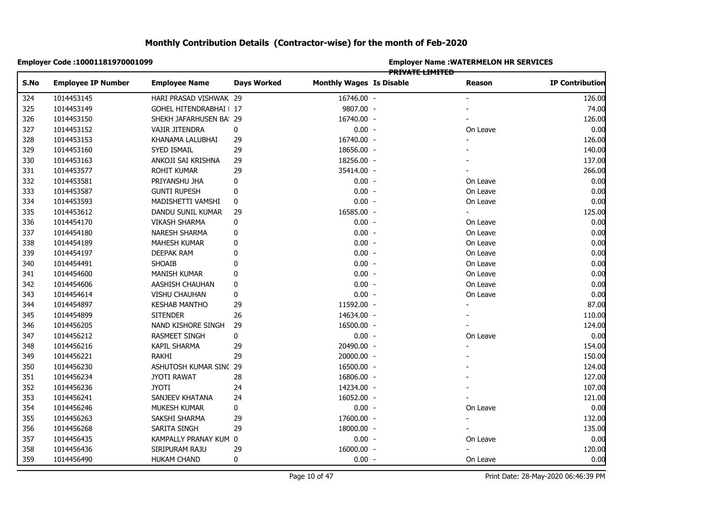|            | Employer Code: 10001181970001099 |                         |                    | <b>Employer Name : WATERMELON HR SERVICES</b><br><b>PRIVATE LIMITED</b> |  |                |                        |  |  |
|------------|----------------------------------|-------------------------|--------------------|-------------------------------------------------------------------------|--|----------------|------------------------|--|--|
| S.No       | <b>Employee IP Number</b>        | <b>Employee Name</b>    | <b>Days Worked</b> | <b>Monthly Wages Is Disable</b>                                         |  | Reason         | <b>IP Contribution</b> |  |  |
| 324        | 1014453145                       | HARI PRASAD VISHWAK 29  |                    | 16746.00 -                                                              |  |                | 126.00                 |  |  |
| 325        | 1014453149                       | GOHEL HITENDRABHAI   17 |                    | 9807.00 -                                                               |  |                | 74.00                  |  |  |
| 326        | 1014453150                       | SHEKH JAFARHUSEN BA: 29 |                    | 16740.00 -                                                              |  |                | 126.00                 |  |  |
| 327        | 1014453152                       | VAJIR JITENDRA          | 0                  | $0.00 -$                                                                |  | On Leave       | 0.00                   |  |  |
| 328        | 1014453153                       | KHANAMA LALUBHAI        | 29                 | 16740.00 -                                                              |  |                | 126.00                 |  |  |
| 329        | 1014453160                       | SYED ISMAIL             | 29                 | 18656.00 -                                                              |  |                | 140.00                 |  |  |
| 330        | 1014453163                       | ANKOJI SAI KRISHNA      | 29                 | 18256.00 -                                                              |  |                | 137.00                 |  |  |
| 331        | 1014453577                       | ROHIT KUMAR             | 29                 | 35414.00 -                                                              |  |                | 266.00                 |  |  |
| 332        | 1014453581                       | PRIYANSHU JHA           | 0                  | $0.00 -$                                                                |  | On Leave       | 0.00                   |  |  |
| 333        | 1014453587                       | <b>GUNTI RUPESH</b>     | 0                  | $0.00 -$                                                                |  | On Leave       | 0.00                   |  |  |
| 334        | 1014453593                       | MADISHETTI VAMSHI       | 0                  | $0.00 -$                                                                |  | On Leave       | 0.00                   |  |  |
| 335        | 1014453612                       | DANDU SUNIL KUMAR       | 29                 | 16585.00 -                                                              |  | $\blacksquare$ | 125.00                 |  |  |
| 336        | 1014454170                       | <b>VIKASH SHARMA</b>    | 0                  | $0.00 -$                                                                |  | On Leave       | 0.00                   |  |  |
| 337        | 1014454180                       | NARESH SHARMA           | 0                  | $0.00 -$                                                                |  | On Leave       | 0.00                   |  |  |
| 338        | 1014454189                       | MAHESH KUMAR            | 0                  | $0.00 -$                                                                |  | On Leave       | 0.00                   |  |  |
| 339        | 1014454197                       | DEEPAK RAM              | $\mathbf{0}$       | $0.00 -$                                                                |  | On Leave       | 0.00                   |  |  |
| 340        | 1014454491                       | SHOAIB                  | $\mathbf{0}$       | $0.00 -$                                                                |  | On Leave       | 0.00                   |  |  |
|            | 1014454600                       | <b>MANISH KUMAR</b>     | $\mathbf{0}$       | $0.00 -$                                                                |  | On Leave       | 0.00                   |  |  |
|            | 1014454606                       | AASHISH CHAUHAN         | 0                  | $0.00 -$                                                                |  | On Leave       | 0.00                   |  |  |
|            | 1014454614                       | VISHU CHAUHAN           | 0                  | $0.00 -$                                                                |  | On Leave       | 0.00                   |  |  |
|            | 1014454897                       | <b>KESHAB MANTHO</b>    | 29                 | 11592.00 -                                                              |  |                | 87.00                  |  |  |
|            | 1014454899                       | <b>SITENDER</b>         | 26                 | 14634.00 -                                                              |  |                | 110.00                 |  |  |
|            | 1014456205                       | NAND KISHORE SINGH      | 29                 | 16500.00 -                                                              |  |                | 124.00                 |  |  |
|            | 1014456212                       | <b>RASMEET SINGH</b>    | 0                  | $0.00 -$                                                                |  | On Leave       | 0.00                   |  |  |
|            | 1014456216                       | KAPIL SHARMA            | 29                 | 20490.00 -                                                              |  |                | 154.00                 |  |  |
| 348<br>349 | 1014456221                       | RAKHI                   | 29                 | 20000.00 -                                                              |  |                | 150.00                 |  |  |
| 350        | 1014456230                       | ASHUTOSH KUMAR SINC 29  |                    | 16500.00 -                                                              |  |                | 124.00                 |  |  |
| 351        | 1014456234                       | <b>JYOTI RAWAT</b>      | 28                 | 16806.00 -                                                              |  |                | 127.00                 |  |  |
| 352        | 1014456236                       | <b>JYOTI</b>            | 24                 | 14234.00 -                                                              |  |                | 107.00                 |  |  |
| 353        | 1014456241                       | SANJEEV KHATANA         | 24                 | 16052.00 -                                                              |  |                | 121.00                 |  |  |
|            | 1014456246                       | MUKESH KUMAR            | 0                  | $0.00 -$                                                                |  | On Leave       | 0.00                   |  |  |
| 354<br>355 | 1014456263                       | SAKSHI SHARMA           | 29                 | 17600.00 -                                                              |  | $\blacksquare$ | 132.00                 |  |  |
| 356        | 1014456268                       | SARITA SINGH            | 29                 | 18000.00 -                                                              |  |                | 135.00                 |  |  |
| 357        | 1014456435                       | KAMPALLY PRANAY KUM 0   |                    | $0.00 -$                                                                |  | On Leave       | 0.00                   |  |  |
| 358        | 1014456436                       | SIRIPURAM RAJU          | 29                 | 16000.00 -                                                              |  |                | 120.00                 |  |  |
| 359        | 1014456490                       | <b>HUKAM CHAND</b>      | 0                  | $0.00 -$                                                                |  | On Leave       | 0.00                   |  |  |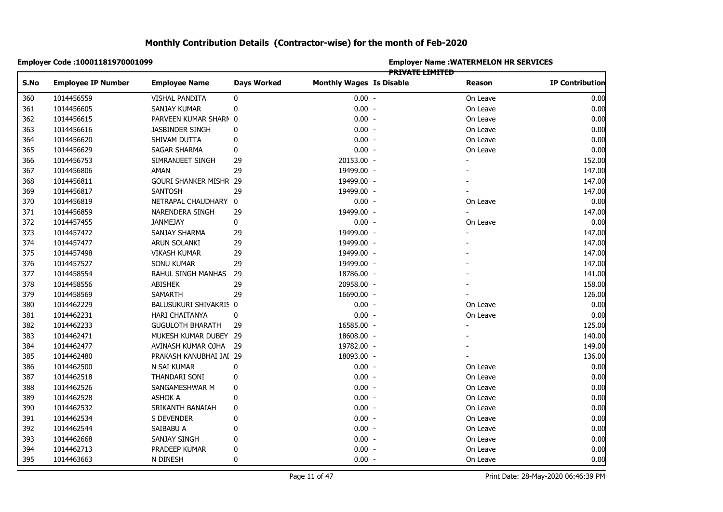|      | Employer Code: 10001181970001099 |                               |                    | <b>Employer Name: WATERMELON HR SERVICES</b><br>PRIVATE LIMITED |  |                          |                        |  |  |
|------|----------------------------------|-------------------------------|--------------------|-----------------------------------------------------------------|--|--------------------------|------------------------|--|--|
| S.No | <b>Employee IP Number</b>        | <b>Employee Name</b>          | <b>Days Worked</b> | <b>Monthly Wages Is Disable</b>                                 |  | Reason                   | <b>IP Contribution</b> |  |  |
| 360  | 1014456559                       | VISHAL PANDITA                | 0                  | $0.00 -$                                                        |  | On Leave                 | 0.00                   |  |  |
| 361  | 1014456605                       | SANJAY KUMAR                  | $\pmb{0}$          | $0.00 -$                                                        |  | On Leave                 | 0.00                   |  |  |
| 362  | 1014456615                       | PARVEEN KUMAR SHARN 0         |                    | $0.00 -$                                                        |  | On Leave                 | 0.00                   |  |  |
| 363  | 1014456616                       | JASBINDER SINGH               | 0                  | $0.00 -$                                                        |  | On Leave                 | 0.00                   |  |  |
| 364  | 1014456620                       | SHIVAM DUTTA                  | 0                  | $0.00 -$                                                        |  | On Leave                 | 0.00                   |  |  |
| 365  | 1014456629                       | <b>SAGAR SHARMA</b>           | 0                  | $0.00 -$                                                        |  | On Leave                 | 0.00                   |  |  |
| 366  | 1014456753                       | SIMRANJEET SINGH              | 29                 | 20153.00 -                                                      |  |                          | 152.00                 |  |  |
| 367  | 1014456806                       | AMAN                          | 29                 | 19499.00 -                                                      |  |                          | 147.00                 |  |  |
| 368  | 1014456811                       | <b>GOURI SHANKER MISHR 29</b> |                    | 19499.00 -                                                      |  |                          | 147.00                 |  |  |
| 369  | 1014456817                       | <b>SANTOSH</b>                | 29                 | 19499.00 -                                                      |  |                          | 147.00                 |  |  |
| 370  | 1014456819                       | NETRAPAL CHAUDHARY 0          |                    | $0.00 -$                                                        |  | On Leave                 | 0.00                   |  |  |
| 371  | 1014456859                       | NARENDERA SINGH               | 29                 | 19499.00 -                                                      |  | $\overline{\phantom{0}}$ | 147.00                 |  |  |
| 372  | 1014457455                       | JANMEJAY                      | 0                  | $0.00 -$                                                        |  | On Leave                 | 0.00                   |  |  |
| 373  | 1014457472                       | SANJAY SHARMA                 | 29                 | 19499.00 -                                                      |  |                          | 147.00                 |  |  |
| 374  | 1014457477                       | ARUN SOLANKI                  | 29                 | 19499.00 -                                                      |  |                          | 147.00                 |  |  |
| 375  | 1014457498                       | <b>VIKASH KUMAR</b>           | 29                 | 19499.00 -                                                      |  |                          | 147.00                 |  |  |
| 376  | 1014457527                       | SONU KUMAR                    | 29                 | 19499.00 -                                                      |  |                          | 147.00                 |  |  |
| 377  | 1014458554                       | RAHUL SINGH MANHAS            | 29                 | 18786.00 -                                                      |  |                          | 141.00                 |  |  |
| 378  | 1014458556                       | <b>ABISHEK</b>                | 29                 | 20958.00 -                                                      |  |                          | 158.00                 |  |  |
| 379  | 1014458569                       | <b>SAMARTH</b>                | 29                 | 16690.00 -                                                      |  |                          | 126.00                 |  |  |
| 380  | 1014462229                       | BALUSUKURI SHIVAKRIS 0        |                    | $0.00 -$                                                        |  | On Leave                 | 0.00                   |  |  |
| 381  | 1014462231                       | HARI CHAITANYA                | $\mathbf 0$        | $0.00 -$                                                        |  | On Leave                 | 0.00                   |  |  |
| 382  | 1014462233                       | <b>GUGULOTH BHARATH</b>       | 29                 | 16585.00 -                                                      |  |                          | 125.00                 |  |  |
| 383  | 1014462471                       | MUKESH KUMAR DUBEY 29         |                    | 18608.00 -                                                      |  |                          | 140.00                 |  |  |
| 384  | 1014462477                       | AVINASH KUMAR OJHA 29         |                    | 19782.00 -                                                      |  |                          | 149.00                 |  |  |
| 385  | 1014462480                       | PRAKASH KANUBHAI JAI 29       |                    | 18093.00 -                                                      |  |                          | 136.00                 |  |  |
| 386  | 1014462500                       | N SAI KUMAR                   | 0                  | $0.00 -$                                                        |  | On Leave                 | 0.00                   |  |  |
| 387  | 1014462518                       | THANDARI SONI                 | 0                  | $0.00 -$                                                        |  | On Leave                 | 0.00                   |  |  |
| 388  | 1014462526                       | SANGAMESHWAR M                | 0                  | $0.00 -$                                                        |  | On Leave                 | 0.00                   |  |  |
| 389  | 1014462528                       | <b>ASHOK A</b>                | 0                  | $0.00 -$                                                        |  | On Leave                 | 0.00                   |  |  |
| 390  | 1014462532                       | SRIKANTH BANAIAH              | 0                  | $0.00 -$                                                        |  | On Leave                 | 0.00                   |  |  |
| 391  | 1014462534                       | S DEVENDER                    | 0                  | $0.00 -$                                                        |  | On Leave                 | 0.00                   |  |  |
| 392  | 1014462544                       | SAIBABU A                     | 0                  | $0.00 -$                                                        |  | On Leave                 | 0.00                   |  |  |
| 393  | 1014462668                       | SANJAY SINGH                  | 0                  | $0.00 -$                                                        |  | On Leave                 | 0.00                   |  |  |
| 394  | 1014462713                       | PRADEEP KUMAR                 | 0                  | $0.00 -$                                                        |  | On Leave                 | 0.00                   |  |  |
| 395  | 1014463663                       | N DINESH                      | 0                  | $0.00 -$                                                        |  | On Leave                 | 0.00                   |  |  |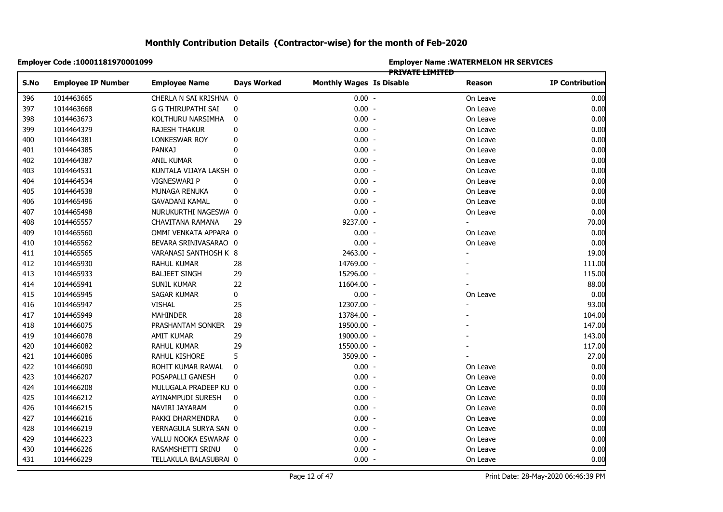|      | Employer Code: 10001181970001099 |                        |                    | <b>Employer Name: WATERMELON HR SERVICES</b> |                        |          |                        |  |  |
|------|----------------------------------|------------------------|--------------------|----------------------------------------------|------------------------|----------|------------------------|--|--|
|      |                                  |                        |                    |                                              | <b>PRIVATE LIMITED</b> |          |                        |  |  |
| S.No | <b>Employee IP Number</b>        | <b>Employee Name</b>   | <b>Days Worked</b> | <b>Monthly Wages Is Disable</b>              |                        | Reason   | <b>IP Contribution</b> |  |  |
| 396  | 1014463665                       | CHERLA N SAI KRISHNA 0 |                    | $0.00 -$                                     |                        | On Leave | 0.00                   |  |  |
| 397  | 1014463668                       | G G THIRUPATHI SAI     | 0                  | $0.00 -$                                     |                        | On Leave | 0.00                   |  |  |
| 398  | 1014463673                       | KOLTHURU NARSIMHA      | 0                  | $0.00 -$                                     |                        | On Leave | 0.00                   |  |  |
| 399  | 1014464379                       | RAJESH THAKUR          | 0                  | $0.00 -$                                     |                        | On Leave | 0.00                   |  |  |
| 400  | 1014464381                       | LONKESWAR ROY          | 0                  | $0.00 -$                                     |                        | On Leave | 0.00                   |  |  |
|      | 1014464385                       | <b>PANKAJ</b>          | 0                  | $0.00 -$                                     |                        | On Leave | 0.00                   |  |  |
|      | 1014464387                       | ANIL KUMAR             | 0                  | $0.00 -$                                     |                        | On Leave | 0.00                   |  |  |
|      | 1014464531                       | KUNTALA VIJAYA LAKSH 0 |                    | $0.00 -$                                     |                        | On Leave | 0.00                   |  |  |
|      | 1014464534                       | VIGNESWARI P           | 0                  | $0.00 -$                                     |                        | On Leave | 0.00                   |  |  |
|      | 1014464538                       | MUNAGA RENUKA          | 0                  | $0.00 -$                                     |                        | On Leave | 0.00                   |  |  |
|      | 1014465496                       | <b>GAVADANI KAMAL</b>  | 0                  | $0.00 -$                                     |                        | On Leave | 0.00                   |  |  |
|      | 1014465498                       | NURUKURTHI NAGESWA 0   |                    | $0.00 -$                                     |                        | On Leave | 0.00                   |  |  |
|      | 1014465557                       | CHAVITANA RAMANA       | 29                 | 9237.00 -                                    |                        |          | 70.00                  |  |  |
|      | 1014465560                       | OMMI VENKATA APPARA 0  |                    | $0.00 -$                                     |                        | On Leave | 0.00                   |  |  |
|      | 1014465562                       | BEVARA SRINIVASARAO 0  |                    | $0.00 -$                                     |                        | On Leave | 0.00                   |  |  |
|      | 1014465565                       | VARANASI SANTHOSH K 8  |                    | 2463.00 -                                    |                        | ÷,       | 19.00                  |  |  |
|      | 1014465930                       | RAHUL KUMAR            | 28                 | 14769.00 -                                   |                        |          | 111.00                 |  |  |
|      | 1014465933                       | <b>BALJEET SINGH</b>   | 29                 | 15296.00 -                                   |                        |          | 115.00                 |  |  |
|      | 1014465941                       | SUNIL KUMAR            | 22                 | 11604.00 -                                   |                        |          | 88.00                  |  |  |
|      | 1014465945                       | SAGAR KUMAR            | 0                  | $0.00 -$                                     |                        | On Leave | 0.00                   |  |  |
|      | 1014465947                       | <b>VISHAL</b>          | 25                 | 12307.00 -                                   |                        |          | 93.00                  |  |  |
|      | 1014465949                       | <b>MAHINDER</b>        | 28                 | 13784.00 -                                   |                        |          | 104.00                 |  |  |
|      | 1014466075                       | PRASHANTAM SONKER      | 29                 | 19500.00 -                                   |                        |          | 147.00                 |  |  |
|      | 1014466078                       | AMIT KUMAR             | 29                 | 19000.00 -                                   |                        |          | 143.00                 |  |  |
|      | 1014466082                       | RAHUL KUMAR            | 29                 | 15500.00 -                                   |                        |          | 117.00                 |  |  |
|      | 1014466086                       | RAHUL KISHORE          | 5                  | 3509.00 -                                    |                        |          | 27.00                  |  |  |
|      | 1014466090                       | ROHIT KUMAR RAWAL      | 0                  | $0.00 -$                                     |                        | On Leave | 0.00                   |  |  |
|      | 1014466207                       | POSAPALLI GANESH       | 0                  | $0.00 -$                                     |                        | On Leave | 0.00                   |  |  |
|      | 1014466208                       | MULUGALA PRADEEP KU 0  |                    | $0.00 -$                                     |                        | On Leave | 0.00                   |  |  |
|      | 1014466212                       | AYINAMPUDI SURESH      | 0                  | $0.00 -$                                     |                        | On Leave | 0.00                   |  |  |
|      | 1014466215                       | NAVIRI JAYARAM         | 0                  | $0.00 -$                                     |                        | On Leave | 0.00                   |  |  |
|      | 1014466216                       | PAKKI DHARMENDRA       | 0                  | $0.00 -$                                     |                        | On Leave | 0.00                   |  |  |
|      | 1014466219                       | YERNAGULA SURYA SAN 0  |                    | $0.00 -$                                     |                        | On Leave | 0.00                   |  |  |
|      | 1014466223                       | VALLU NOOKA ESWARAF 0  |                    | $0.00 -$                                     |                        | On Leave | 0.00                   |  |  |
|      | 1014466226                       | RASAMSHETTI SRINU      | 0                  | $0.00 -$                                     |                        | On Leave | 0.00                   |  |  |
|      | 1014466229                       | TELLAKULA BALASUBRAI 0 |                    | $0.00 -$                                     |                        | On Leave | 0.00                   |  |  |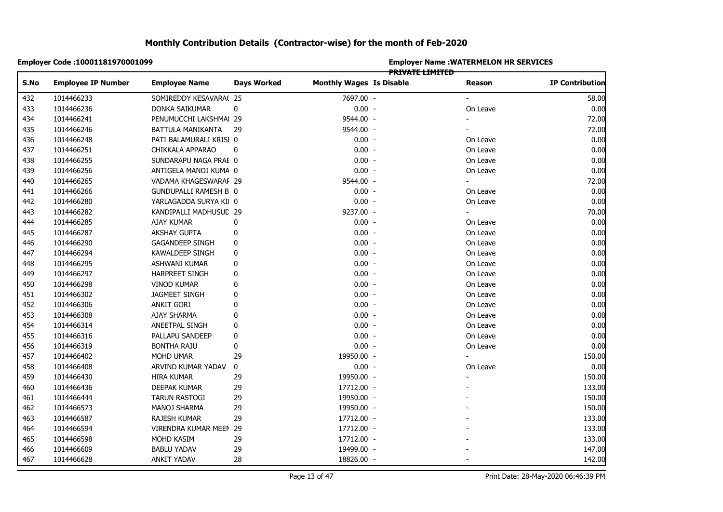| <b>PRIVATE LIMITED</b><br><b>Employee Name</b><br><b>Days Worked</b><br><b>Monthly Wages Is Disable</b><br><b>IP Contribution</b><br><b>Employee IP Number</b><br>Reason<br>1014466233<br>7697.00 -<br>58.00<br>SOMIREDDY KESAVARA(25<br>$0.00 -$<br>1014466236<br>DONKA SAIKUMAR<br>0<br>0.00<br>On Leave<br>9544.00 -<br>72.00<br>1014466241<br>PENUMUCCHI LAKSHMAI 29<br>9544.00 -<br>72.00<br>1014466246<br>BATTULA MANIKANTA<br>29<br>$0.00 -$<br>1014466248<br>0.00<br>PATI BALAMURALI KRISI 0<br>On Leave<br>1014466251<br>$0.00 -$<br>0.00<br>CHIKKALA APPARAO<br>0<br>On Leave<br>1014466255<br>SUNDARAPU NAGA PRAE 0<br>$0.00 -$<br>On Leave<br>0.00 |
|----------------------------------------------------------------------------------------------------------------------------------------------------------------------------------------------------------------------------------------------------------------------------------------------------------------------------------------------------------------------------------------------------------------------------------------------------------------------------------------------------------------------------------------------------------------------------------------------------------------------------------------------------------------|
|                                                                                                                                                                                                                                                                                                                                                                                                                                                                                                                                                                                                                                                                |
|                                                                                                                                                                                                                                                                                                                                                                                                                                                                                                                                                                                                                                                                |
|                                                                                                                                                                                                                                                                                                                                                                                                                                                                                                                                                                                                                                                                |
|                                                                                                                                                                                                                                                                                                                                                                                                                                                                                                                                                                                                                                                                |
|                                                                                                                                                                                                                                                                                                                                                                                                                                                                                                                                                                                                                                                                |
|                                                                                                                                                                                                                                                                                                                                                                                                                                                                                                                                                                                                                                                                |
|                                                                                                                                                                                                                                                                                                                                                                                                                                                                                                                                                                                                                                                                |
|                                                                                                                                                                                                                                                                                                                                                                                                                                                                                                                                                                                                                                                                |
|                                                                                                                                                                                                                                                                                                                                                                                                                                                                                                                                                                                                                                                                |
| $0.00 -$<br>1014466256<br>0.00<br>ANTIGELA MANOJ KUMA 0<br>On Leave                                                                                                                                                                                                                                                                                                                                                                                                                                                                                                                                                                                            |
| 9544.00 -<br>72.00<br>1014466265<br>VADAMA KHAGESWARAF 29<br>$\overline{\phantom{0}}$                                                                                                                                                                                                                                                                                                                                                                                                                                                                                                                                                                          |
| $0.00 -$<br>1014466266<br>On Leave<br>0.00<br><b>GUNDUPALLI RAMESH B 0</b>                                                                                                                                                                                                                                                                                                                                                                                                                                                                                                                                                                                     |
| 1014466280<br>$0.00 -$<br>0.00<br>YARLAGADDA SURYA KII 0<br>On Leave                                                                                                                                                                                                                                                                                                                                                                                                                                                                                                                                                                                           |
| 9237.00 -<br>1014466282<br>70.00<br>KANDIPALLI MADHUSUD 29<br>$\overline{\phantom{0}}$                                                                                                                                                                                                                                                                                                                                                                                                                                                                                                                                                                         |
| $0.00 -$<br>1014466285<br>0.00<br>AJAY KUMAR<br>0<br>On Leave                                                                                                                                                                                                                                                                                                                                                                                                                                                                                                                                                                                                  |
| $0.00 -$<br>0.00<br>1014466287<br><b>AKSHAY GUPTA</b><br>On Leave<br>0                                                                                                                                                                                                                                                                                                                                                                                                                                                                                                                                                                                         |
| $0.00 -$<br>1014466290<br>0<br>On Leave<br>0.00<br><b>GAGANDEEP SINGH</b>                                                                                                                                                                                                                                                                                                                                                                                                                                                                                                                                                                                      |
| 1014466294<br>0<br>$0.00 -$<br>0.00<br>KAWALDEEP SINGH<br>On Leave                                                                                                                                                                                                                                                                                                                                                                                                                                                                                                                                                                                             |
| $0.00 -$<br>1014466295<br>0<br>On Leave<br>0.00<br>ASHWANI KUMAR                                                                                                                                                                                                                                                                                                                                                                                                                                                                                                                                                                                               |
| 0<br>$0.00 -$<br>0.00<br>1014466297<br>HARPREET SINGH<br>On Leave                                                                                                                                                                                                                                                                                                                                                                                                                                                                                                                                                                                              |
| $0.00 -$<br>On Leave<br>1014466298<br><b>VINOD KUMAR</b><br>0<br>0.00                                                                                                                                                                                                                                                                                                                                                                                                                                                                                                                                                                                          |
| $0.00 -$<br>1014466302<br>0<br>On Leave<br>0.00<br><b>JAGMEET SINGH</b>                                                                                                                                                                                                                                                                                                                                                                                                                                                                                                                                                                                        |
| $0.00 -$<br>1014466306<br><b>ANKIT GORI</b><br>On Leave<br>0.00<br>0                                                                                                                                                                                                                                                                                                                                                                                                                                                                                                                                                                                           |
| $0.00 -$<br>1014466308<br><b>AJAY SHARMA</b><br>On Leave<br>0.00<br>0                                                                                                                                                                                                                                                                                                                                                                                                                                                                                                                                                                                          |
| $0.00 -$<br>1014466314<br>On Leave<br>0.00<br>ANEETPAL SINGH<br>0                                                                                                                                                                                                                                                                                                                                                                                                                                                                                                                                                                                              |
| 1014466316<br>0<br>$0.00 -$<br>On Leave<br>0.00<br>PALLAPU SANDEEP                                                                                                                                                                                                                                                                                                                                                                                                                                                                                                                                                                                             |
| 0<br>$0.00 -$<br>0.00<br>1014466319<br><b>BONTHA RAJU</b><br>On Leave                                                                                                                                                                                                                                                                                                                                                                                                                                                                                                                                                                                          |
| 19950.00 -<br>1014466402<br>MOHD UMAR<br>29<br>150.00                                                                                                                                                                                                                                                                                                                                                                                                                                                                                                                                                                                                          |
| 0.00<br>$0.00 -$<br>1014466408<br>ARVIND KUMAR YADAV<br>0<br>On Leave                                                                                                                                                                                                                                                                                                                                                                                                                                                                                                                                                                                          |
| 19950.00 -<br>150.00<br>1014466430<br>HIRA KUMAR<br>29                                                                                                                                                                                                                                                                                                                                                                                                                                                                                                                                                                                                         |
| 1014466436<br>29<br>17712.00 -<br>133.00<br>DEEPAK KUMAR                                                                                                                                                                                                                                                                                                                                                                                                                                                                                                                                                                                                       |
| 150.00<br>1014466444<br><b>TARUN RASTOGI</b><br>29<br>19950.00 -                                                                                                                                                                                                                                                                                                                                                                                                                                                                                                                                                                                               |
| 150.00<br>1014466573<br>29<br>19950.00 -<br>MANOJ SHARMA                                                                                                                                                                                                                                                                                                                                                                                                                                                                                                                                                                                                       |
| 1014466587<br>RAJESH KUMAR<br>29<br>17712.00 -<br>133.00                                                                                                                                                                                                                                                                                                                                                                                                                                                                                                                                                                                                       |
| VIRENDRA KUMAR MEEN 29<br>133.00<br>1014466594<br>17712.00 -                                                                                                                                                                                                                                                                                                                                                                                                                                                                                                                                                                                                   |
| 1014466598<br>29<br>133.00<br>MOHD KASIM<br>17712.00 -                                                                                                                                                                                                                                                                                                                                                                                                                                                                                                                                                                                                         |
| 147.00<br>1014466609<br><b>BABLU YADAV</b><br>29<br>19499.00 -                                                                                                                                                                                                                                                                                                                                                                                                                                                                                                                                                                                                 |
| 28<br>142.00<br>1014466628<br><b>ANKIT YADAV</b><br>18826.00 -                                                                                                                                                                                                                                                                                                                                                                                                                                                                                                                                                                                                 |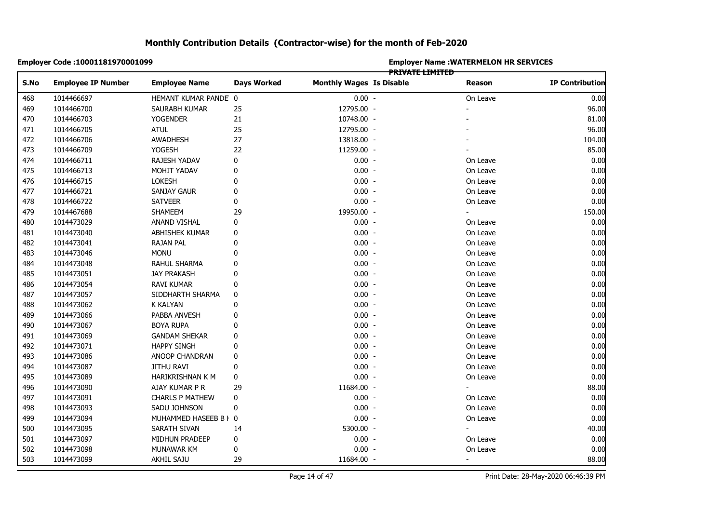|            | Employer Code: 10001181970001099 |                          |                    | <b>Employer Name: WATERMELON HR SERVICES</b> |                 |                |                        |  |  |
|------------|----------------------------------|--------------------------|--------------------|----------------------------------------------|-----------------|----------------|------------------------|--|--|
| S.No       | <b>Employee IP Number</b>        | <b>Employee Name</b>     | <b>Days Worked</b> | <b>Monthly Wages Is Disable</b>              | PRIVATE LIMITED | Reason         | <b>IP Contribution</b> |  |  |
| 468        | 1014466697                       | HEMANT KUMAR PANDE 0     |                    | $0.00 -$                                     |                 | On Leave       | 0.00                   |  |  |
| 469        | 1014466700                       | SAURABH KUMAR            | 25                 | 12795.00 -                                   |                 |                | 96.00                  |  |  |
| 470        | 1014466703                       | <b>YOGENDER</b>          | 21                 | 10748.00 -                                   |                 |                | 81.00                  |  |  |
| 471        | 1014466705                       | <b>ATUL</b>              | 25                 | 12795.00 -                                   |                 |                | 96.00                  |  |  |
| 472        | 1014466706                       | <b>AWADHESH</b>          | 27                 | 13818.00 -                                   |                 |                | 104.00                 |  |  |
| 473        | 1014466709                       | YOGESH                   | 22                 | 11259.00 -                                   |                 |                | 85.00                  |  |  |
|            | 1014466711                       | RAJESH YADAV             | 0                  | $0.00 -$                                     |                 | On Leave       | 0.00                   |  |  |
| 474<br>475 | 1014466713                       | MOHIT YADAV              | 0                  | $0.00 -$                                     |                 | On Leave       | 0.00                   |  |  |
|            | 1014466715                       | LOKESH                   | 0                  | $0.00 -$                                     |                 | On Leave       | 0.00                   |  |  |
|            | 1014466721                       | <b>SANJAY GAUR</b>       | 0                  | $0.00 -$                                     |                 | On Leave       | 0.00                   |  |  |
|            | 1014466722                       | <b>SATVEER</b>           | 0                  | $0.00 -$                                     |                 | On Leave       | 0.00                   |  |  |
| 478<br>479 | 1014467688                       | SHAMEEM                  | 29                 | 19950.00 -                                   |                 | ÷.             | 150.00                 |  |  |
| 480        | 1014473029                       | <b>ANAND VISHAL</b>      | 0                  | $0.00 -$                                     |                 | On Leave       | 0.00                   |  |  |
|            | 1014473040                       | ABHISHEK KUMAR           | 0                  | $0.00 -$                                     |                 | On Leave       | 0.00                   |  |  |
|            |                                  |                          |                    | $0.00 -$                                     |                 |                |                        |  |  |
|            | 1014473041                       | RAJAN PAL<br><b>MONU</b> | 0<br>0             | $0.00 -$                                     |                 | On Leave       | 0.00<br>0.00           |  |  |
|            | 1014473046                       |                          | 0                  |                                              |                 | On Leave       |                        |  |  |
|            | 1014473048                       | RAHUL SHARMA             |                    | $0.00 -$                                     |                 | On Leave       | 0.00                   |  |  |
|            | 1014473051                       | <b>JAY PRAKASH</b>       | 0                  | $0.00 -$                                     |                 | On Leave       | 0.00                   |  |  |
|            | 1014473054                       | RAVI KUMAR               | 0                  | $0.00 -$                                     |                 | On Leave       | 0.00                   |  |  |
|            | 1014473057                       | SIDDHARTH SHARMA         | 0                  | $0.00 -$                                     |                 | On Leave       | 0.00                   |  |  |
|            | 1014473062                       | <b>K KALYAN</b>          | 0                  | $0.00 -$                                     |                 | On Leave       | 0.00                   |  |  |
|            | 1014473066                       | PABBA ANVESH             | 0                  | $0.00 -$                                     |                 | On Leave       | 0.00                   |  |  |
|            | 1014473067                       | <b>BOYA RUPA</b>         | 0                  | $0.00 -$                                     |                 | On Leave       | 0.00                   |  |  |
|            | 1014473069                       | <b>GANDAM SHEKAR</b>     | 0                  | $0.00 -$                                     |                 | On Leave       | 0.00                   |  |  |
|            | 1014473071                       | <b>HAPPY SINGH</b>       | 0                  | $0.00 -$                                     |                 | On Leave       | 0.00                   |  |  |
|            | 1014473086                       | ANOOP CHANDRAN           | 0                  | $0.00 -$                                     |                 | On Leave       | 0.00                   |  |  |
|            | 1014473087                       | <b>JITHU RAVI</b>        | 0                  | $0.00 -$                                     |                 | On Leave       | 0.00                   |  |  |
|            | 1014473089                       | HARIKRISHNAN K M         | $\pmb{0}$          | $0.00 -$                                     |                 | On Leave       | 0.00                   |  |  |
|            | 1014473090                       | AJAY KUMAR P R           | 29                 | 11684.00 -                                   |                 | ÷.             | 88.00                  |  |  |
|            | 1014473091                       | <b>CHARLS P MATHEW</b>   | 0                  | $0.00 -$                                     |                 | On Leave       | 0.00                   |  |  |
|            | 1014473093                       | SADU JOHNSON             | 0                  | $0.00 -$                                     |                 | On Leave       | 0.00                   |  |  |
|            | 1014473094                       | MUHAMMED HASEEB B I 0    |                    | $0.00 -$                                     |                 | On Leave       | 0.00                   |  |  |
|            | 1014473095                       | SARATH SIVAN             | 14                 | 5300.00 -                                    |                 |                | 40.00                  |  |  |
| 501<br>502 | 1014473097                       | MIDHUN PRADEEP           | 0                  | $0.00 -$                                     |                 | On Leave       | 0.00                   |  |  |
|            | 1014473098                       | MUNAWAR KM               | 0                  | $0.00 -$                                     |                 | On Leave       | 0.00                   |  |  |
|            | 1014473099                       | <b>AKHIL SAJU</b>        | 29                 | 11684.00 -                                   |                 | $\blacksquare$ | 88.00                  |  |  |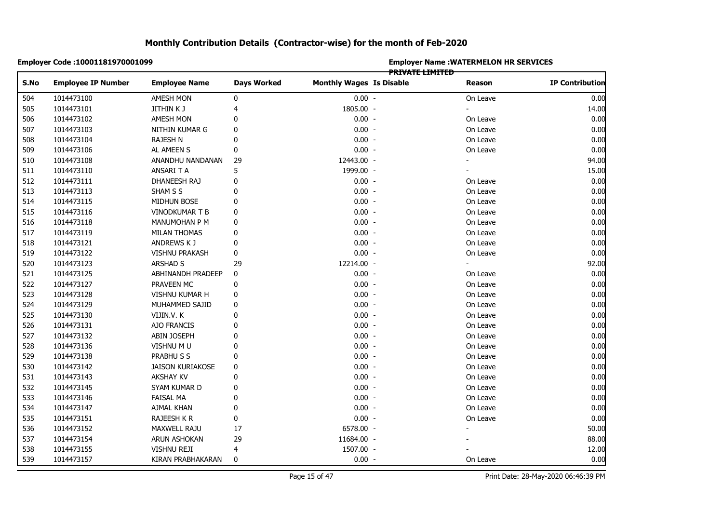|            | Employer Code: 10001181970001099 |                       |                    |                                 | <b>PRIVATE LIMITED</b> | <b>Employer Name: WATERMELON HR SERVICES</b> |                        |
|------------|----------------------------------|-----------------------|--------------------|---------------------------------|------------------------|----------------------------------------------|------------------------|
| S.No       | <b>Employee IP Number</b>        | <b>Employee Name</b>  | <b>Days Worked</b> | <b>Monthly Wages Is Disable</b> |                        | <b>Reason</b>                                | <b>IP Contribution</b> |
| 504        | 1014473100                       | AMESH MON             | 0                  | $0.00 -$                        |                        | On Leave                                     | 0.00                   |
| 505        | 1014473101                       | JITHIN K J            | 4                  | 1805.00 -                       |                        | ÷.                                           | 14.00                  |
| 506        | 1014473102                       | AMESH MON             | 0                  | $0.00 -$                        |                        | On Leave                                     | 0.00                   |
| 507        | 1014473103                       | NITHIN KUMAR G        | 0                  | $0.00 -$                        |                        | On Leave                                     | 0.00                   |
| 508        | 1014473104                       | RAJESH N              | 0                  | $0.00 -$                        |                        | On Leave                                     | 0.00                   |
| 509        | 1014473106                       | AL AMEEN S            | 0                  | $0.00 -$                        |                        | On Leave                                     | 0.00                   |
| 510        | 1014473108                       | ANANDHU NANDANAN      | 29                 | 12443.00 -                      |                        |                                              | 94.00                  |
| 511        | 1014473110                       | ANSARI T A            | 5                  | 1999.00 -                       |                        |                                              | 15.00                  |
| 512        | 1014473111                       | DHANEESH RAJ          | 0                  | $0.00 -$                        |                        | On Leave                                     | 0.00                   |
| 513        | 1014473113                       | SHAM S S              | 0                  | $0.00 -$                        |                        | On Leave                                     | 0.00                   |
| 514        | 1014473115                       | MIDHUN BOSE           | 0                  | $0.00 -$                        |                        | On Leave                                     | 0.00                   |
| 515        | 1014473116                       | VINODKUMAR T B        | 0                  | $0.00 -$                        |                        | On Leave                                     | 0.00                   |
| 516        | 1014473118                       | MANUMOHAN P M         | 0                  | $0.00 -$                        |                        | On Leave                                     | 0.00                   |
| 517        | 1014473119                       | MILAN THOMAS          | 0                  | $0.00 -$                        |                        | On Leave                                     | 0.00                   |
| 518        | 1014473121                       | ANDREWS K J           | 0                  | $0.00 -$                        |                        | On Leave                                     | 0.00                   |
|            | 1014473122                       | <b>VISHNU PRAKASH</b> | 0                  | $0.00 -$                        |                        | On Leave                                     | 0.00                   |
| 519<br>520 | 1014473123                       | ARSHAD S              | 29                 | 12214.00 -                      |                        |                                              | 92.00                  |
|            | 1014473125                       | ABHINANDH PRADEEP     | 0                  | $0.00 -$                        |                        | On Leave                                     | 0.00                   |
| 521<br>522 | 1014473127                       | PRAVEEN MC            | 0                  | $0.00 -$                        |                        | On Leave                                     | 0.00                   |
|            | 1014473128                       | VISHNU KUMAR H        | 0                  | $0.00 -$                        |                        | On Leave                                     | 0.00                   |
|            | 1014473129                       | MUHAMMED SAJID        | 0                  | $0.00 -$                        |                        | On Leave                                     | 0.00                   |
| 524<br>525 | 1014473130                       | VIJIN.V.K             | 0                  | $0.00 -$                        |                        | On Leave                                     | 0.00                   |
|            | 1014473131                       | AJO FRANCIS           | 0                  | $0.00 -$                        |                        | On Leave                                     | 0.00                   |
|            | 1014473132                       | ABIN JOSEPH           | 0                  | $0.00 -$                        |                        | On Leave                                     | 0.00                   |
| 528        | 1014473136                       | VISHNU M U            | 0                  | $0.00 -$                        |                        | On Leave                                     | 0.00                   |
| 529        | 1014473138                       | PRABHU S S            | 0                  | $0.00 -$                        |                        | On Leave                                     | 0.00                   |
| 530        | 1014473142                       | JAISON KURIAKOSE      | 0                  | $0.00 -$                        |                        | On Leave                                     | 0.00                   |
| 531        | 1014473143                       | <b>AKSHAY KV</b>      | 0                  | $0.00 -$                        |                        | On Leave                                     | 0.00                   |
| 532        | 1014473145                       | SYAM KUMAR D          | 0                  | $0.00 -$                        |                        | On Leave                                     | 0.00                   |
|            | 1014473146                       | FAISAL MA             | 0                  | $0.00 -$                        |                        | On Leave                                     | 0.00                   |
| 533<br>534 | 1014473147                       | AJMAL KHAN            | 0                  | $0.00 -$                        |                        | On Leave                                     | 0.00                   |
| 535        | 1014473151                       | RAJEESH K R           | 0                  | $0.00 -$                        |                        | On Leave                                     | 0.00                   |
| 536        | 1014473152                       | MAXWELL RAJU          | 17                 | 6578.00 -                       |                        |                                              | 50.00                  |
| 537        | 1014473154                       | ARUN ASHOKAN          | 29                 | 11684.00 -                      |                        |                                              | 88.00                  |
| 538        | 1014473155                       | VISHNU REJI           | 4                  | 1507.00 -                       |                        |                                              | 12.00                  |
| 539        | 1014473157                       | KIRAN PRABHAKARAN     | $\mathbf 0$        | $0.00 -$                        |                        | On Leave                                     | 0.00                   |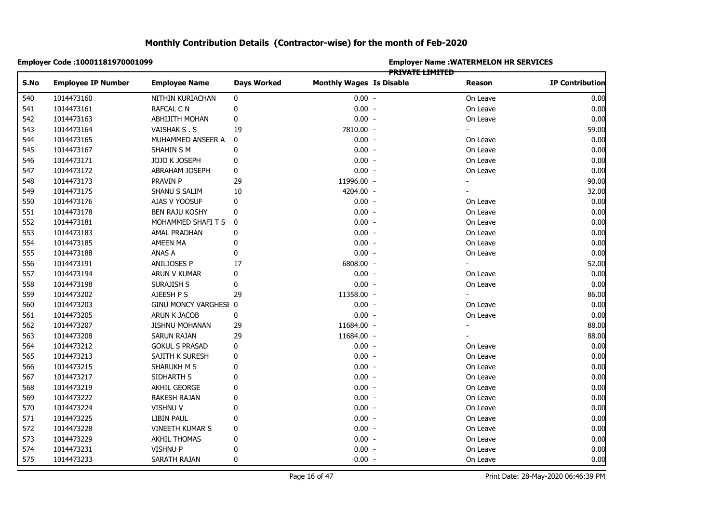|            | Employer Code: 10001181970001099 |                       |                    | <b>Employer Name: WATERMELON HR SERVICES</b><br>PRIVATE LIMITED |  |          |                        |  |  |
|------------|----------------------------------|-----------------------|--------------------|-----------------------------------------------------------------|--|----------|------------------------|--|--|
| S.No       | <b>Employee IP Number</b>        | <b>Employee Name</b>  | <b>Days Worked</b> | <b>Monthly Wages Is Disable</b>                                 |  | Reason   | <b>IP Contribution</b> |  |  |
| 540        | 1014473160                       | NITHIN KURIACHAN      | 0                  | $0.00 -$                                                        |  | On Leave | 0.00                   |  |  |
| 541        | 1014473161                       | <b>RAFCAL C N</b>     | $\pmb{0}$          | $0.00 -$                                                        |  | On Leave | 0.00                   |  |  |
| 542        | 1014473163                       | ABHIJITH MOHAN        | 0                  | $0.00 -$                                                        |  | On Leave | 0.00                   |  |  |
| 543        | 1014473164                       | VAISHAK S.S           | 19                 | 7810.00 -                                                       |  |          | 59.00                  |  |  |
| 544        | 1014473165                       | MUHAMMED ANSEER A     | 0                  | $0.00 -$                                                        |  | On Leave | 0.00                   |  |  |
| 545        | 1014473167                       | SHAHIN S M            | $\mathbf 0$        | $0.00 -$                                                        |  | On Leave | 0.00                   |  |  |
| 546        | 1014473171                       | JOJO K JOSEPH         | 0                  | $0.00 -$                                                        |  | On Leave | 0.00                   |  |  |
| 547        | 1014473172                       | ABRAHAM JOSEPH        | 0                  | $0.00 -$                                                        |  | On Leave | 0.00                   |  |  |
|            | 1014473173                       | PRAVIN P              | 29                 | 11996.00 -                                                      |  |          | 90.00                  |  |  |
| 548<br>549 | 1014473175                       | SHANU S SALIM         | 10                 | 4204.00 -                                                       |  |          | 32.00                  |  |  |
| 550        | 1014473176                       | AJAS V YOOSUF         | 0                  | $0.00 -$                                                        |  | On Leave | 0.00                   |  |  |
| 551        | 1014473178                       | <b>BEN RAJU KOSHY</b> | 0                  | $0.00 -$                                                        |  | On Leave | 0.00                   |  |  |
| 552        | 1014473181                       | MOHAMMED SHAFI T S    | 0                  | $0.00 -$                                                        |  | On Leave | 0.00                   |  |  |
|            | 1014473183                       | AMAL PRADHAN          | 0                  | $0.00 -$                                                        |  | On Leave | 0.00                   |  |  |
|            | 1014473185                       | AMEEN MA              | 0                  | $0.00 -$                                                        |  | On Leave | 0.00                   |  |  |
|            | 1014473188                       | ANAS A                | 0                  | $0.00 -$                                                        |  | On Leave | 0.00                   |  |  |
|            | 1014473191                       | ANILJOSES P           | 17                 | 6808.00 -                                                       |  |          | 52.00                  |  |  |
|            | 1014473194                       | ARUN V KUMAR          | 0                  | $0.00 -$                                                        |  | On Leave | 0.00                   |  |  |
|            | 1014473198                       | SURAJISH S            | 0                  | $0.00 -$                                                        |  | On Leave | 0.00                   |  |  |
|            | 1014473202                       | AJEESH P S            | 29                 | 11358.00 -                                                      |  |          | 86.00                  |  |  |
|            | 1014473203                       | GINU MONCY VARGHESI 0 |                    | $0.00 -$                                                        |  | On Leave | 0.00                   |  |  |
|            | 1014473205                       | ARUN K JACOB          | 0                  | $0.00 -$                                                        |  | On Leave | 0.00                   |  |  |
|            | 1014473207                       | <b>JISHNU MOHANAN</b> | 29                 | 11684.00 -                                                      |  |          | 88.00                  |  |  |
|            | 1014473208                       | SARUN RAJAN           | 29                 | 11684.00 -                                                      |  |          | 88.00                  |  |  |
|            | 1014473212                       | <b>GOKUL S PRASAD</b> | 0                  | $0.00 -$                                                        |  | On Leave | 0.00                   |  |  |
|            | 1014473213                       | SAJITH K SURESH       | 0                  | $0.00 -$                                                        |  | On Leave | 0.00                   |  |  |
|            | 1014473215                       | SHARUKH M S           | 0                  | $0.00 -$                                                        |  | On Leave | 0.00                   |  |  |
|            | 1014473217                       | SIDHARTH S            | $\mathbf{0}$       | $0.00 -$                                                        |  | On Leave | 0.00                   |  |  |
|            | 1014473219                       | AKHIL GEORGE          | 0                  | $0.00 -$                                                        |  | On Leave | 0.00                   |  |  |
|            | 1014473222                       | RAKESH RAJAN          | 0                  | $0.00 -$                                                        |  | On Leave | 0.00                   |  |  |
|            | 1014473224                       | VISHNU V              | $\mathbf{0}$       | $0.00 -$                                                        |  | On Leave | 0.00                   |  |  |
|            | 1014473225                       | LIBIN PAUL            | 0                  | $0.00 -$                                                        |  | On Leave | 0.00                   |  |  |
|            | 1014473228                       | VINEETH KUMAR S       | 0                  | $0.00 -$                                                        |  | On Leave | 0.00                   |  |  |
| 573        | 1014473229                       | <b>AKHIL THOMAS</b>   | 0                  | $0.00 -$                                                        |  | On Leave | 0.00                   |  |  |
| 574        | 1014473231                       | <b>VISHNU P</b>       | $\mathbf 0$        | $0.00 -$                                                        |  | On Leave | 0.00                   |  |  |
| 575        | 1014473233                       | SARATH RAJAN          | $\mathbf{0}$       | $0.00 -$                                                        |  | On Leave | 0.00                   |  |  |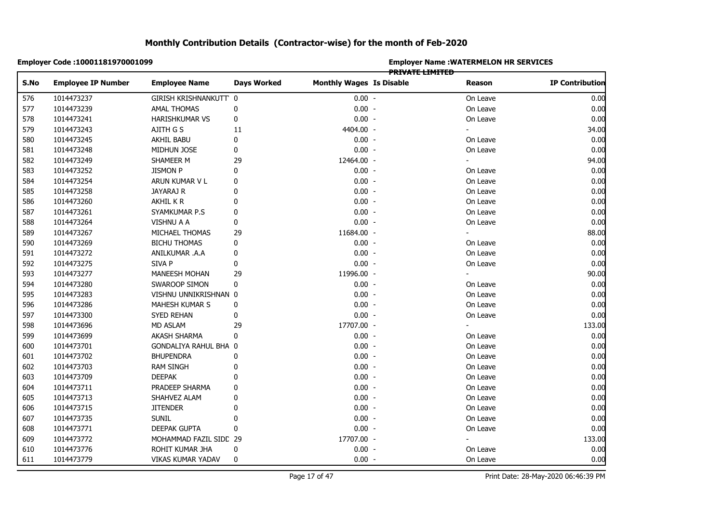|            | Employer Code: 10001181970001099 |                        |                    | <b>Employer Name: WATERMELON HR SERVICES</b><br><b>PRIVATE LIMITED</b> |  |          |                        |  |  |
|------------|----------------------------------|------------------------|--------------------|------------------------------------------------------------------------|--|----------|------------------------|--|--|
| S.No       | <b>Employee IP Number</b>        | <b>Employee Name</b>   | <b>Days Worked</b> | <b>Monthly Wages Is Disable</b>                                        |  | Reason   | <b>IP Contribution</b> |  |  |
| 576        | 1014473237                       | GIRISH KRISHNANKUTT 0  |                    | $0.00 -$                                                               |  | On Leave | 0.00                   |  |  |
| 577        | 1014473239                       | <b>AMAL THOMAS</b>     | $\pmb{0}$          | $0.00 -$                                                               |  | On Leave | 0.00                   |  |  |
| 578        | 1014473241                       | HARISHKUMAR VS         | 0                  | $0.00 -$                                                               |  | On Leave | 0.00                   |  |  |
| 579        | 1014473243                       | AJITH G S              | 11                 | 4404.00 -                                                              |  |          | 34.00                  |  |  |
| 580        | 1014473245                       | AKHIL BABU             | 0                  | $0.00 -$                                                               |  | On Leave | 0.00                   |  |  |
| 581        | 1014473248                       | MIDHUN JOSE            | 0                  | $0.00 -$                                                               |  | On Leave | 0.00                   |  |  |
|            | 1014473249                       | SHAMEER M              | 29                 | 12464.00 -                                                             |  |          | 94.00                  |  |  |
| 582<br>583 | 1014473252                       | <b>JISMON P</b>        | 0                  | $0.00 -$                                                               |  | On Leave | 0.00                   |  |  |
| 584        | 1014473254                       | ARUN KUMAR V L         | 0                  | $0.00 -$                                                               |  | On Leave | 0.00                   |  |  |
| 585        | 1014473258                       | JAYARAJ R              | 0                  | $0.00 -$                                                               |  | On Leave | 0.00                   |  |  |
| 586        | 1014473260                       | AKHIL K R              | 0                  | $0.00 -$                                                               |  | On Leave | 0.00                   |  |  |
| 587        | 1014473261                       | SYAMKUMAR P.S          | 0                  | $0.00 -$                                                               |  | On Leave | 0.00                   |  |  |
| 588        | 1014473264                       | <b>VISHNU A A</b>      | 0                  | $0.00 -$                                                               |  | On Leave | 0.00                   |  |  |
|            | 1014473267                       | MICHAEL THOMAS         | 29                 | 11684.00 -                                                             |  |          | 88.00                  |  |  |
|            | 1014473269                       | <b>BICHU THOMAS</b>    | 0                  | $0.00 -$                                                               |  | On Leave | 0.00                   |  |  |
|            | 1014473272                       | ANILKUMAR .A.A         | 0                  | $0.00 -$                                                               |  | On Leave | 0.00                   |  |  |
|            | 1014473275                       | SIVA P                 | 0                  | $0.00 -$                                                               |  | On Leave | 0.00                   |  |  |
|            | 1014473277                       | <b>MANEESH MOHAN</b>   | 29                 | 11996.00 -                                                             |  |          | 90.00                  |  |  |
|            | 1014473280                       | SWAROOP SIMON          | 0                  | $0.00 -$                                                               |  | On Leave | 0.00                   |  |  |
|            | 1014473283                       | VISHNU UNNIKRISHNAN 0  |                    | $0.00 -$                                                               |  | On Leave | 0.00                   |  |  |
|            | 1014473286                       | MAHESH KUMAR S         | 0                  | $0.00 -$                                                               |  | On Leave | 0.00                   |  |  |
|            | 1014473300                       | SYED REHAN             | 0                  | $0.00 -$                                                               |  | On Leave | 0.00                   |  |  |
|            | 1014473696                       | MD ASLAM               | 29                 | 17707.00 -                                                             |  |          | 133.00                 |  |  |
|            | 1014473699                       | <b>AKASH SHARMA</b>    | 0                  | $0.00 -$                                                               |  | On Leave | 0.00                   |  |  |
|            | 1014473701                       | GONDALIYA RAHUL BHA 0  |                    | $0.00 -$                                                               |  | On Leave | 0.00                   |  |  |
|            | 1014473702                       | <b>BHUPENDRA</b>       | 0                  | $0.00 -$                                                               |  | On Leave | 0.00                   |  |  |
|            | 1014473703                       | <b>RAM SINGH</b>       | $\mathbf{0}$       | $0.00 -$                                                               |  | On Leave | 0.00                   |  |  |
|            | 1014473709                       | <b>DEEPAK</b>          | 0                  | $0.00 -$                                                               |  | On Leave | 0.00                   |  |  |
|            | 1014473711                       | PRADEEP SHARMA         | 0                  | $0.00 -$                                                               |  | On Leave | 0.00                   |  |  |
|            | 1014473713                       | SHAHVEZ ALAM           | 0                  | $0.00 -$                                                               |  | On Leave | 0.00                   |  |  |
|            | 1014473715                       | <b>JITENDER</b>        | 0                  | $0.00 -$                                                               |  | On Leave | 0.00                   |  |  |
|            | 1014473735                       | <b>SUNIL</b>           | 0                  | $0.00 -$                                                               |  | On Leave | 0.00                   |  |  |
|            | 1014473771                       | DEEPAK GUPTA           | 0                  | $0.00 -$                                                               |  | On Leave | 0.00                   |  |  |
|            | 1014473772                       | MOHAMMAD FAZIL SIDC 29 |                    | 17707.00 -                                                             |  |          | 133.00                 |  |  |
| 610        | 1014473776                       | ROHIT KUMAR JHA        | 0                  | $0.00 -$                                                               |  | On Leave | 0.00                   |  |  |
|            | 1014473779                       | VIKAS KUMAR YADAV      | $\mathbf 0$        | $0.00 -$                                                               |  | On Leave | 0.00                   |  |  |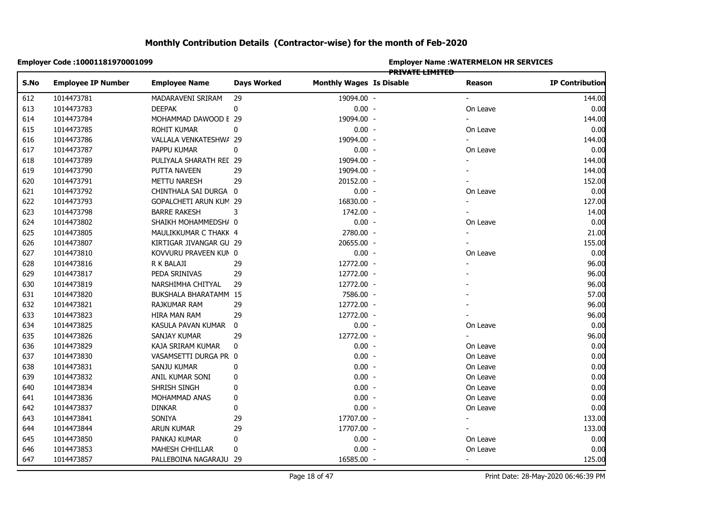|      | Employer Code: 10001181970001099 |                         |                    | <b>Employer Name : WATERMELON HR SERVICES</b><br>PRIVATE LIMITED |  |                          |                        |  |  |
|------|----------------------------------|-------------------------|--------------------|------------------------------------------------------------------|--|--------------------------|------------------------|--|--|
| S.No | <b>Employee IP Number</b>        | <b>Employee Name</b>    | <b>Days Worked</b> | <b>Monthly Wages Is Disable</b>                                  |  | Reason                   | <b>IP Contribution</b> |  |  |
| 612  | 1014473781                       | MADARAVENI SRIRAM       | 29                 | 19094.00 -                                                       |  |                          | 144.00                 |  |  |
|      | 1014473783                       | <b>DEEPAK</b>           | 0                  | $0.00 -$                                                         |  | On Leave                 | 0.00                   |  |  |
|      | 1014473784                       | MOHAMMAD DAWOOD E 29    |                    | 19094.00 -                                                       |  |                          | 144.00                 |  |  |
|      | 1014473785                       | <b>ROHIT KUMAR</b>      | 0                  | $0.00 -$                                                         |  | On Leave                 | 0.00                   |  |  |
|      | 1014473786                       | VALLALA VENKATESHW/ 29  |                    | 19094.00 -                                                       |  |                          | 144.00                 |  |  |
|      | 1014473787                       | PAPPU KUMAR             | $\pmb{0}$          | $0.00 -$                                                         |  | On Leave                 | 0.00                   |  |  |
|      | 1014473789                       | PULIYALA SHARATH REL 29 |                    | 19094.00 -                                                       |  |                          | 144.00                 |  |  |
|      | 1014473790                       | PUTTA NAVEEN            | 29                 | 19094.00 -                                                       |  |                          | 144.00                 |  |  |
|      | 1014473791                       | METTU NARESH            | 29                 | 20152.00 -                                                       |  |                          | 152.00                 |  |  |
|      | 1014473792                       | CHINTHALA SAI DURGA 0   |                    | $0.00 -$                                                         |  | On Leave                 | 0.00                   |  |  |
|      | 1014473793                       | GOPALCHETI ARUN KUM 29  |                    | 16830.00 -                                                       |  | $\blacksquare$           | 127.00                 |  |  |
|      | 1014473798                       | <b>BARRE RAKESH</b>     | 3                  | 1742.00 -                                                        |  |                          | 14.00                  |  |  |
|      | 1014473802                       | SHAIKH MOHAMMEDSH/ 0    |                    | $0.00 -$                                                         |  | On Leave                 | 0.00                   |  |  |
|      | 1014473805                       | MAULIKKUMAR C THAKK 4   |                    | 2780.00 -                                                        |  |                          | 21.00                  |  |  |
|      | 1014473807                       | KIRTIGAR JIVANGAR GU 29 |                    | 20655.00 -                                                       |  |                          | 155.00                 |  |  |
|      | 1014473810                       | KOVVURU PRAVEEN KUN 0   |                    | $0.00 -$                                                         |  | On Leave                 | 0.00                   |  |  |
|      | 1014473816                       | R K BALAJI              | 29                 | 12772.00 -                                                       |  |                          | 96.00                  |  |  |
|      | 1014473817                       | PEDA SRINIVAS           | 29                 | 12772.00 -                                                       |  |                          | 96.00                  |  |  |
|      | 1014473819                       | NARSHIMHA CHITYAL       | 29                 | 12772.00 -                                                       |  |                          | 96.00                  |  |  |
|      | 1014473820                       | BUKSHALA BHARATAMM 15   |                    | 7586.00 -                                                        |  |                          | 57.00                  |  |  |
|      | 1014473821                       | RAJKUMAR RAM            | 29                 | 12772.00 -                                                       |  |                          | 96.00                  |  |  |
|      | 1014473823                       | HIRA MAN RAM            | 29                 | 12772.00 -                                                       |  |                          | 96.00                  |  |  |
|      | 1014473825                       | KASULA PAVAN KUMAR      | 0                  | $0.00 -$                                                         |  | On Leave                 | 0.00                   |  |  |
|      | 1014473826                       | SANJAY KUMAR            | 29                 | 12772.00 -                                                       |  |                          | 96.00                  |  |  |
|      | 1014473829                       | KAJA SRIRAM KUMAR       | 0                  | $0.00 -$                                                         |  | On Leave                 | 0.00                   |  |  |
|      | 1014473830                       | VASAMSETTI DURGA PR 0   |                    | $0.00 -$                                                         |  | On Leave                 | 0.00                   |  |  |
|      | 1014473831                       | SANJU KUMAR             | $\mathbf 0$        | $0.00 -$                                                         |  | On Leave                 | 0.00                   |  |  |
|      | 1014473832                       | ANIL KUMAR SONI         | 0                  | $0.00 -$                                                         |  | On Leave                 | 0.00                   |  |  |
|      | 1014473834                       | SHRISH SINGH            | $\mathbf 0$        | $0.00 -$                                                         |  | On Leave                 | 0.00                   |  |  |
|      | 1014473836                       | MOHAMMAD ANAS           | 0                  | $0.00 -$                                                         |  | On Leave                 | 0.00                   |  |  |
|      | 1014473837                       | <b>DINKAR</b>           | 0                  | $0.00 -$                                                         |  | On Leave                 | 0.00                   |  |  |
|      | 1014473841                       | SONIYA                  | 29                 | 17707.00 -                                                       |  | $\overline{\phantom{a}}$ | 133.00                 |  |  |
|      | 1014473844                       | <b>ARUN KUMAR</b>       | 29                 | 17707.00 -                                                       |  |                          | 133.00                 |  |  |
|      | 1014473850                       | PANKAJ KUMAR            | 0                  | $0.00 -$                                                         |  | On Leave                 | 0.00                   |  |  |
|      | 1014473853                       | MAHESH CHHILLAR         | 0                  | $0.00 -$                                                         |  | On Leave                 | 0.00                   |  |  |
|      | 1014473857                       | PALLEBOINA NAGARAJU 29  |                    | 16585.00 -                                                       |  | $\blacksquare$           | 125.00                 |  |  |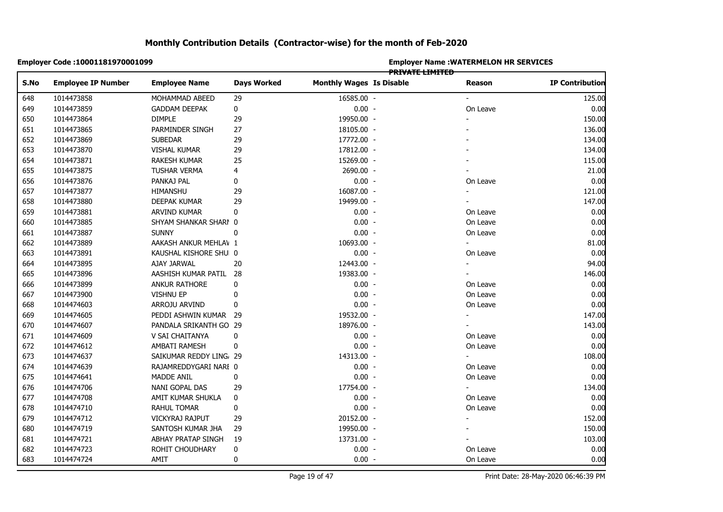| Employer Code: 10001181970001099  |                      |                         |                                 | <b>Employer Name: WATERMELON HR SERVICES</b> |                |                        |  |  |  |
|-----------------------------------|----------------------|-------------------------|---------------------------------|----------------------------------------------|----------------|------------------------|--|--|--|
| <b>Employee IP Number</b><br>S.No | <b>Employee Name</b> | <b>Days Worked</b>      | <b>Monthly Wages Is Disable</b> | <b>PRIVATE LIMITED</b>                       | Reason         | <b>IP Contribution</b> |  |  |  |
| 1014473858                        | MOHAMMAD ABEED       | 29                      | 16585.00 -                      |                                              |                | 125.00                 |  |  |  |
| 648<br>649                        |                      |                         |                                 |                                              |                | 0.00                   |  |  |  |
| 1014473859                        | <b>GADDAM DEEPAK</b> | $\bf{0}$                | $0.00 -$                        |                                              | On Leave       |                        |  |  |  |
| 1014473864                        | <b>DIMPLE</b>        | 29                      | 19950.00 -                      |                                              |                | 150.00                 |  |  |  |
| 1014473865                        | PARMINDER SINGH      | 27                      | 18105.00 -                      |                                              |                | 136.00                 |  |  |  |
| 1014473869                        | <b>SUBEDAR</b>       | 29                      | 17772.00 -                      |                                              |                | 134.00                 |  |  |  |
| 1014473870                        | <b>VISHAL KUMAR</b>  | 29                      | 17812.00 -                      |                                              |                | 134.00                 |  |  |  |
| 1014473871                        | <b>RAKESH KUMAR</b>  | 25                      | 15269.00 -                      |                                              |                | 115.00                 |  |  |  |
| 1014473875                        | TUSHAR VERMA         | 4                       | 2690.00 -                       |                                              |                | 21.00                  |  |  |  |
| 1014473876                        | PANKAJ PAL           | 0                       | $0.00 -$                        |                                              | On Leave       | 0.00                   |  |  |  |
| 1014473877                        | HIMANSHU             | 29                      | 16087.00 -                      |                                              | ÷.             | 121.00                 |  |  |  |
| 1014473880                        | DEEPAK KUMAR         | 29                      | 19499.00 -                      |                                              |                | 147.00                 |  |  |  |
| 1014473881                        | ARVIND KUMAR         | 0                       | $0.00 -$                        |                                              | On Leave       | 0.00                   |  |  |  |
| 1014473885                        |                      | SHYAM SHANKAR SHARI 0   | $0.00 -$                        |                                              | On Leave       | 0.00                   |  |  |  |
| 1014473887                        | <b>SUNNY</b>         | 0                       | $0.00 -$                        |                                              | On Leave       | 0.00                   |  |  |  |
| 1014473889                        |                      | AAKASH ANKUR MEHLAV 1   | 10693.00 -                      |                                              |                | 81.00                  |  |  |  |
| 1014473891                        |                      | KAUSHAL KISHORE SHU 0   | $0.00 -$                        |                                              | On Leave       | 0.00                   |  |  |  |
| 1014473895                        | AJAY JARWAL          | 20                      | 12443.00 -                      |                                              | $\blacksquare$ | 94.00                  |  |  |  |
| 1014473896                        |                      | AASHISH KUMAR PATIL 28  | 19383.00 -                      |                                              |                | 146.00                 |  |  |  |
| 1014473899                        | ANKUR RATHORE        | 0                       | $0.00 -$                        |                                              | On Leave       | 0.00                   |  |  |  |
| 1014473900                        | <b>VISHNU EP</b>     | 0                       | $0.00 -$                        |                                              | On Leave       | 0.00                   |  |  |  |
| 1014474603                        | ARROJU ARVIND        | 0                       | $0.00 -$                        |                                              | On Leave       | 0.00                   |  |  |  |
| 1014474605                        |                      | PEDDI ASHWIN KUMAR 29   | 19532.00 -                      |                                              | $\blacksquare$ | 147.00                 |  |  |  |
| 1014474607                        |                      | PANDALA SRIKANTH GO 29  | 18976.00 -                      |                                              |                | 143.00                 |  |  |  |
| 1014474609                        | V SAI CHAITANYA      | 0                       | $0.00 -$                        |                                              | On Leave       | 0.00                   |  |  |  |
| 1014474612                        | AMBATI RAMESH        | 0                       | $0.00 -$                        |                                              | On Leave       | 0.00                   |  |  |  |
| 1014474637                        |                      | SAIKUMAR REDDY LING, 29 | 14313.00 -                      |                                              |                | 108.00                 |  |  |  |
| 1014474639                        |                      | RAJAMREDDYGARI NARI 0   | $0.00 -$                        |                                              | On Leave       | 0.00                   |  |  |  |
| 1014474641                        | <b>MADDE ANIL</b>    | $\pmb{0}$               | $0.00 -$                        |                                              | On Leave       | 0.00                   |  |  |  |
| 1014474706                        | NANI GOPAL DAS       | 29                      | 17754.00 -                      |                                              | $\blacksquare$ | 134.00                 |  |  |  |
| 1014474708                        | AMIT KUMAR SHUKLA    | 0                       | $0.00 -$                        |                                              | On Leave       | 0.00                   |  |  |  |
| 1014474710                        | RAHUL TOMAR          | 0                       | $0.00 -$                        |                                              | On Leave       | 0.00                   |  |  |  |
| 1014474712                        | VICKYRAJ RAJPUT      | 29                      | 20152.00 -                      |                                              | $\blacksquare$ | 152.00                 |  |  |  |
| 1014474719                        | SANTOSH KUMAR JHA    | 29                      | 19950.00 -                      |                                              |                | 150.00                 |  |  |  |
| 1014474721                        | ABHAY PRATAP SINGH   | 19                      | 13731.00 -                      |                                              |                | 103.00                 |  |  |  |
| 1014474723                        | ROHIT CHOUDHARY      | 0                       | $0.00 -$                        |                                              | On Leave       | 0.00                   |  |  |  |
| 1014474724                        | AMIT                 | 0                       | $0.00 -$                        |                                              | On Leave       | 0.00                   |  |  |  |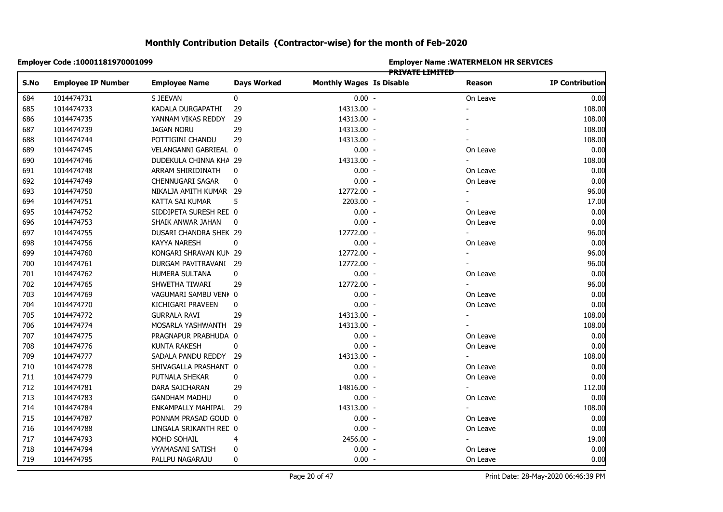|            | <b>Employer Code :10001181970001099</b> |                        |                    |                                 | <b>Employer Name: WATERMELON HR SERVICES</b> |                          |                        |  |  |
|------------|-----------------------------------------|------------------------|--------------------|---------------------------------|----------------------------------------------|--------------------------|------------------------|--|--|
| S.No       | <b>Employee IP Number</b>               | <b>Employee Name</b>   | <b>Days Worked</b> | <b>Monthly Wages Is Disable</b> | <b>PRIVATE LIMITED</b>                       | Reason                   | <b>IP Contribution</b> |  |  |
| 684        |                                         |                        |                    |                                 |                                              |                          |                        |  |  |
|            | 1014474731                              | S JEEVAN               | 0                  | $0.00 -$                        |                                              | On Leave                 | 0.00                   |  |  |
| 685        | 1014474733                              | KADALA DURGAPATHI      | 29                 | 14313.00 -                      |                                              |                          | 108.00                 |  |  |
| 686        | 1014474735                              | YANNAM VIKAS REDDY     | 29                 | 14313.00 -                      |                                              |                          | 108.00                 |  |  |
| 687        | 1014474739                              | <b>JAGAN NORU</b>      | 29                 | 14313.00 -                      |                                              |                          | 108.00                 |  |  |
| 688<br>689 | 1014474744                              | POTTIGINI CHANDU       | 29                 | 14313.00 -                      |                                              |                          | 108.00                 |  |  |
| 690        | 1014474745                              | VELANGANNI GABRIEAL 0  |                    | $0.00 -$                        |                                              | On Leave                 | 0.00                   |  |  |
|            | 1014474746                              | DUDEKULA CHINNA KHA 29 |                    | 14313.00 -                      |                                              | ÷.                       | 108.00                 |  |  |
|            | 1014474748                              | ARRAM SHIRIDINATH      | 0                  | $0.00 -$                        |                                              | On Leave                 | 0.00                   |  |  |
|            | 1014474749                              | CHENNUGARI SAGAR       | 0                  | $0.00 -$                        |                                              | On Leave                 | 0.00                   |  |  |
| 693        | 1014474750                              | NIKALJA AMITH KUMAR 29 |                    | 12772.00 -                      |                                              | $\blacksquare$           | 96.00                  |  |  |
|            | 1014474751                              | KATTA SAI KUMAR        | 5                  | 2203.00 -                       |                                              |                          | 17.00                  |  |  |
| 695        | 1014474752                              | SIDDIPETA SURESH REC 0 |                    | $0.00 -$                        |                                              | On Leave                 | 0.00                   |  |  |
|            | 1014474753                              | SHAIK ANWAR JAHAN      | 0                  | $0.00 -$                        |                                              | On Leave                 | 0.00                   |  |  |
|            | 1014474755                              | DUSARI CHANDRA SHEK 29 |                    | 12772.00 -                      |                                              |                          | 96.00                  |  |  |
|            | 1014474756                              | KAYYA NARESH           | 0                  | $0.00 -$                        |                                              | On Leave                 | 0.00                   |  |  |
|            | 1014474760                              | KONGARI SHRAVAN KUN 29 |                    | 12772.00 -                      |                                              | ٠                        | 96.00                  |  |  |
|            | 1014474761                              | DURGAM PAVITRAVANI 29  |                    | 12772.00 -                      |                                              |                          | 96.00                  |  |  |
|            | 1014474762                              | HUMERA SULTANA         | 0                  | $0.00 -$                        |                                              | On Leave                 | 0.00                   |  |  |
|            | 1014474765                              | SHWETHA TIWARI         | 29                 | 12772.00 -                      |                                              |                          | 96.00                  |  |  |
|            | 1014474769                              | VAGUMARI SAMBU VENI 0  |                    | $0.00 -$                        |                                              | On Leave                 | 0.00                   |  |  |
|            | 1014474770                              | KICHIGARI PRAVEEN      | 0                  | $0.00 -$                        |                                              | On Leave                 | 0.00                   |  |  |
|            | 1014474772                              | <b>GURRALA RAVI</b>    | 29                 | 14313.00 -                      |                                              |                          | 108.00                 |  |  |
|            | 1014474774                              | MOSARLA YASHWANTH 29   |                    | 14313.00 -                      |                                              |                          | 108.00                 |  |  |
|            | 1014474775                              | PRAGNAPUR PRABHUDA 0   |                    | $0.00 -$                        |                                              | On Leave                 | 0.00                   |  |  |
|            | 1014474776                              | KUNTA RAKESH           | 0                  | $0.00 -$                        |                                              | On Leave                 | 0.00                   |  |  |
|            | 1014474777                              | SADALA PANDU REDDY 29  |                    | 14313.00 -                      |                                              |                          | 108.00                 |  |  |
|            | 1014474778                              | SHIVAGALLA PRASHANT 0  |                    | $0.00 -$                        |                                              | On Leave                 | 0.00                   |  |  |
|            | 1014474779                              | PUTNALA SHEKAR         | 0                  | $0.00 -$                        |                                              | On Leave                 | 0.00                   |  |  |
|            | 1014474781                              | DARA SAICHARAN         | 29                 | 14816.00 -                      |                                              | ÷.                       | 112.00                 |  |  |
|            | 1014474783                              | <b>GANDHAM MADHU</b>   | 0                  | $0.00 -$                        |                                              | On Leave                 | 0.00                   |  |  |
|            | 1014474784                              | ENKAMPALLY MAHIPAL 29  |                    | 14313.00 -                      |                                              | $\overline{\phantom{0}}$ | 108.00                 |  |  |
|            | 1014474787                              | PONNAM PRASAD GOUD 0   |                    | $0.00 -$                        |                                              | On Leave                 | 0.00                   |  |  |
|            | 1014474788                              | LINGALA SRIKANTH REC 0 |                    | $0.00 -$                        |                                              | On Leave                 | 0.00                   |  |  |
|            | 1014474793                              | MOHD SOHAIL            | 4                  | 2456.00 -                       |                                              |                          | 19.00                  |  |  |
|            |                                         |                        |                    | $0.00 -$                        |                                              |                          | 0.00                   |  |  |
|            | 1014474794                              | VYAMASANI SATISH       | 0                  |                                 |                                              | On Leave                 | 0.00                   |  |  |
|            | 1014474795                              | PALLPU NAGARAJU        | 0                  | $0.00 -$                        |                                              | On Leave                 |                        |  |  |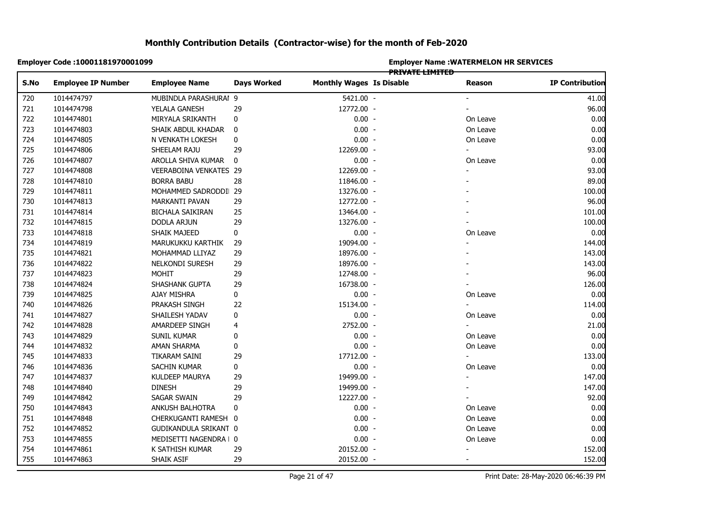|      | Employer Code: 10001181970001099 |                         |                    | <b>Employer Name: WATERMELON HR SERVICES</b><br>PRIVATE LIMITED |  |                |                        |  |  |
|------|----------------------------------|-------------------------|--------------------|-----------------------------------------------------------------|--|----------------|------------------------|--|--|
| S.No | <b>Employee IP Number</b>        | <b>Employee Name</b>    | <b>Days Worked</b> | <b>Monthly Wages Is Disable</b>                                 |  | Reason         | <b>IP Contribution</b> |  |  |
| 720  | 1014474797                       | MUBINDLA PARASHURAI 9   |                    | 5421.00 -                                                       |  |                | 41.00                  |  |  |
| 721  | 1014474798                       | YELALA GANESH           | 29                 | 12772.00 -                                                      |  |                | 96.00                  |  |  |
| 722  | 1014474801                       | MIRYALA SRIKANTH        | 0                  | $0.00 -$                                                        |  | On Leave       | 0.00                   |  |  |
| 723  | 1014474803                       | SHAIK ABDUL KHADAR      | 0                  | $0.00 -$                                                        |  | On Leave       | 0.00                   |  |  |
| 724  | 1014474805                       | N VENKATH LOKESH        | 0                  | $0.00 -$                                                        |  | On Leave       | 0.00                   |  |  |
| 725  | 1014474806                       | SHEELAM RAJU            | 29                 | 12269.00 -                                                      |  |                | 93.00                  |  |  |
|      | 1014474807                       | AROLLA SHIVA KUMAR      | $\mathbf 0$        | $0.00 -$                                                        |  | On Leave       | 0.00                   |  |  |
|      | 1014474808                       | VEERABOINA VENKATES 29  |                    | 12269.00 -                                                      |  |                | 93.00                  |  |  |
|      | 1014474810                       | <b>BORRA BABU</b>       | 28                 | 11846.00 -                                                      |  |                | 89.00                  |  |  |
|      | 1014474811                       | MOHAMMED SADRODDI 29    |                    | 13276.00 -                                                      |  |                | 100.00                 |  |  |
|      | 1014474813                       | MARKANTI PAVAN          | 29                 | 12772.00 -                                                      |  |                | 96.00                  |  |  |
|      | 1014474814                       | <b>BICHALA SAIKIRAN</b> | 25                 | 13464.00 -                                                      |  |                | 101.00                 |  |  |
|      | 1014474815                       | DODLA ARJUN             | 29                 | 13276.00 -                                                      |  |                | 100.00                 |  |  |
|      | 1014474818                       | <b>SHAIK MAJEED</b>     | 0                  | $0.00 -$                                                        |  | On Leave       | 0.00                   |  |  |
|      | 1014474819                       | MARUKUKKU KARTHIK       | 29                 | 19094.00 -                                                      |  |                | 144.00                 |  |  |
|      | 1014474821                       | MOHAMMAD LLIYAZ         | 29                 | 18976.00 -                                                      |  |                | 143.00                 |  |  |
|      | 1014474822                       | NELKONDI SURESH         | 29                 | 18976.00 -                                                      |  |                | 143.00                 |  |  |
|      | 1014474823                       | <b>MOHIT</b>            | 29                 | 12748.00 -                                                      |  |                | 96.00                  |  |  |
|      | 1014474824                       | SHASHANK GUPTA          | 29                 | 16738.00 -                                                      |  |                | 126.00                 |  |  |
|      | 1014474825                       | AJAY MISHRA             | 0                  | $0.00 -$                                                        |  | On Leave       | 0.00                   |  |  |
|      | 1014474826                       | PRAKASH SINGH           | 22                 | 15134.00 -                                                      |  |                | 114.00                 |  |  |
|      | 1014474827                       | SHAILESH YADAV          | 0                  | $0.00 -$                                                        |  | On Leave       | 0.00                   |  |  |
|      | 1014474828                       | AMARDEEP SINGH          | 4                  | 2752.00 -                                                       |  |                | 21.00                  |  |  |
|      | 1014474829                       | SUNIL KUMAR             | 0                  | $0.00 -$                                                        |  | On Leave       | 0.00                   |  |  |
|      | 1014474832                       | AMAN SHARMA             | 0                  | $0.00 -$                                                        |  | On Leave       | 0.00                   |  |  |
|      | 1014474833                       | TIKARAM SAINI           | 29                 | 17712.00 -                                                      |  |                | 133.00                 |  |  |
|      | 1014474836                       | SACHIN KUMAR            | 0                  | $0.00 -$                                                        |  | On Leave       | 0.00                   |  |  |
|      | 1014474837                       | KULDEEP MAURYA          | 29                 | 19499.00 -                                                      |  |                | 147.00                 |  |  |
|      | 1014474840                       | <b>DINESH</b>           | 29                 | 19499.00 -                                                      |  |                | 147.00                 |  |  |
|      | 1014474842                       | <b>SAGAR SWAIN</b>      | 29                 | 12227.00 -                                                      |  |                | 92.00                  |  |  |
|      | 1014474843                       | ANKUSH BALHOTRA         | 0                  | $0.00 -$                                                        |  | On Leave       | 0.00                   |  |  |
|      | 1014474848                       | CHERKUGANTI RAMESH 0    |                    | $0.00 -$                                                        |  | On Leave       | 0.00                   |  |  |
|      | 1014474852                       | GUDIKANDULA SRIKANT 0   |                    | $0.00 -$                                                        |  | On Leave       | 0.00                   |  |  |
|      | 1014474855                       | MEDISETTI NAGENDRA   0  |                    | $0.00 -$                                                        |  | On Leave       | 0.00                   |  |  |
|      | 1014474861                       | K SATHISH KUMAR         | 29                 | 20152.00 -                                                      |  |                | 152.00                 |  |  |
|      | 1014474863                       | SHAIK ASIF              | 29                 | 20152.00 -                                                      |  | $\blacksquare$ | 152.00                 |  |  |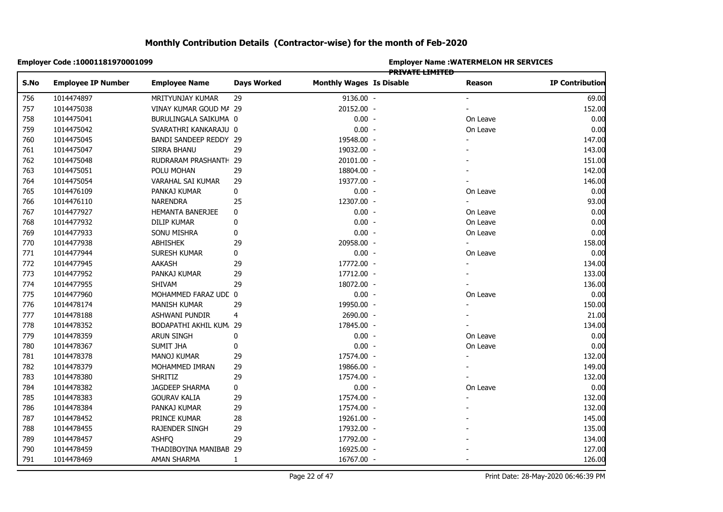|            | Employer Code: 10001181970001099 |                         |                    | <b>Employer Name: WATERMELON HR SERVICES</b> |                 |                |                        |  |  |
|------------|----------------------------------|-------------------------|--------------------|----------------------------------------------|-----------------|----------------|------------------------|--|--|
| S.No       | <b>Employee IP Number</b>        | <b>Employee Name</b>    | <b>Days Worked</b> | <b>Monthly Wages Is Disable</b>              | PRIVATE LIMITED | Reason         | <b>IP Contribution</b> |  |  |
|            |                                  |                         |                    |                                              |                 |                |                        |  |  |
| 756        | 1014474897                       | MRITYUNJAY KUMAR        | 29                 | 9136.00 -                                    |                 |                | 69.00                  |  |  |
| 757<br>758 | 1014475038                       | VINAY KUMAR GOUD MA 29  |                    | 20152.00 -                                   |                 |                | 152.00                 |  |  |
|            | 1014475041                       | BURULINGALA SAIKUMA 0   |                    | $0.00 -$                                     |                 | On Leave       | 0.00                   |  |  |
| 759        | 1014475042                       | SVARATHRI KANKARAJU 0   |                    | $0.00 -$                                     |                 | On Leave       | 0.00                   |  |  |
| 760        | 1014475045                       | BANDI SANDEEP REDDY 29  |                    | 19548.00 -                                   |                 |                | 147.00                 |  |  |
| 761<br>762 | 1014475047                       | SIRRA BHANU             | 29                 | 19032.00 -                                   |                 |                | 143.00                 |  |  |
|            | 1014475048                       | RUDRARAM PRASHANTH 29   |                    | 20101.00 -                                   |                 |                | 151.00                 |  |  |
|            | 1014475051                       | POLU MOHAN              | 29                 | 18804.00 -                                   |                 |                | 142.00                 |  |  |
| 764        | 1014475054                       | VARAHAL SAI KUMAR       | 29                 | 19377.00 -                                   |                 |                | 146.00                 |  |  |
| 765        | 1014476109                       | PANKAJ KUMAR            | 0                  | $0.00 -$                                     |                 | On Leave       | 0.00                   |  |  |
| 766        | 1014476110                       | <b>NARENDRA</b>         | 25                 | 12307.00 -                                   |                 | $\blacksquare$ | 93.00                  |  |  |
| 767        | 1014477927                       | HEMANTA BANERJEE        | 0                  | $0.00 -$                                     |                 | On Leave       | 0.00                   |  |  |
| 768        | 1014477932                       | DILIP KUMAR             | 0                  | $0.00 -$                                     |                 | On Leave       | 0.00                   |  |  |
|            | 1014477933                       | SONU MISHRA             | 0                  | $0.00 -$                                     |                 | On Leave       | 0.00                   |  |  |
|            | 1014477938                       | ABHISHEK                | 29                 | 20958.00 -                                   |                 |                | 158.00                 |  |  |
|            | 1014477944                       | SURESH KUMAR            | 0                  | $0.00 -$                                     |                 | On Leave       | 0.00                   |  |  |
|            | 1014477945                       | AAKASH                  | 29                 | 17772.00 -                                   |                 |                | 134.00                 |  |  |
|            | 1014477952                       | PANKAJ KUMAR            | 29                 | 17712.00 -                                   |                 |                | 133.00                 |  |  |
|            | 1014477955                       | SHIVAM                  | 29                 | 18072.00 -                                   |                 |                | 136.00                 |  |  |
|            | 1014477960                       | MOHAMMED FARAZ UDC 0    |                    | $0.00 -$                                     |                 | On Leave       | 0.00                   |  |  |
|            | 1014478174                       | <b>MANISH KUMAR</b>     | 29                 | 19950.00 -                                   |                 |                | 150.00                 |  |  |
|            | 1014478188                       | ASHWANI PUNDIR          | 4                  | 2690.00 -                                    |                 |                | 21.00                  |  |  |
|            | 1014478352                       | BODAPATHI AKHIL KUM, 29 |                    | 17845.00 -                                   |                 |                | 134.00                 |  |  |
|            | 1014478359                       | <b>ARUN SINGH</b>       | 0                  | $0.00 -$                                     |                 | On Leave       | 0.00                   |  |  |
|            | 1014478367                       | <b>SUMIT JHA</b>        | 0                  | $0.00 -$                                     |                 | On Leave       | 0.00                   |  |  |
|            | 1014478378                       | <b>MANOJ KUMAR</b>      | 29                 | 17574.00 -                                   |                 |                | 132.00                 |  |  |
|            | 1014478379                       | MOHAMMED IMRAN          | 29                 | 19866.00 -                                   |                 |                | 149.00                 |  |  |
|            | 1014478380                       | <b>SHRITIZ</b>          | 29                 | 17574.00 -                                   |                 |                | 132.00                 |  |  |
|            | 1014478382                       | JAGDEEP SHARMA          | 0                  | $0.00 -$                                     |                 | On Leave       | 0.00                   |  |  |
|            | 1014478383                       | <b>GOURAV KALIA</b>     | 29                 | 17574.00 -                                   |                 |                | 132.00                 |  |  |
|            | 1014478384                       | PANKAJ KUMAR            | 29                 | 17574.00 -                                   |                 |                | 132.00                 |  |  |
|            | 1014478452                       | PRINCE KUMAR            | 28                 | 19261.00 -                                   |                 |                | 145.00                 |  |  |
|            | 1014478455                       | RAJENDER SINGH          | 29                 | 17932.00 -                                   |                 |                | 135.00                 |  |  |
| 788        | 1014478457                       | <b>ASHFQ</b>            | 29                 | 17792.00 -                                   |                 |                | 134.00                 |  |  |
| 789<br>790 | 1014478459                       | THADIBOYINA MANIBAB 29  |                    | 16925.00 -                                   |                 |                | 127.00                 |  |  |
| 791        | 1014478469                       | <b>AMAN SHARMA</b>      | $\mathbf{1}$       | 16767.00 -                                   |                 |                | 126.00                 |  |  |
|            |                                  |                         |                    |                                              |                 |                |                        |  |  |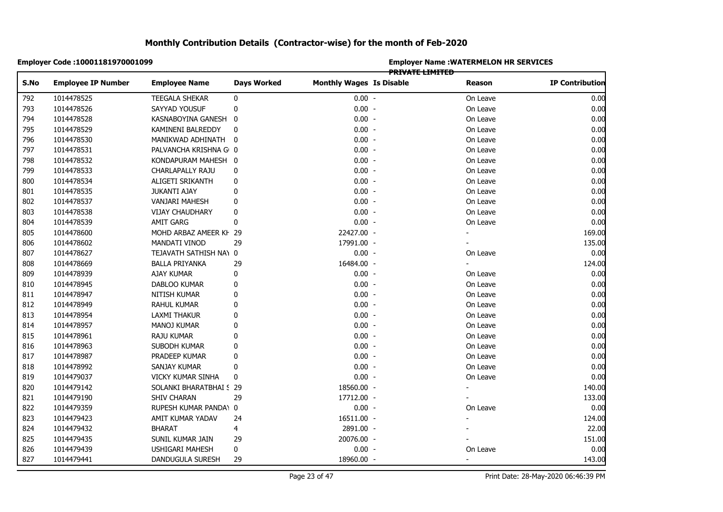|      | Employer Code: 10001181970001099 |                         |                    |                                 |                        | <b>Employer Name : WATERMELON HR SERVICES</b> |                        |
|------|----------------------------------|-------------------------|--------------------|---------------------------------|------------------------|-----------------------------------------------|------------------------|
| S.No | <b>Employee IP Number</b>        | <b>Employee Name</b>    | <b>Days Worked</b> | <b>Monthly Wages Is Disable</b> | <b>PRIVATE LIMITED</b> | <b>Reason</b>                                 | <b>IP Contribution</b> |
| 792  | 1014478525                       | <b>TEEGALA SHEKAR</b>   | 0                  | $0.00 -$                        |                        | On Leave                                      | 0.00                   |
| 793  | 1014478526                       | SAYYAD YOUSUF           | 0                  | $0.00 -$                        |                        | On Leave                                      | 0.00                   |
| 794  | 1014478528                       | KASNABOYINA GANESH      | $\mathbf 0$        | $0.00 -$                        |                        | On Leave                                      | 0.00                   |
| 795  | 1014478529                       | KAMINENI BALREDDY       | 0                  | $0.00 -$                        |                        | On Leave                                      | 0.00                   |
| 796  | 1014478530                       | MANIKWAD ADHINATH       | 0                  | $0.00 -$                        |                        | On Leave                                      | 0.00                   |
| 797  | 1014478531                       | PALVANCHA KRISHNA G 0   |                    | $0.00 -$                        |                        | On Leave                                      | 0.00                   |
| 798  | 1014478532                       | KONDAPURAM MAHESH 0     |                    | $0.00 -$                        |                        | On Leave                                      | 0.00                   |
| 799  | 1014478533                       | CHARLAPALLY RAJU        | 0                  | $0.00 -$                        |                        | On Leave                                      | 0.00                   |
| 800  | 1014478534                       | ALIGETI SRIKANTH        | 0                  | $0.00 -$                        |                        | On Leave                                      | 0.00                   |
| 801  | 1014478535                       | <b>JUKANTI AJAY</b>     | 0                  | $0.00 -$                        |                        | On Leave                                      | 0.00                   |
| 802  | 1014478537                       | <b>VANJARI MAHESH</b>   | 0                  | $0.00 -$                        |                        | On Leave                                      | 0.00                   |
| 803  | 1014478538                       | VIJAY CHAUDHARY         | 0                  | $0.00 -$                        |                        | On Leave                                      | 0.00                   |
| 804  | 1014478539                       | AMIT GARG               | 0                  | $0.00 -$                        |                        | On Leave                                      | 0.00                   |
| 805  | 1014478600                       | MOHD ARBAZ AMEER KH 29  |                    | 22427.00 -                      |                        |                                               | 169.00                 |
| 806  | 1014478602                       | MANDATI VINOD           | 29                 | 17991.00 -                      |                        |                                               | 135.00                 |
| 807  | 1014478627                       | TEJAVATH SATHISH NA\ 0  |                    | $0.00 -$                        |                        | On Leave                                      | 0.00                   |
| 808  | 1014478669                       | <b>BALLA PRIYANKA</b>   | 29                 | 16484.00 -                      |                        |                                               | 124.00                 |
| 809  | 1014478939                       | AJAY KUMAR              | 0                  | $0.00 -$                        |                        | On Leave                                      | 0.00                   |
| 810  | 1014478945                       | DABLOO KUMAR            | 0                  | $0.00 -$                        |                        | On Leave                                      | 0.00                   |
| 811  | 1014478947                       | NITISH KUMAR            | 0                  | $0.00 -$                        |                        | On Leave                                      | 0.00                   |
| 812  | 1014478949                       | RAHUL KUMAR             | 0                  | $0.00 -$                        |                        | On Leave                                      | 0.00                   |
| 813  | 1014478954                       | LAXMI THAKUR            | 0                  | $0.00 -$                        |                        | On Leave                                      | 0.00                   |
| 814  | 1014478957                       | MANOJ KUMAR             | 0                  | $0.00 -$                        |                        | On Leave                                      | 0.00                   |
| 815  | 1014478961                       | RAJU KUMAR              | 0                  | $0.00 -$                        |                        | On Leave                                      | 0.00                   |
| 816  | 1014478963                       | SUBODH KUMAR            | 0                  | $0.00 -$                        |                        | On Leave                                      | 0.00                   |
| 817  | 1014478987                       | PRADEEP KUMAR           | 0                  | $0.00 -$                        |                        | On Leave                                      | 0.00                   |
| 818  | 1014478992                       | SANJAY KUMAR            | 0                  | $0.00 -$                        |                        | On Leave                                      | 0.00                   |
| 819  | 1014479037                       | VICKY KUMAR SINHA       | 0                  | $0.00 -$                        |                        | On Leave                                      | 0.00                   |
| 820  | 1014479142                       | SOLANKI BHARATBHAI S 29 |                    | 18560.00 -                      |                        |                                               | 140.00                 |
| 821  | 1014479190                       | <b>SHIV CHARAN</b>      | 29                 | 17712.00 -                      |                        |                                               | 133.00                 |
| 822  | 1014479359                       | RUPESH KUMAR PANDA\ 0   |                    | $0.00 -$                        |                        | On Leave                                      | 0.00                   |
| 823  | 1014479423                       | AMIT KUMAR YADAV        | 24                 | 16511.00 -                      |                        |                                               | 124.00                 |
| 824  | 1014479432                       | <b>BHARAT</b>           | 4                  | 2891.00 -                       |                        |                                               | 22.00                  |
| 825  | 1014479435                       | SUNIL KUMAR JAIN        | 29                 | 20076.00 -                      |                        |                                               | 151.00                 |
| 826  | 1014479439                       | <b>USHIGARI MAHESH</b>  | 0                  | $0.00 -$                        |                        | On Leave                                      | 0.00                   |
| 827  | 1014479441                       | DANDUGULA SURESH        | 29                 | 18960.00 -                      |                        | $\blacksquare$                                | 143.00                 |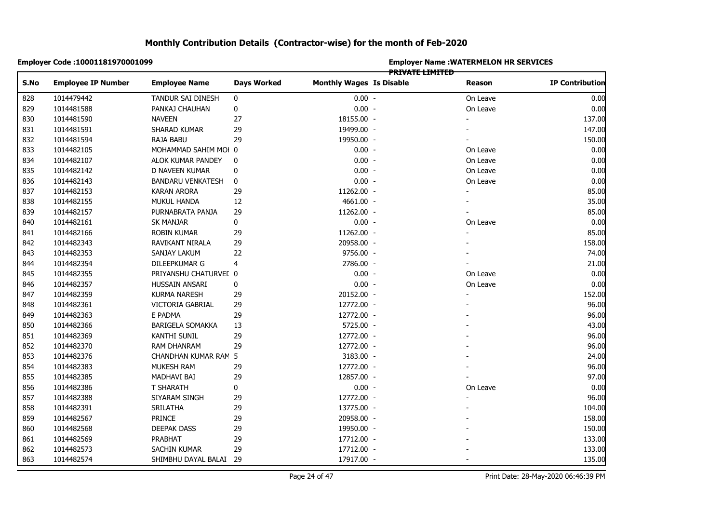|            | Employer Code: 10001181970001099 |                          |                    |                                 |                 | <b>Employer Name: WATERMELON HR SERVICES</b> |                        |
|------------|----------------------------------|--------------------------|--------------------|---------------------------------|-----------------|----------------------------------------------|------------------------|
| S.No       | <b>Employee IP Number</b>        | <b>Employee Name</b>     | <b>Days Worked</b> | <b>Monthly Wages Is Disable</b> | PRIVATE LIMITED | Reason                                       | <b>IP Contribution</b> |
| 828        | 1014479442                       | TANDUR SAI DINESH        | 0                  | $0.00 -$                        |                 | On Leave                                     | 0.00                   |
| 829        | 1014481588                       | PANKAJ CHAUHAN           | $\mathbf 0$        | $0.00 -$                        |                 | On Leave                                     | 0.00                   |
| 830        | 1014481590                       | <b>NAVEEN</b>            | 27                 | 18155.00 -                      |                 |                                              | 137.00                 |
| 831        | 1014481591                       | SHARAD KUMAR             | 29                 | 19499.00 -                      |                 |                                              | 147.00                 |
| 832        | 1014481594                       | RAJA BABU                | 29                 | 19950.00 -                      |                 |                                              | 150.00                 |
| 833        | 1014482105                       | MOHAMMAD SAHIM MOI 0     |                    | $0.00 -$                        |                 | On Leave                                     | 0.00                   |
| 834        | 1014482107                       | ALOK KUMAR PANDEY        | 0                  | $0.00 -$                        |                 | On Leave                                     | 0.00                   |
| 835        | 1014482142                       | D NAVEEN KUMAR           | 0                  | $0.00 -$                        |                 | On Leave                                     | 0.00                   |
| 836        | 1014482143                       | <b>BANDARU VENKATESH</b> | 0                  | $0.00 -$                        |                 | On Leave                                     | 0.00                   |
| 837        | 1014482153                       | <b>KARAN ARORA</b>       | 29                 | 11262.00 -                      |                 |                                              | 85.00                  |
| 838        | 1014482155                       | MUKUL HANDA              | 12                 | 4661.00 -                       |                 |                                              | 35.00                  |
| 839        | 1014482157                       | PURNABRATA PANJA         | 29                 | 11262.00 -                      |                 |                                              | 85.00                  |
| 840        | 1014482161                       | <b>SK MANJAR</b>         | 0                  | $0.00 -$                        |                 | On Leave                                     | 0.00                   |
| 841        | 1014482166                       | ROBIN KUMAR              | 29                 | 11262.00 -                      |                 |                                              | 85.00                  |
|            | 1014482343                       | RAVIKANT NIRALA          | 29                 | 20958.00 -                      |                 |                                              | 158.00                 |
|            | 1014482353                       | SANJAY LAKUM             | 22                 | 9756.00 -                       |                 |                                              | 74.00                  |
|            | 1014482354                       | DILEEPKUMAR G            | 4                  | 2786.00 -                       |                 |                                              | 21.00                  |
|            | 1014482355                       | PRIYANSHU CHATURVEL 0    |                    | $0.00 -$                        |                 | On Leave                                     | 0.00                   |
|            | 1014482357                       | HUSSAIN ANSARI           | 0                  | $0.00 -$                        |                 | On Leave                                     | 0.00                   |
|            | 1014482359                       | <b>KURMA NARESH</b>      | 29                 | 20152.00 -                      |                 |                                              | 152.00                 |
|            | 1014482361                       | VICTORIA GABRIAL         | 29                 | 12772.00 -                      |                 |                                              | 96.00                  |
|            | 1014482363                       | E PADMA                  | 29                 | 12772.00 -                      |                 |                                              | 96.00                  |
|            | 1014482366                       | <b>BARIGELA SOMAKKA</b>  | 13                 | 5725.00 -                       |                 |                                              | 43.00                  |
|            | 1014482369                       | <b>KANTHI SUNIL</b>      | 29                 | 12772.00 -                      |                 |                                              | 96.00                  |
|            | 1014482370                       | RAM DHANRAM              | 29                 | 12772.00 -                      |                 |                                              | 96.00                  |
|            | 1014482376                       | CHANDHAN KUMAR RAM 5     |                    | 3183.00 -                       |                 |                                              | 24.00                  |
|            | 1014482383                       | MUKESH RAM               | 29                 | 12772.00 -                      |                 |                                              | 96.00                  |
| 854<br>855 | 1014482385                       | MADHAVI BAI              | 29                 | 12857.00 -                      |                 |                                              | 97.00                  |
|            | 1014482386                       | T SHARATH                | 0                  | $0.00 -$                        |                 | On Leave                                     | 0.00                   |
|            | 1014482388                       | SIYARAM SINGH            | 29                 | 12772.00 -                      |                 |                                              | 96.00                  |
|            | 1014482391                       | SRILATHA                 | 29                 | 13775.00 -                      |                 |                                              | 104.00                 |
| 858        | 1014482567                       | <b>PRINCE</b>            | 29                 | 20958.00 -                      |                 |                                              | 158.00                 |
| 859<br>860 | 1014482568                       | DEEPAK DASS              | 29                 | 19950.00 -                      |                 |                                              | 150.00                 |
| 861        | 1014482569                       | PRABHAT                  | 29                 | 17712.00 -                      |                 |                                              | 133.00                 |
| 862        | 1014482573                       | SACHIN KUMAR             | 29                 | 17712.00 -                      |                 |                                              | 133.00                 |
| 863        | 1014482574                       | SHIMBHU DAYAL BALAI 29   |                    | 17917.00 -                      |                 |                                              | 135.00                 |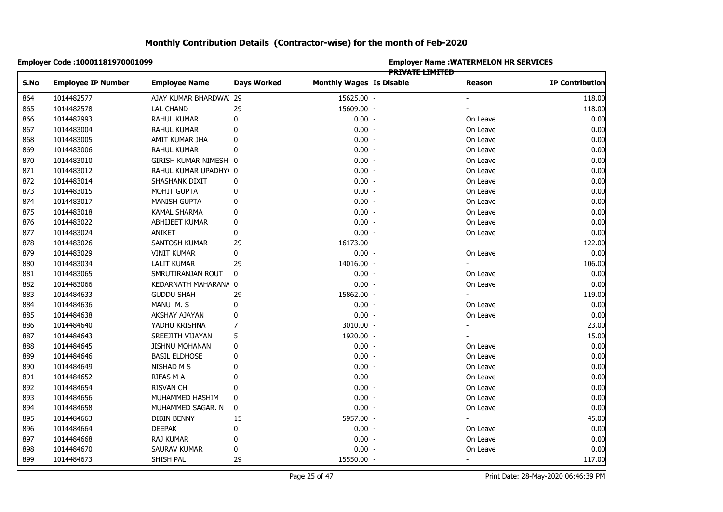|            | Employer Code: 10001181970001099 |                       |                    | <b>Employer Name: WATERMELON HR SERVICES</b><br>PRIVATE LIMITED |  |                          |                        |  |  |
|------------|----------------------------------|-----------------------|--------------------|-----------------------------------------------------------------|--|--------------------------|------------------------|--|--|
| S.No       | <b>Employee IP Number</b>        | <b>Employee Name</b>  | <b>Days Worked</b> | <b>Monthly Wages Is Disable</b>                                 |  | Reason                   | <b>IP Contribution</b> |  |  |
| 864        | 1014482577                       | AJAY KUMAR BHARDWA 29 |                    | 15625.00 -                                                      |  |                          | 118.00                 |  |  |
| 865        | 1014482578                       | <b>LAL CHAND</b>      | 29                 | 15609.00 -                                                      |  |                          | 118.00                 |  |  |
| 866        | 1014482993                       | RAHUL KUMAR           | 0                  | $0.00 -$                                                        |  | On Leave                 | 0.00                   |  |  |
| 867        | 1014483004                       | RAHUL KUMAR           | 0                  | $0.00 -$                                                        |  | On Leave                 | 0.00                   |  |  |
| 868        | 1014483005                       | AMIT KUMAR JHA        | 0                  | $0.00 -$                                                        |  | On Leave                 | 0.00                   |  |  |
| 869        | 1014483006                       | RAHUL KUMAR           | 0                  | $0.00 -$                                                        |  | On Leave                 | 0.00                   |  |  |
| 870        | 1014483010                       | GIRISH KUMAR NIMESH 0 |                    | $0.00 -$                                                        |  | On Leave                 | 0.00                   |  |  |
|            | 1014483012                       | RAHUL KUMAR UPADHY/ 0 |                    | $0.00 -$                                                        |  | On Leave                 | 0.00                   |  |  |
|            | 1014483014                       | SHASHANK DIXIT        | 0                  | $0.00 -$                                                        |  | On Leave                 | 0.00                   |  |  |
| 872<br>873 | 1014483015                       | MOHIT GUPTA           | 0                  | $0.00 -$                                                        |  | On Leave                 | 0.00                   |  |  |
| 874        | 1014483017                       | <b>MANISH GUPTA</b>   | 0                  | $0.00 -$                                                        |  | On Leave                 | 0.00                   |  |  |
| 875        | 1014483018                       | KAMAL SHARMA          | 0                  | $0.00 -$                                                        |  | On Leave                 | 0.00                   |  |  |
| 876        | 1014483022                       | ABHIJEET KUMAR        | 0                  | $0.00 -$                                                        |  | On Leave                 | 0.00                   |  |  |
|            | 1014483024                       | ANIKET                | 0                  | $0.00 -$                                                        |  | On Leave                 | 0.00                   |  |  |
|            | 1014483026                       | SANTOSH KUMAR         | 29                 | 16173.00 -                                                      |  |                          | 122.00                 |  |  |
|            | 1014483029                       | <b>VINIT KUMAR</b>    | 0                  | $0.00 -$                                                        |  | On Leave                 | 0.00                   |  |  |
|            | 1014483034                       | <b>LALIT KUMAR</b>    | 29                 | 14016.00 -                                                      |  | $\overline{\phantom{0}}$ | 106.00                 |  |  |
|            | 1014483065                       | SMRUTIRANJAN ROUT     | 0                  | $0.00 -$                                                        |  | On Leave                 | 0.00                   |  |  |
|            | 1014483066                       | KEDARNATH MAHARANA 0  |                    | $0.00 -$                                                        |  | On Leave                 | 0.00                   |  |  |
|            | 1014484633                       | <b>GUDDU SHAH</b>     | 29                 | 15862.00 -                                                      |  |                          | 119.00                 |  |  |
|            | 1014484636                       | MANU .M. S            | 0                  | $0.00 -$                                                        |  | On Leave                 | 0.00                   |  |  |
|            | 1014484638                       | AKSHAY AJAYAN         | 0                  | $0.00 -$                                                        |  | On Leave                 | 0.00                   |  |  |
|            | 1014484640                       | YADHU KRISHNA         | 7                  | 3010.00 -                                                       |  |                          | 23.00                  |  |  |
|            | 1014484643                       | SREEJITH VIJAYAN      | 5                  | 1920.00 -                                                       |  |                          | 15.00                  |  |  |
|            | 1014484645                       | <b>JISHNU MOHANAN</b> | 0                  | $0.00 -$                                                        |  | On Leave                 | 0.00                   |  |  |
|            | 1014484646                       | <b>BASIL ELDHOSE</b>  | 0                  | $0.00 -$                                                        |  | On Leave                 | 0.00                   |  |  |
|            | 1014484649                       | NISHAD M S            | $\mathbf{0}$       | $0.00 -$                                                        |  | On Leave                 | 0.00                   |  |  |
|            | 1014484652                       | RIFAS M A             | 0                  | $0.00 -$                                                        |  | On Leave                 | 0.00                   |  |  |
|            | 1014484654                       | <b>RISVAN CH</b>      | 0                  | $0.00 -$                                                        |  | On Leave                 | 0.00                   |  |  |
|            | 1014484656                       | MUHAMMED HASHIM       | 0                  | $0.00 -$                                                        |  | On Leave                 | 0.00                   |  |  |
|            | 1014484658                       | MUHAMMED SAGAR. N     | 0                  | $0.00 -$                                                        |  | On Leave                 | 0.00                   |  |  |
|            | 1014484663                       | DIBIN BENNY           | 15                 | 5957.00 -                                                       |  |                          | 45.00                  |  |  |
|            | 1014484664                       | <b>DEEPAK</b>         | 0                  | $0.00 -$                                                        |  | On Leave                 | 0.00                   |  |  |
| 897        | 1014484668                       | <b>RAJ KUMAR</b>      | 0                  | $0.00 -$                                                        |  | On Leave                 | 0.00                   |  |  |
| 898        | 1014484670                       | SAURAV KUMAR          | 0                  | $0.00 -$                                                        |  | On Leave                 | 0.00                   |  |  |
| 899        | 1014484673                       | SHISH PAL             | 29                 | 15550.00 -                                                      |  | $\blacksquare$           | 117.00                 |  |  |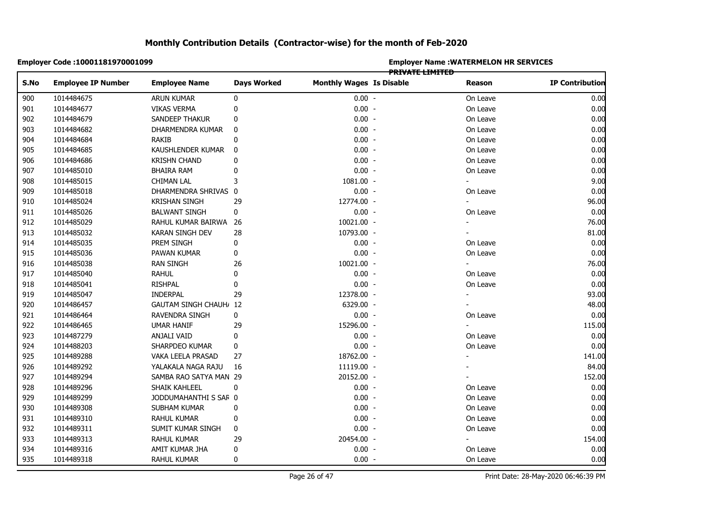|      | Employer Code: 10001181970001099 |                                |                    | <b>Employer Name: WATERMELON HR SERVICES</b> |                        |                          |                        |  |  |
|------|----------------------------------|--------------------------------|--------------------|----------------------------------------------|------------------------|--------------------------|------------------------|--|--|
| S.No | <b>Employee IP Number</b>        | <b>Employee Name</b>           | <b>Days Worked</b> | <b>Monthly Wages Is Disable</b>              | <b>PRIVATE LIMITED</b> | Reason                   | <b>IP Contribution</b> |  |  |
|      |                                  |                                |                    |                                              |                        |                          |                        |  |  |
| 900  | 1014484675                       | ARUN KUMAR                     | 0                  | $0.00 -$                                     |                        | On Leave                 | 0.00                   |  |  |
| 901  | 1014484677                       | <b>VIKAS VERMA</b>             | 0                  | $0.00 -$                                     |                        | On Leave                 | 0.00                   |  |  |
| 902  | 1014484679                       | SANDEEP THAKUR                 | 0                  | $0.00 -$                                     |                        | On Leave                 | 0.00                   |  |  |
| 903  | 1014484682                       | DHARMENDRA KUMAR               | 0                  | $0.00 -$                                     |                        | On Leave                 | 0.00                   |  |  |
| 904  | 1014484684                       | <b>RAKIB</b>                   | 0                  | $0.00 -$                                     |                        | On Leave                 | 0.00                   |  |  |
| 905  | 1014484685                       | KAUSHLENDER KUMAR              | 0                  | $0.00 -$                                     |                        | On Leave                 | 0.00                   |  |  |
| 906  | 1014484686                       | <b>KRISHN CHAND</b>            | 0                  | $0.00 -$                                     |                        | On Leave                 | 0.00                   |  |  |
| 907  | 1014485010                       | <b>BHAIRA RAM</b>              | 0                  | $0.00 -$                                     |                        | On Leave                 | 0.00                   |  |  |
| 908  | 1014485015                       | <b>CHIMAN LAL</b>              | 3                  | 1081.00 -                                    |                        | ÷.                       | 9.00                   |  |  |
| 909  | 1014485018                       | DHARMENDRA SHRIVAS 0           |                    | $0.00 -$                                     |                        | On Leave                 | 0.00                   |  |  |
| 910  | 1014485024                       | <b>KRISHAN SINGH</b>           | 29                 | 12774.00 -                                   |                        | $\overline{\phantom{0}}$ | 96.00                  |  |  |
| 911  | 1014485026                       | <b>BALWANT SINGH</b>           | 0                  | $0.00 -$                                     |                        | On Leave                 | 0.00                   |  |  |
| 912  | 1014485029                       | RAHUL KUMAR BAIRWA 26          |                    | 10021.00 -                                   |                        | $\overline{\phantom{0}}$ | 76.00                  |  |  |
| 913  | 1014485032                       | KARAN SINGH DEV                | 28                 | 10793.00 -                                   |                        |                          | 81.00                  |  |  |
| 914  | 1014485035                       | PREM SINGH                     | 0                  | $0.00 -$                                     |                        | On Leave                 | 0.00                   |  |  |
| 915  | 1014485036                       | PAWAN KUMAR                    | 0                  | $0.00 -$                                     |                        | On Leave                 | 0.00                   |  |  |
| 916  | 1014485038                       | <b>RAN SINGH</b>               | 26                 | 10021.00 -                                   |                        |                          | 76.00                  |  |  |
| 917  | 1014485040                       | <b>RAHUL</b>                   | 0                  | $0.00 -$                                     |                        | On Leave                 | 0.00                   |  |  |
| 918  | 1014485041                       | <b>RISHPAL</b>                 | 0                  | $0.00 -$                                     |                        | On Leave                 | 0.00                   |  |  |
| 919  | 1014485047                       | <b>INDERPAL</b>                | 29                 | 12378.00 -                                   |                        |                          | 93.00                  |  |  |
| 920  | 1014486457                       | <b>GAUTAM SINGH CHAUH</b> , 12 |                    | 6329.00 -                                    |                        |                          | 48.00                  |  |  |
| 921  | 1014486464                       | RAVENDRA SINGH                 | 0                  | $0.00 -$                                     |                        | On Leave                 | 0.00                   |  |  |
| 922  | 1014486465                       | <b>UMAR HANIF</b>              | 29                 | 15296.00 -                                   |                        |                          | 115.00                 |  |  |
| 923  | 1014487279                       | ANJALI VAID                    | 0                  | $0.00 -$                                     |                        | On Leave                 | 0.00                   |  |  |
| 924  | 1014488203                       | SHARPDEO KUMAR                 | 0                  | $0.00 -$                                     |                        | On Leave                 | 0.00                   |  |  |
| 925  | 1014489288                       | VAKA LEELA PRASAD              | 27                 | 18762.00 -                                   |                        |                          | 141.00                 |  |  |
| 926  | 1014489292                       | YALAKALA NAGA RAJU             | 16                 | 11119.00 -                                   |                        |                          | 84.00                  |  |  |
| 927  | 1014489294                       | SAMBA RAO SATYA MAN 29         |                    | 20152.00 -                                   |                        |                          | 152.00                 |  |  |
| 928  | 1014489296                       | SHAIK KAHLEEL                  | 0                  | $0.00 -$                                     |                        | On Leave                 | 0.00                   |  |  |
| 929  | 1014489299                       | JODDUMAHANTHI S SAR 0          |                    | $0.00 -$                                     |                        | On Leave                 | 0.00                   |  |  |
| 930  | 1014489308                       | SUBHAM KUMAR                   | 0                  | $0.00 -$                                     |                        | On Leave                 | 0.00                   |  |  |
| 931  | 1014489310                       | RAHUL KUMAR                    | 0                  | $0.00 -$                                     |                        | On Leave                 | 0.00                   |  |  |
| 932  | 1014489311                       | SUMIT KUMAR SINGH              | 0                  | $0.00 -$                                     |                        | On Leave                 | 0.00                   |  |  |
| 933  | 1014489313                       | RAHUL KUMAR                    | 29                 | 20454.00 -                                   |                        |                          | 154.00                 |  |  |
| 934  | 1014489316                       | AMIT KUMAR JHA                 | 0                  | $0.00 -$                                     |                        | On Leave                 | 0.00                   |  |  |
| 935  | 1014489318                       | <b>RAHUL KUMAR</b>             | $\mathbf 0$        | $0.00 -$                                     |                        | On Leave                 | 0.00                   |  |  |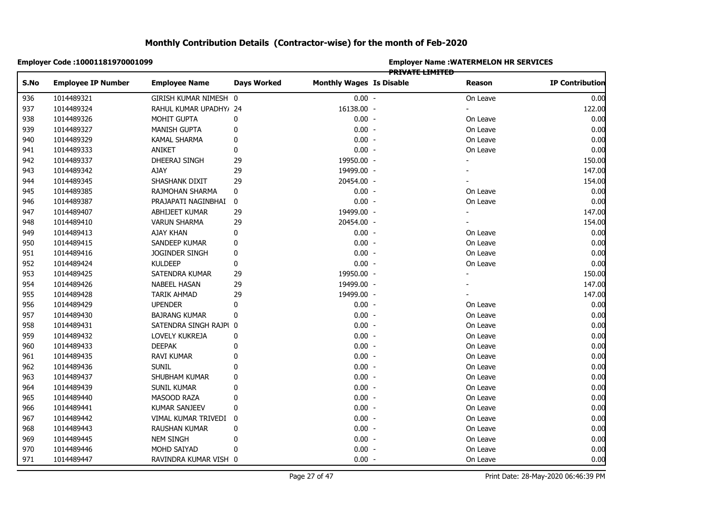|      | Employer Code: 10001181970001099 |                        |                    | <b>Employer Name: WATERMELON HR SERVICES</b><br>PRIVATE LIMITED |  |                          |                        |  |  |
|------|----------------------------------|------------------------|--------------------|-----------------------------------------------------------------|--|--------------------------|------------------------|--|--|
| S.No | <b>Employee IP Number</b>        | <b>Employee Name</b>   | <b>Days Worked</b> | <b>Monthly Wages Is Disable</b>                                 |  | Reason                   | <b>IP Contribution</b> |  |  |
| 936  | 1014489321                       | GIRISH KUMAR NIMESH 0  |                    | $0.00 -$                                                        |  | On Leave                 | 0.00                   |  |  |
| 937  | 1014489324                       | RAHUL KUMAR UPADHY/ 24 |                    | 16138.00 -                                                      |  | $\blacksquare$           | 122.00                 |  |  |
| 938  | 1014489326                       | MOHIT GUPTA            | 0                  | $0.00 -$                                                        |  | On Leave                 | 0.00                   |  |  |
| 939  | 1014489327                       | <b>MANISH GUPTA</b>    | 0                  | $0.00 -$                                                        |  | On Leave                 | 0.00                   |  |  |
| 940  | 1014489329                       | KAMAL SHARMA           | 0                  | $0.00 -$                                                        |  | On Leave                 | 0.00                   |  |  |
| 941  | 1014489333                       | ANIKET                 | 0                  | $0.00 -$                                                        |  | On Leave                 | 0.00                   |  |  |
| 942  | 1014489337                       | DHEERAJ SINGH          | 29                 | 19950.00 -                                                      |  |                          | 150.00                 |  |  |
| 943  | 1014489342                       | AJAY                   | 29                 | 19499.00 -                                                      |  |                          | 147.00                 |  |  |
| 944  | 1014489345                       | SHASHANK DIXIT         | 29                 | 20454.00 -                                                      |  |                          | 154.00                 |  |  |
| 945  | 1014489385                       | RAJMOHAN SHARMA        | 0                  | $0.00 -$                                                        |  | On Leave                 | 0.00                   |  |  |
| 946  | 1014489387                       | PRAJAPATI NAGINBHAI    | 0                  | $0.00 -$                                                        |  | On Leave                 | 0.00                   |  |  |
| 947  | 1014489407                       | ABHIJEET KUMAR         | 29                 | 19499.00 -                                                      |  | $\overline{\phantom{0}}$ | 147.00                 |  |  |
| 948  | 1014489410                       | <b>VARUN SHARMA</b>    | 29                 | 20454.00 -                                                      |  |                          | 154.00                 |  |  |
| 949  | 1014489413                       | AJAY KHAN              | 0                  | $0.00 -$                                                        |  | On Leave                 | 0.00                   |  |  |
| 950  | 1014489415                       | SANDEEP KUMAR          | 0                  | $0.00 -$                                                        |  | On Leave                 | 0.00                   |  |  |
| 951  | 1014489416                       | JOGINDER SINGH         | 0                  | $0.00 -$                                                        |  | On Leave                 | 0.00                   |  |  |
| 952  | 1014489424                       | <b>KULDEEP</b>         | 0                  | $0.00 -$                                                        |  | On Leave                 | 0.00                   |  |  |
| 953  | 1014489425                       | SATENDRA KUMAR         | 29                 | 19950.00 -                                                      |  |                          | 150.00                 |  |  |
| 954  | 1014489426                       | <b>NABEEL HASAN</b>    | 29                 | 19499.00 -                                                      |  |                          | 147.00                 |  |  |
| 955  | 1014489428                       | <b>TARIK AHMAD</b>     | 29                 | 19499.00 -                                                      |  |                          | 147.00                 |  |  |
| 956  | 1014489429                       | <b>UPENDER</b>         | 0                  | $0.00 -$                                                        |  | On Leave                 | 0.00                   |  |  |
| 957  | 1014489430                       | <b>BAJRANG KUMAR</b>   | 0                  | $0.00 -$                                                        |  | On Leave                 | 0.00                   |  |  |
| 958  | 1014489431                       | SATENDRA SINGH RAJPI 0 |                    | $0.00 -$                                                        |  | On Leave                 | 0.00                   |  |  |
| 959  | 1014489432                       | LOVELY KUKREJA         | 0                  | $0.00 -$                                                        |  | On Leave                 | 0.00                   |  |  |
| 960  | 1014489433                       | <b>DEEPAK</b>          | 0                  | $0.00 -$                                                        |  | On Leave                 | 0.00                   |  |  |
| 961  | 1014489435                       | RAVI KUMAR             | $\mathbf{0}$       | $0.00 -$                                                        |  | On Leave                 | 0.00                   |  |  |
| 962  | 1014489436                       | <b>SUNIL</b>           | 0                  | $0.00 -$                                                        |  | On Leave                 | 0.00                   |  |  |
| 963  | 1014489437                       | SHUBHAM KUMAR          | $\mathbf{0}$       | $0.00 -$                                                        |  | On Leave                 | 0.00                   |  |  |
| 964  | 1014489439                       | SUNIL KUMAR            | $\mathbf{0}$       | $0.00 -$                                                        |  | On Leave                 | 0.00                   |  |  |
| 965  | 1014489440                       | MASOOD RAZA            | 0                  | $0.00 -$                                                        |  | On Leave                 | 0.00                   |  |  |
| 966  | 1014489441                       | <b>KUMAR SANJEEV</b>   | 0                  | $0.00 -$                                                        |  | On Leave                 | 0.00                   |  |  |
| 967  | 1014489442                       | VIMAL KUMAR TRIVEDI    | 0                  | $0.00 -$                                                        |  | On Leave                 | 0.00                   |  |  |
| 968  | 1014489443                       | RAUSHAN KUMAR          | 0                  | $0.00 -$                                                        |  | On Leave                 | 0.00                   |  |  |
| 969  | 1014489445                       | <b>NEM SINGH</b>       | 0                  | $0.00 -$                                                        |  | On Leave                 | 0.00                   |  |  |
| 970  | 1014489446                       | MOHD SAIYAD            | $\mathbf{0}$       | $0.00 -$                                                        |  | On Leave                 | 0.00                   |  |  |
| 971  | 1014489447                       | RAVINDRA KUMAR VISH 0  |                    | $0.00 -$                                                        |  | On Leave                 | 0.00                   |  |  |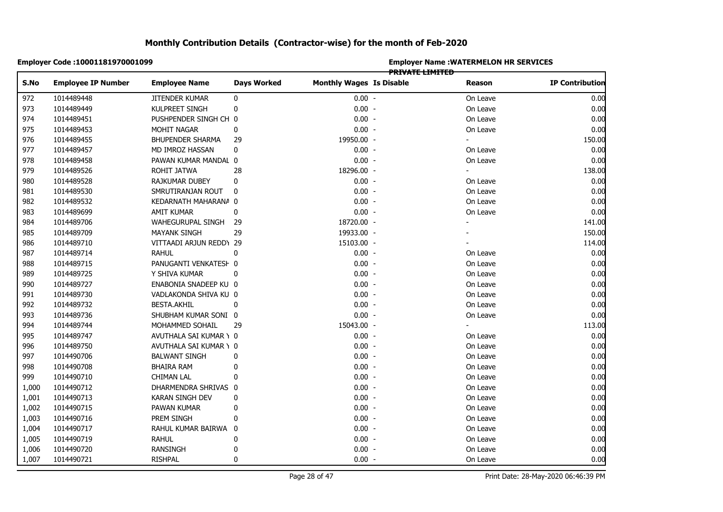|                | Employer Code: 10001181970001099 |                         |                    | <b>Employer Name: WATERMELON HR SERVICES</b><br>PRIVATE LIMITED |  |          |                        |  |  |
|----------------|----------------------------------|-------------------------|--------------------|-----------------------------------------------------------------|--|----------|------------------------|--|--|
| S.No           | <b>Employee IP Number</b>        | <b>Employee Name</b>    | <b>Days Worked</b> | <b>Monthly Wages Is Disable</b>                                 |  | Reason   | <b>IP Contribution</b> |  |  |
| 972            | 1014489448                       | JITENDER KUMAR          | 0                  | $0.00 -$                                                        |  | On Leave | 0.00                   |  |  |
| 973            | 1014489449                       | KULPREET SINGH          | 0                  | $0.00 -$                                                        |  | On Leave | 0.00                   |  |  |
| 974            | 1014489451                       | PUSHPENDER SINGH CH 0   |                    | $0.00 -$                                                        |  | On Leave | 0.00                   |  |  |
| 975            | 1014489453                       | MOHIT NAGAR             | 0                  | $0.00 -$                                                        |  | On Leave | 0.00                   |  |  |
| 976            | 1014489455                       | <b>BHUPENDER SHARMA</b> | 29                 | 19950.00 -                                                      |  |          | 150.00                 |  |  |
| 977            | 1014489457                       | MD IMROZ HASSAN         | 0                  | $0.00 -$                                                        |  | On Leave | 0.00                   |  |  |
|                | 1014489458                       | PAWAN KUMAR MANDAL 0    |                    | $0.00 -$                                                        |  | On Leave | 0.00                   |  |  |
| 978<br>979     | 1014489526                       | ROHIT JATWA             | 28                 | 18296.00 -                                                      |  | ÷.       | 138.00                 |  |  |
|                | 1014489528                       | RAJKUMAR DUBEY          | 0                  | $0.00 -$                                                        |  | On Leave | 0.00                   |  |  |
|                | 1014489530                       | SMRUTIRANJAN ROUT       | 0                  | $0.00 -$                                                        |  | On Leave | 0.00                   |  |  |
|                | 1014489532                       | KEDARNATH MAHARANA 0    |                    | $0.00 -$                                                        |  | On Leave | 0.00                   |  |  |
|                | 1014489699                       | AMIT KUMAR              | 0                  | $0.00 -$                                                        |  | On Leave | 0.00                   |  |  |
|                | 1014489706                       | WAHEGURUPAL SINGH       | 29                 | 18720.00 -                                                      |  |          | 141.00                 |  |  |
|                | 1014489709                       | MAYANK SINGH            | 29                 | 19933.00 -                                                      |  |          | 150.00                 |  |  |
|                | 1014489710                       | VITTAADI ARJUN REDD\ 29 |                    | 15103.00 -                                                      |  |          | 114.00                 |  |  |
|                | 1014489714                       | <b>RAHUL</b>            | 0                  | $0.00 -$                                                        |  | On Leave | 0.00                   |  |  |
|                | 1014489715                       | PANUGANTI VENKATESH 0   |                    | $0.00 -$                                                        |  | On Leave | 0.00                   |  |  |
|                | 1014489725                       | Y SHIVA KUMAR           | 0                  | $0.00 -$                                                        |  | On Leave | 0.00                   |  |  |
|                | 1014489727                       | ENABONIA SNADEEP KU 0   |                    | $0.00 -$                                                        |  | On Leave | 0.00                   |  |  |
|                | 1014489730                       | VADLAKONDA SHIVA KU 0   |                    | $0.00 -$                                                        |  | On Leave | 0.00                   |  |  |
|                | 1014489732                       | <b>BESTA.AKHIL</b>      | 0                  | $0.00 -$                                                        |  | On Leave | 0.00                   |  |  |
|                | 1014489736                       | SHUBHAM KUMAR SONI 0    |                    | $0.00 -$                                                        |  | On Leave | 0.00                   |  |  |
|                | 1014489744                       | MOHAMMED SOHAIL         | 29                 | 15043.00 -                                                      |  |          | 113.00                 |  |  |
|                | 1014489747                       | AVUTHALA SAI KUMAR \ 0  |                    | $0.00 -$                                                        |  | On Leave | 0.00                   |  |  |
|                | 1014489750                       | AVUTHALA SAI KUMAR \ 0  |                    | $0.00 -$                                                        |  | On Leave | 0.00                   |  |  |
|                | 1014490706                       | <b>BALWANT SINGH</b>    | 0                  | $0.00 -$                                                        |  | On Leave | 0.00                   |  |  |
|                | 1014490708                       | BHAIRA RAM              | 0                  | $0.00 -$                                                        |  | On Leave | 0.00                   |  |  |
|                | 1014490710                       | <b>CHIMAN LAL</b>       | 0                  | $0.00 -$                                                        |  | On Leave | 0.00                   |  |  |
|                | 1014490712                       | DHARMENDRA SHRIVAS 0    |                    | $0.00 -$                                                        |  | On Leave | 0.00                   |  |  |
|                | 1014490713                       | KARAN SINGH DEV         | 0                  | $0.00 -$                                                        |  | On Leave | 0.00                   |  |  |
|                | 1014490715                       | PAWAN KUMAR             | 0                  | $0.00 -$                                                        |  | On Leave | 0.00                   |  |  |
| 1,002          | 1014490716                       | PREM SINGH              | 0                  | $0.00 -$                                                        |  | On Leave | 0.00                   |  |  |
| 1,003<br>1,004 | 1014490717                       | RAHUL KUMAR BAIRWA 0    |                    | $0.00 -$                                                        |  | On Leave | 0.00                   |  |  |
| 1,005          | 1014490719                       | <b>RAHUL</b>            | 0                  | $0.00 -$                                                        |  | On Leave | 0.00                   |  |  |
| 1,006          | 1014490720                       | <b>RANSINGH</b>         | 0                  | $0.00 -$                                                        |  | On Leave | 0.00                   |  |  |
| 1,007          | 1014490721                       | <b>RISHPAL</b>          | $\mathbf{0}$       | $0.00 -$                                                        |  | On Leave | 0.00                   |  |  |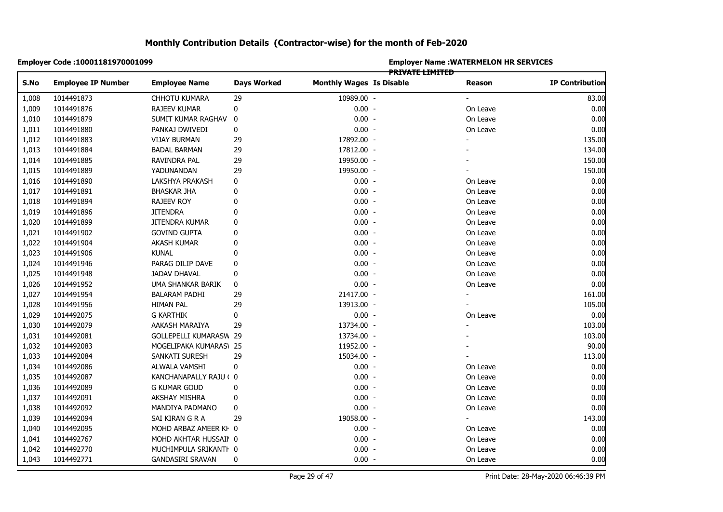|       | Employer Code: 10001181970001099 |                         |                    | <b>Employer Name: WATERMELON HR SERVICES</b><br>PRIVATE LIMITED |  |          |                        |  |  |  |
|-------|----------------------------------|-------------------------|--------------------|-----------------------------------------------------------------|--|----------|------------------------|--|--|--|
| S.No  | <b>Employee IP Number</b>        | <b>Employee Name</b>    | <b>Days Worked</b> | <b>Monthly Wages Is Disable</b>                                 |  | Reason   | <b>IP Contribution</b> |  |  |  |
| 1,008 | 1014491873                       | CHHOTU KUMARA           | 29                 | 10989.00 -                                                      |  |          | 83.00                  |  |  |  |
| 1,009 | 1014491876                       | RAJEEV KUMAR            | 0                  | $0.00 -$                                                        |  | On Leave | 0.00                   |  |  |  |
| 1,010 | 1014491879                       | SUMIT KUMAR RAGHAV      | 0                  | $0.00 -$                                                        |  | On Leave | 0.00                   |  |  |  |
| 1,011 | 1014491880                       | PANKAJ DWIVEDI          | 0                  | $0.00 -$                                                        |  | On Leave | 0.00                   |  |  |  |
| 1,012 | 1014491883                       | <b>VIJAY BURMAN</b>     | 29                 | 17892.00 -                                                      |  |          | 135.00                 |  |  |  |
| 1,013 | 1014491884                       | <b>BADAL BARMAN</b>     | 29                 | 17812.00 -                                                      |  |          | 134.00                 |  |  |  |
| 1,014 | 1014491885                       | RAVINDRA PAL            | 29                 | 19950.00 -                                                      |  |          | 150.00                 |  |  |  |
| 1,015 | 1014491889                       | YADUNANDAN              | 29                 | 19950.00 -                                                      |  |          | 150.00                 |  |  |  |
| 1,016 | 1014491890                       | LAKSHYA PRAKASH         | 0                  | $0.00 -$                                                        |  | On Leave | 0.00                   |  |  |  |
| 1,017 | 1014491891                       | BHASKAR JHA             | 0                  | $0.00 -$                                                        |  | On Leave | 0.00                   |  |  |  |
| 1,018 | 1014491894                       | RAJEEV ROY              | 0                  | $0.00 -$                                                        |  | On Leave | 0.00                   |  |  |  |
| 1,019 | 1014491896                       | <b>JITENDRA</b>         | 0                  | $0.00 -$                                                        |  | On Leave | 0.00                   |  |  |  |
| 1,020 | 1014491899                       | JITENDRA KUMAR          | 0                  | $0.00 -$                                                        |  | On Leave | 0.00                   |  |  |  |
| 1,021 | 1014491902                       | <b>GOVIND GUPTA</b>     | 0                  | $0.00 -$                                                        |  | On Leave | 0.00                   |  |  |  |
| 1,022 | 1014491904                       | AKASH KUMAR             | 0                  | $0.00 -$                                                        |  | On Leave | 0.00                   |  |  |  |
| 1,023 | 1014491906                       | <b>KUNAL</b>            | 0                  | $0.00 -$                                                        |  | On Leave | 0.00                   |  |  |  |
| 1,024 | 1014491946                       | PARAG DILIP DAVE        | 0                  | $0.00 -$                                                        |  | On Leave | 0.00                   |  |  |  |
| 1,025 | 1014491948                       | <b>JADAV DHAVAL</b>     | 0                  | $0.00 -$                                                        |  | On Leave | 0.00                   |  |  |  |
| 1,026 | 1014491952                       | UMA SHANKAR BARIK       | 0                  | $0.00 -$                                                        |  | On Leave | 0.00                   |  |  |  |
| 1,027 | 1014491954                       | BALARAM PADHI           | 29                 | 21417.00 -                                                      |  | ÷,       | 161.00                 |  |  |  |
| 1,028 | 1014491956                       | <b>HIMAN PAL</b>        | 29                 | 13913.00 -                                                      |  |          | 105.00                 |  |  |  |
| 1,029 | 1014492075                       | <b>G KARTHIK</b>        | 0                  | $0.00 -$                                                        |  | On Leave | 0.00                   |  |  |  |
| 1,030 | 1014492079                       | AAKASH MARAIYA          | 29                 | 13734.00 -                                                      |  |          | 103.00                 |  |  |  |
| 1,031 | 1014492081                       | GOLLEPELLI KUMARASW 29  |                    | 13734.00 -                                                      |  |          | 103.00                 |  |  |  |
| 1,032 | 1014492083                       | MOGELIPAKA KUMARAS\ 25  |                    | 11952.00 -                                                      |  |          | 90.00                  |  |  |  |
| 1,033 | 1014492084                       | SANKATI SURESH          | 29                 | 15034.00 -                                                      |  |          | 113.00                 |  |  |  |
| 1,034 | 1014492086                       | ALWALA VAMSHI           | $\pmb{0}$          | $0.00 -$                                                        |  | On Leave | 0.00                   |  |  |  |
| 1,035 | 1014492087                       | KANCHANAPALLY RAJU ( 0  |                    | $0.00 -$                                                        |  | On Leave | 0.00                   |  |  |  |
| 1,036 | 1014492089                       | <b>G KUMAR GOUD</b>     | 0                  | $0.00 -$                                                        |  | On Leave | 0.00                   |  |  |  |
| 1,037 | 1014492091                       | AKSHAY MISHRA           | 0                  | $0.00 -$                                                        |  | On Leave | 0.00                   |  |  |  |
| 1,038 | 1014492092                       | MANDIYA PADMANO         | 0                  | $0.00 -$                                                        |  | On Leave | 0.00                   |  |  |  |
| 1,039 | 1014492094                       | SAI KIRAN G R A         | 29                 | 19058.00 -                                                      |  |          | 143.00                 |  |  |  |
| 1,040 | 1014492095                       | MOHD ARBAZ AMEER KH 0   |                    | $0.00 -$                                                        |  | On Leave | 0.00                   |  |  |  |
| 1,041 | 1014492767                       | MOHD AKHTAR HUSSAII 0   |                    | $0.00 -$                                                        |  | On Leave | 0.00                   |  |  |  |
| 1,042 | 1014492770                       | MUCHIMPULA SRIKANTI 0   |                    | $0.00 -$                                                        |  | On Leave | 0.00                   |  |  |  |
| 1,043 | 1014492771                       | <b>GANDASIRI SRAVAN</b> | $\mathbf 0$        | $0.00 -$                                                        |  | On Leave | 0.00                   |  |  |  |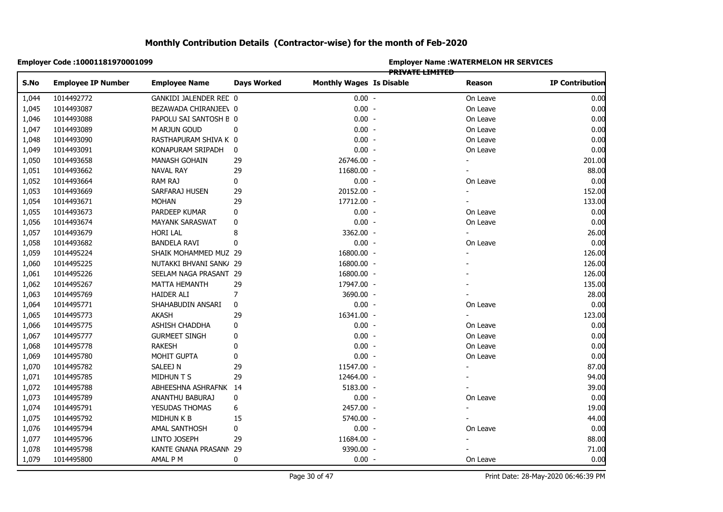|       | Employer Code: 10001181970001099 |                         |                    |                                 |                        | <b>Employer Name: WATERMELON HR SERVICES</b> |                        |
|-------|----------------------------------|-------------------------|--------------------|---------------------------------|------------------------|----------------------------------------------|------------------------|
| S.No  | <b>Employee IP Number</b>        | <b>Employee Name</b>    | <b>Days Worked</b> | <b>Monthly Wages Is Disable</b> | <b>PRIVATE LIMITED</b> | <b>Reason</b>                                | <b>IP Contribution</b> |
| 1,044 | 1014492772                       | GANKIDI JALENDER REC 0  |                    | $0.00 -$                        |                        | On Leave                                     | 0.00                   |
| 1,045 | 1014493087                       | BEZAWADA CHIRANJEE\ 0   |                    | $0.00 -$                        |                        | On Leave                                     | 0.00                   |
| 1,046 | 1014493088                       | PAPOLU SAI SANTOSH E 0  |                    | $0.00 -$                        |                        | On Leave                                     | 0.00                   |
| 1,047 | 1014493089                       | M ARJUN GOUD            | 0                  | $0.00 -$                        |                        | On Leave                                     | 0.00                   |
| 1,048 | 1014493090                       | RASTHAPURAM SHIVA K 0   |                    | $0.00 -$                        |                        | On Leave                                     | 0.00                   |
| 1,049 | 1014493091                       | KONAPURAM SRIPADH       | 0                  | $0.00 -$                        |                        | On Leave                                     | 0.00                   |
| 1,050 | 1014493658                       | MANASH GOHAIN           | 29                 | 26746.00 -                      |                        |                                              | 201.00                 |
| 1,051 | 1014493662                       | <b>NAVAL RAY</b>        | 29                 | 11680.00 -                      |                        |                                              | 88.00                  |
| 1,052 | 1014493664                       | <b>RAM RAJ</b>          | 0                  | $0.00 -$                        |                        | On Leave                                     | 0.00                   |
| 1,053 | 1014493669                       | SARFARAJ HUSEN          | 29                 | 20152.00 -                      |                        | $\blacksquare$                               | 152.00                 |
| 1,054 | 1014493671                       | <b>MOHAN</b>            | 29                 | 17712.00 -                      |                        |                                              | 133.00                 |
| 1,055 | 1014493673                       | PARDEEP KUMAR           | 0                  | $0.00 -$                        |                        | On Leave                                     | 0.00                   |
| 1,056 | 1014493674                       | <b>MAYANK SARASWAT</b>  | 0                  | $0.00 -$                        |                        | On Leave                                     | 0.00                   |
| 1,057 | 1014493679                       | <b>HORI LAL</b>         | 8                  | 3362.00 -                       |                        |                                              | 26.00                  |
| 1,058 | 1014493682                       | <b>BANDELA RAVI</b>     | 0                  | $0.00 -$                        |                        | On Leave                                     | 0.00                   |
| 1,059 | 1014495224                       | SHAIK MOHAMMED MUZ 29   |                    | 16800.00 -                      |                        |                                              | 126.00                 |
| 1,060 | 1014495225                       | NUTAKKI BHVANI SANK/ 29 |                    | 16800.00 -                      |                        |                                              | 126.00                 |
| 1,061 | 1014495226                       | SEELAM NAGA PRASANT 29  |                    | 16800.00 -                      |                        |                                              | 126.00                 |
| 1,062 | 1014495267                       | MATTA HEMANTH           | 29                 | 17947.00 -                      |                        |                                              | 135.00                 |
| 1,063 | 1014495769                       | HAIDER ALI              | 7                  | 3690.00 -                       |                        |                                              | 28.00                  |
| 1,064 | 1014495771                       | SHAHABUDIN ANSARI       | 0                  | $0.00 -$                        |                        | On Leave                                     | 0.00                   |
| 1,065 | 1014495773                       | AKASH                   | 29                 | 16341.00 -                      |                        |                                              | 123.00                 |
| 1,066 | 1014495775                       | ASHISH CHADDHA          | 0                  | $0.00 -$                        |                        | On Leave                                     | 0.00                   |
| 1,067 | 1014495777                       | <b>GURMEET SINGH</b>    | 0                  | $0.00 -$                        |                        | On Leave                                     | 0.00                   |
| 1,068 | 1014495778                       | <b>RAKESH</b>           | 0                  | $0.00 -$                        |                        | On Leave                                     | 0.00                   |
| 1,069 | 1014495780                       | MOHIT GUPTA             | 0                  | $0.00 -$                        |                        | On Leave                                     | 0.00                   |
| 1,070 | 1014495782                       | SALEEJ N                | 29                 | 11547.00 -                      |                        |                                              | 87.00                  |
| 1,071 | 1014495785                       | <b>MIDHUN T S</b>       | 29                 | 12464.00 -                      |                        |                                              | 94.00                  |
| 1,072 | 1014495788                       | ABHEESHNA ASHRAFNK 14   |                    | 5183.00 -                       |                        |                                              | 39.00                  |
| 1,073 | 1014495789                       | ANANTHU BABURAJ         | 0                  | $0.00 -$                        |                        | On Leave                                     | 0.00                   |
| 1,074 | 1014495791                       | YESUDAS THOMAS          | 6                  | 2457.00 -                       |                        |                                              | 19.00                  |
| 1,075 | 1014495792                       | MIDHUN K B              | 15                 | 5740.00 -                       |                        |                                              | 44.00                  |
| 1,076 | 1014495794                       | AMAL SANTHOSH           | 0                  | $0.00 -$                        |                        | On Leave                                     | 0.00                   |
| 1,077 | 1014495796                       | LINTO JOSEPH            | 29                 | 11684.00 -                      |                        |                                              | 88.00                  |
| 1,078 | 1014495798                       | KANTE GNANA PRASANN 29  |                    | 9390.00 -                       |                        |                                              | 71.00                  |
| 1,079 | 1014495800                       | AMAL P M                | 0                  | $0.00 -$                        |                        | On Leave                                     | 0.00                   |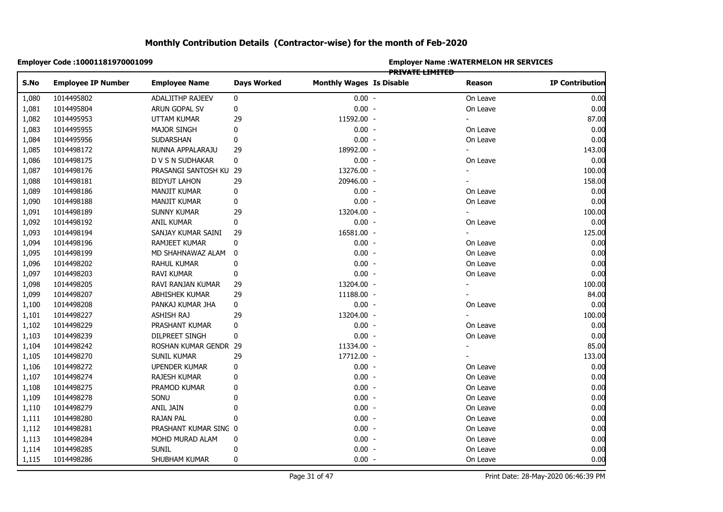|       | Employer Code: 10001181970001099 |                        |                    |                                 |                        | <b>Employer Name: WATERMELON HR SERVICES</b> |                        |
|-------|----------------------------------|------------------------|--------------------|---------------------------------|------------------------|----------------------------------------------|------------------------|
| S.No  | <b>Employee IP Number</b>        | <b>Employee Name</b>   | <b>Days Worked</b> | <b>Monthly Wages Is Disable</b> | <b>PRIVATE LIMITED</b> | Reason                                       | <b>IP Contribution</b> |
| 1,080 | 1014495802                       | ADALJITHP RAJEEV       | 0                  | $0.00 -$                        |                        | On Leave                                     | 0.00                   |
| 1,081 | 1014495804                       | ARUN GOPAL SV          | 0                  | $0.00 -$                        |                        | On Leave                                     | 0.00                   |
| 1,082 | 1014495953                       | <b>UTTAM KUMAR</b>     | 29                 | 11592.00 -                      |                        |                                              | 87.00                  |
| 1,083 | 1014495955                       | <b>MAJOR SINGH</b>     | 0                  | $0.00 -$                        |                        | On Leave                                     | 0.00                   |
| 1,084 | 1014495956                       | SUDARSHAN              | 0                  | $0.00 -$                        |                        | On Leave                                     | 0.00                   |
| 1,085 | 1014498172                       | NUNNA APPALARAJU       | 29                 | 18992.00 -                      |                        |                                              | 143.00                 |
| 1,086 | 1014498175                       | D V S N SUDHAKAR       | $\bf{0}$           | $0.00 -$                        |                        | On Leave                                     | 0.00                   |
| 1,087 | 1014498176                       | PRASANGI SANTOSH KU 29 |                    | 13276.00 -                      |                        |                                              | 100.00                 |
| 1,088 | 1014498181                       | <b>BIDYUT LAHON</b>    | 29                 | 20946.00 -                      |                        |                                              | 158.00                 |
| 1,089 | 1014498186                       | MANJIT KUMAR           | 0                  | $0.00 -$                        |                        | On Leave                                     | 0.00                   |
| 1,090 | 1014498188                       | MANJIT KUMAR           | 0                  | $0.00 -$                        |                        | On Leave                                     | 0.00                   |
| 1,091 | 1014498189                       | SUNNY KUMAR            | 29                 | 13204.00 -                      |                        | ٠                                            | 100.00                 |
| 1,092 | 1014498192                       | ANIL KUMAR             | 0                  | $0.00 -$                        |                        | On Leave                                     | 0.00                   |
| 1,093 | 1014498194                       | SANJAY KUMAR SAINI     | 29                 | 16581.00 -                      |                        |                                              | 125.00                 |
| 1,094 | 1014498196                       | RAMJEET KUMAR          | 0                  | $0.00 -$                        |                        | On Leave                                     | 0.00                   |
| 1,095 | 1014498199                       | MD SHAHNAWAZ ALAM      | 0                  | $0.00 -$                        |                        | On Leave                                     | 0.00                   |
| 1,096 | 1014498202                       | RAHUL KUMAR            | 0                  | $0.00 -$                        |                        | On Leave                                     | 0.00                   |
| 1,097 | 1014498203                       | RAVI KUMAR             | 0                  | $0.00 -$                        |                        | On Leave                                     | 0.00                   |
| 1,098 | 1014498205                       | RAVI RANJAN KUMAR      | 29                 | 13204.00 -                      |                        |                                              | 100.00                 |
| 1,099 | 1014498207                       | ABHISHEK KUMAR         | 29                 | 11188.00 -                      |                        |                                              | 84.00                  |
| 1,100 | 1014498208                       | PANKAJ KUMAR JHA       | 0                  | $0.00 -$                        |                        | On Leave                                     | 0.00                   |
| 1,101 | 1014498227                       | ASHISH RAJ             | 29                 | 13204.00 -                      |                        |                                              | 100.00                 |
| 1,102 | 1014498229                       | PRASHANT KUMAR         | 0                  | $0.00 -$                        |                        | On Leave                                     | 0.00                   |
| 1,103 | 1014498239                       | <b>DILPREET SINGH</b>  | 0                  | $0.00 -$                        |                        | On Leave                                     | 0.00                   |
| 1,104 | 1014498242                       | ROSHAN KUMAR GENDR 29  |                    | 11334.00 -                      |                        |                                              | 85.00                  |
| 1,105 | 1014498270                       | <b>SUNIL KUMAR</b>     | 29                 | 17712.00 -                      |                        |                                              | 133.00                 |
| 1,106 | 1014498272                       | UPENDER KUMAR          | 0                  | $0.00 -$                        |                        | On Leave                                     | 0.00                   |
| 1,107 | 1014498274                       | RAJESH KUMAR           | 0                  | $0.00 -$                        |                        | On Leave                                     | 0.00                   |
| 1,108 | 1014498275                       | PRAMOD KUMAR           | 0                  | $0.00 -$                        |                        | On Leave                                     | 0.00                   |
| 1,109 | 1014498278                       | SONU                   | 0                  | $0.00 -$                        |                        | On Leave                                     | 0.00                   |
| 1,110 | 1014498279                       | ANIL JAIN              | 0                  | $0.00 -$                        |                        | On Leave                                     | 0.00                   |
| 1,111 | 1014498280                       | <b>RAJAN PAL</b>       | 0                  | $0.00 -$                        |                        | On Leave                                     | 0.00                   |
| 1,112 | 1014498281                       | PRASHANT KUMAR SING 0  |                    | $0.00 -$                        |                        | On Leave                                     | 0.00                   |
| 1,113 | 1014498284                       | MOHD MURAD ALAM        | 0                  | $0.00 -$                        |                        | On Leave                                     | 0.00                   |
| 1,114 | 1014498285                       | <b>SUNIL</b>           | 0                  | $0.00 -$                        |                        | On Leave                                     | 0.00                   |
| 1,115 | 1014498286                       | SHUBHAM KUMAR          | 0                  | $0.00 -$                        |                        | On Leave                                     | 0.00                   |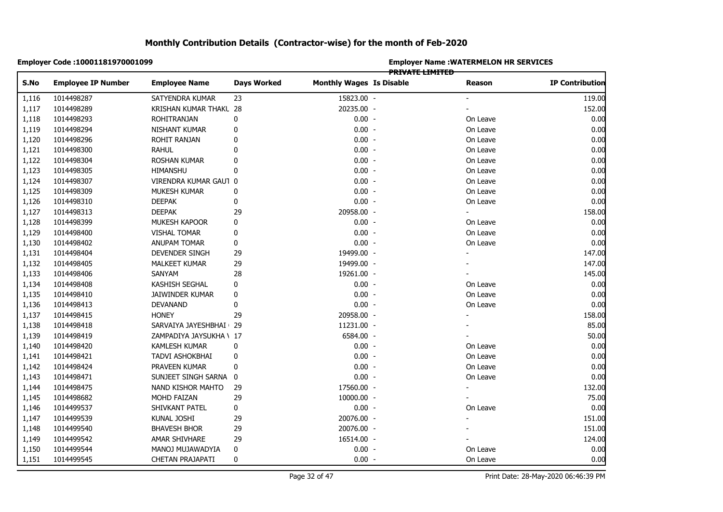|       | Employer Code: 10001181970001099 |                         |                    | <b>Employer Name: WATERMELON HR SERVICES</b><br>PRIVATE LIMITED |  |          |                        |  |  |
|-------|----------------------------------|-------------------------|--------------------|-----------------------------------------------------------------|--|----------|------------------------|--|--|
| S.No  | <b>Employee IP Number</b>        | <b>Employee Name</b>    | <b>Days Worked</b> | <b>Monthly Wages Is Disable</b>                                 |  | Reason   | <b>IP Contribution</b> |  |  |
| 1,116 | 1014498287                       | SATYENDRA KUMAR         | 23                 | 15823.00 -                                                      |  |          | 119.00                 |  |  |
| 1,117 | 1014498289                       | KRISHAN KUMAR THAKL 28  |                    | 20235.00 -                                                      |  |          | 152.00                 |  |  |
| 1,118 | 1014498293                       | ROHITRANJAN             | 0                  | $0.00 -$                                                        |  | On Leave | 0.00                   |  |  |
| 1,119 | 1014498294                       | NISHANT KUMAR           | 0                  | $0.00 -$                                                        |  | On Leave | 0.00                   |  |  |
| 1,120 | 1014498296                       | ROHIT RANJAN            | 0                  | $0.00 -$                                                        |  | On Leave | 0.00                   |  |  |
| 1,121 | 1014498300                       | <b>RAHUL</b>            | 0                  | $0.00 -$                                                        |  | On Leave | 0.00                   |  |  |
| 1,122 | 1014498304                       | ROSHAN KUMAR            | 0                  | $0.00 -$                                                        |  | On Leave | 0.00                   |  |  |
| 1,123 | 1014498305                       | HIMANSHU                | 0                  | $0.00 -$                                                        |  | On Leave | 0.00                   |  |  |
| 1,124 | 1014498307                       | VIRENDRA KUMAR GAUT 0   |                    | $0.00 -$                                                        |  | On Leave | 0.00                   |  |  |
| 1,125 | 1014498309                       | MUKESH KUMAR            | 0                  | $0.00 -$                                                        |  | On Leave | 0.00                   |  |  |
| 1,126 | 1014498310                       | <b>DEEPAK</b>           | 0                  | $0.00 -$                                                        |  | On Leave | 0.00                   |  |  |
| 1,127 | 1014498313                       | <b>DEEPAK</b>           | 29                 | 20958.00 -                                                      |  | ÷.       | 158.00                 |  |  |
| 1,128 | 1014498399                       | MUKESH KAPOOR           | 0                  | $0.00 -$                                                        |  | On Leave | 0.00                   |  |  |
| 1,129 | 1014498400                       | VISHAL TOMAR            | 0                  | $0.00 -$                                                        |  | On Leave | 0.00                   |  |  |
| 1,130 | 1014498402                       | <b>ANUPAM TOMAR</b>     | 0                  | $0.00 -$                                                        |  | On Leave | 0.00                   |  |  |
| 1,131 | 1014498404                       | DEVENDER SINGH          | 29                 | 19499.00 -                                                      |  |          | 147.00                 |  |  |
| 1,132 | 1014498405                       | <b>MALKEET KUMAR</b>    | 29                 | 19499.00 -                                                      |  |          | 147.00                 |  |  |
| 1,133 | 1014498406                       | SANYAM                  | 28                 | 19261.00 -                                                      |  |          | 145.00                 |  |  |
| 1,134 | 1014498408                       | KASHISH SEGHAL          | 0                  | $0.00 -$                                                        |  | On Leave | 0.00                   |  |  |
| 1,135 | 1014498410                       | JAIWINDER KUMAR         | 0                  | $0.00 -$                                                        |  | On Leave | 0.00                   |  |  |
| 1,136 | 1014498413                       | DEVANAND                | 0                  | $0.00 -$                                                        |  | On Leave | 0.00                   |  |  |
| 1,137 | 1014498415                       | honey                   | 29                 | 20958.00 -                                                      |  |          | 158.00                 |  |  |
| 1,138 | 1014498418                       | SARVAIYA JAYESHBHAI 29  |                    | 11231.00 -                                                      |  |          | 85.00                  |  |  |
| 1,139 | 1014498419                       | ZAMPADIYA JAYSUKHA \ 17 |                    | 6584.00 -                                                       |  |          | 50.00                  |  |  |
| 1,140 | 1014498420                       | KAMLESH KUMAR           | 0                  | $0.00 -$                                                        |  | On Leave | 0.00                   |  |  |
| 1,141 | 1014498421                       | TADVI ASHOKBHAI         | 0                  | $0.00 -$                                                        |  | On Leave | 0.00                   |  |  |
| 1,142 | 1014498424                       | PRAVEEN KUMAR           | 0                  | $0.00 -$                                                        |  | On Leave | 0.00                   |  |  |
| 1,143 | 1014498471                       | SUNJEET SINGH SARNA 0   |                    | $0.00 -$                                                        |  | On Leave | 0.00                   |  |  |
| 1,144 | 1014498475                       | NAND KISHOR MAHTO       | 29                 | 17560.00 -                                                      |  |          | 132.00                 |  |  |
| 1,145 | 1014498682                       | MOHD FAIZAN             | 29                 | 10000.00 -                                                      |  |          | 75.00                  |  |  |
| 1,146 | 1014499537                       | SHIVKANT PATEL          | 0                  | $0.00 -$                                                        |  | On Leave | 0.00                   |  |  |
| 1,147 | 1014499539                       | KUNAL JOSHI             | 29                 | 20076.00 -                                                      |  | ۰        | 151.00                 |  |  |
| 1,148 | 1014499540                       | <b>BHAVESH BHOR</b>     | 29                 | 20076.00 -                                                      |  |          | 151.00                 |  |  |
| 1,149 | 1014499542                       | AMAR SHIVHARE           | 29                 | 16514.00 -                                                      |  |          | 124.00                 |  |  |
| 1,150 | 1014499544                       | MANOJ MUJAWADYIA        | 0                  | $0.00 -$                                                        |  | On Leave | 0.00                   |  |  |
| 1,151 | 1014499545                       | <b>CHETAN PRAJAPATI</b> | 0                  | $0.00 -$                                                        |  | On Leave | 0.00                   |  |  |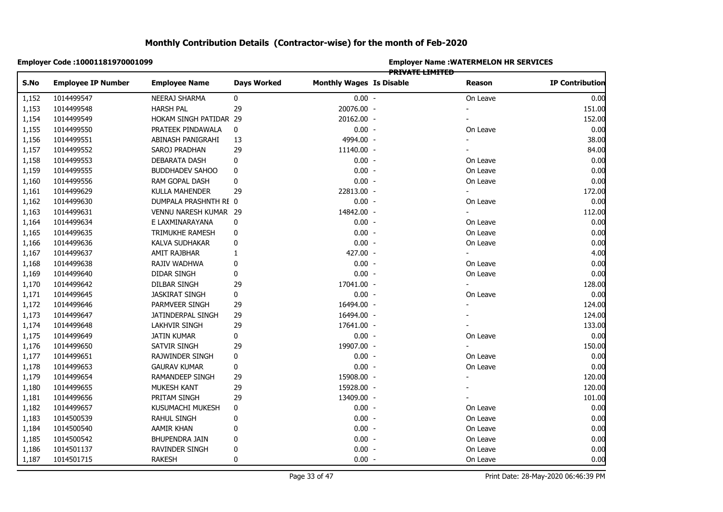|                | Employer Code : 10001181970001099 |                        |                    | <b>Employer Name : WATERMELON HR SERVICES</b><br><b>PRIVATE LIMITED</b> |  |                |                        |  |  |
|----------------|-----------------------------------|------------------------|--------------------|-------------------------------------------------------------------------|--|----------------|------------------------|--|--|
| S.No           | <b>Employee IP Number</b>         | <b>Employee Name</b>   | <b>Days Worked</b> | <b>Monthly Wages Is Disable</b>                                         |  | Reason         | <b>IP Contribution</b> |  |  |
| 1,152          | 1014499547                        | NEERAJ SHARMA          | 0                  | $0.00 -$                                                                |  | On Leave       | 0.00                   |  |  |
| 1,153          | 1014499548                        | <b>HARSH PAL</b>       | 29                 | 20076.00 -                                                              |  |                | 151.00                 |  |  |
| 1,154          | 1014499549                        | HOKAM SINGH PATIDAR 29 |                    | 20162.00 -                                                              |  |                | 152.00                 |  |  |
| 1,155          | 1014499550                        | PRATEEK PINDAWALA      | 0                  | $0.00 -$                                                                |  | On Leave       | 0.00                   |  |  |
| 1,156          | 1014499551                        | ABINASH PANIGRAHI      | 13                 | 4994.00 -                                                               |  |                | 38.00                  |  |  |
| 1,157          | 1014499552                        | SAROJ PRADHAN          | 29                 | 11140.00 -                                                              |  |                | 84.00                  |  |  |
| 1,158          | 1014499553                        | <b>DEBARATA DASH</b>   | 0                  | $0.00 -$                                                                |  | On Leave       | 0.00                   |  |  |
| 1,159          | 1014499555                        | <b>BUDDHADEV SAHOO</b> | 0                  | $0.00 -$                                                                |  | On Leave       | 0.00                   |  |  |
| 1,160          | 1014499556                        | RAM GOPAL DASH         | 0                  | $0.00 -$                                                                |  | On Leave       | 0.00                   |  |  |
| 1,161          | 1014499629                        | KULLA MAHENDER         | 29                 | 22813.00 -                                                              |  | $\blacksquare$ | 172.00                 |  |  |
| 1,162          | 1014499630                        | DUMPALA PRASHNTH RE 0  |                    | $0.00 -$                                                                |  | On Leave       | 0.00                   |  |  |
| 1,163          | 1014499631                        | VENNU NARESH KUMAR 29  |                    | 14842.00 -                                                              |  | $\blacksquare$ | 112.00                 |  |  |
| 1,164          | 1014499634                        | E LAXMINARAYANA        | 0                  | $0.00 -$                                                                |  | On Leave       | 0.00                   |  |  |
| 1,165          | 1014499635                        | TRIMUKHE RAMESH        | 0                  | $0.00 -$                                                                |  | On Leave       | 0.00                   |  |  |
| 1,166          | 1014499636                        | KALVA SUDHAKAR         | 0                  | $0.00 -$                                                                |  | On Leave       | 0.00                   |  |  |
|                | 1014499637                        | AMIT RAJBHAR           | 1                  | 427.00 -                                                                |  |                | 4.00                   |  |  |
|                | 1014499638                        | RAJIV WADHWA           | 0                  | $0.00 -$                                                                |  | On Leave       | 0.00                   |  |  |
|                | 1014499640                        | DIDAR SINGH            | 0                  | $0.00 -$                                                                |  | On Leave       | 0.00                   |  |  |
| 1,170          | 1014499642                        | DILBAR SINGH           | 29                 | 17041.00 -                                                              |  |                | 128.00                 |  |  |
|                | 1014499645                        | <b>JASKIRAT SINGH</b>  | 0                  | $0.00 -$                                                                |  | On Leave       | 0.00                   |  |  |
|                | 1014499646                        | PARMVEER SINGH         | 29                 | 16494.00 -                                                              |  |                | 124.00                 |  |  |
| 1,172<br>1,173 | 1014499647                        | JATINDERPAL SINGH      | 29                 | 16494.00 -                                                              |  |                | 124.00                 |  |  |
|                | 1014499648                        | LAKHVIR SINGH          | 29                 | 17641.00 -                                                              |  |                | 133.00                 |  |  |
|                | 1014499649                        | <b>JATIN KUMAR</b>     | 0                  | $0.00 -$                                                                |  | On Leave       | 0.00                   |  |  |
| 1,176          | 1014499650                        | SATVIR SINGH           | 29                 | 19907.00 -                                                              |  |                | 150.00                 |  |  |
|                | 1014499651                        | RAJWINDER SINGH        | 0                  | $0.00 -$                                                                |  | On Leave       | 0.00                   |  |  |
| 1,178          | 1014499653                        | <b>GAURAV KUMAR</b>    | $\pmb{0}$          | $0.00 -$                                                                |  | On Leave       | 0.00                   |  |  |
| 1,179          | 1014499654                        | RAMANDEEP SINGH        | 29                 | 15908.00 -                                                              |  |                | 120.00                 |  |  |
|                | 1014499655                        | MUKESH KANT            | 29                 | 15928.00 -                                                              |  |                | 120.00                 |  |  |
|                | 1014499656                        | PRITAM SINGH           | 29                 | 13409.00 -                                                              |  |                | 101.00                 |  |  |
|                | 1014499657                        | KUSUMACHI MUKESH       | 0                  | $0.00 -$                                                                |  | On Leave       | 0.00                   |  |  |
| 1,183          | 1014500539                        | RAHUL SINGH            | 0                  | $0.00 -$                                                                |  | On Leave       | 0.00                   |  |  |
| 1,184          | 1014500540                        | AAMIR KHAN             | 0                  | $0.00 -$                                                                |  | On Leave       | 0.00                   |  |  |
| 1,185          | 1014500542                        | BHUPENDRA JAIN         | 0                  | $0.00 -$                                                                |  | On Leave       | 0.00                   |  |  |
| 1,186          | 1014501137                        | RAVINDER SINGH         | 0                  | $0.00 -$                                                                |  | On Leave       | 0.00                   |  |  |
| 1,187          | 1014501715                        | <b>RAKESH</b>          | $\mathbf 0$        | $0.00 -$                                                                |  | On Leave       | 0.00                   |  |  |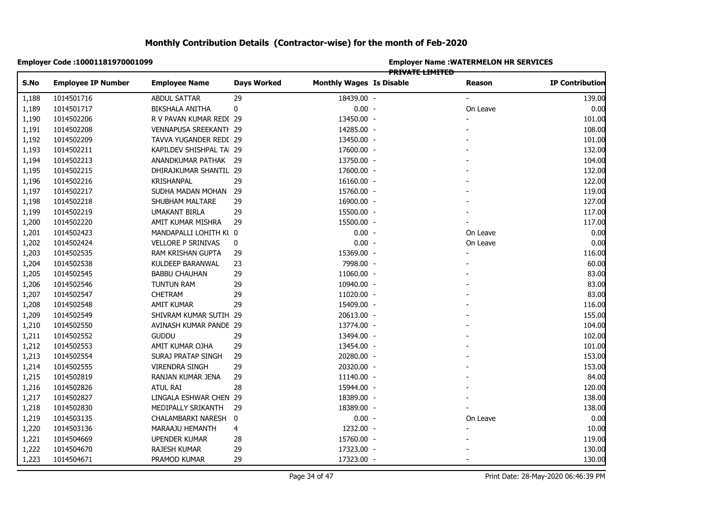|       | Employer Code: 10001181970001099 |                          |                    | <b>Employer Name: WATERMELON HR SERVICES</b><br><del>PRIVATE LIMITED</del> |  |                          |                        |  |  |
|-------|----------------------------------|--------------------------|--------------------|----------------------------------------------------------------------------|--|--------------------------|------------------------|--|--|
| S.No  | <b>Employee IP Number</b>        | <b>Employee Name</b>     | <b>Days Worked</b> | <b>Monthly Wages Is Disable</b>                                            |  | Reason                   | <b>IP Contribution</b> |  |  |
| 1,188 | 1014501716                       | <b>ABDUL SATTAR</b>      | 29                 | 18439.00 -                                                                 |  | $\overline{\phantom{a}}$ | 139.00                 |  |  |
| 1,189 | 1014501717                       | BIKSHALA ANITHA          | 0                  | $0.00 -$                                                                   |  | On Leave                 | 0.00                   |  |  |
| 1,190 | 1014502206                       | R V PAVAN KUMAR REDI 29  |                    | 13450.00 -                                                                 |  |                          | 101.00                 |  |  |
| 1,191 | 1014502208                       | VENNAPUSA SREEKANTI 29   |                    | 14285.00 -                                                                 |  |                          | 108.00                 |  |  |
| 1,192 | 1014502209                       | TAVVA YUGANDER REDI 29   |                    | 13450.00 -                                                                 |  |                          | 101.00                 |  |  |
| 1,193 | 1014502211                       | KAPILDEV SHISHPAL TAI 29 |                    | 17600.00 -                                                                 |  |                          | 132.00                 |  |  |
| 1,194 | 1014502213                       | ANANDKUMAR PATHAK 29     |                    | 13750.00 -                                                                 |  |                          | 104.00                 |  |  |
| 1,195 | 1014502215                       | DHIRAJKUMAR SHANTIL 29   |                    | 17600.00 -                                                                 |  |                          | 132.00                 |  |  |
| 1,196 | 1014502216                       | KRISHANPAL               | 29                 | 16160.00 -                                                                 |  |                          | 122.00                 |  |  |
| 1,197 | 1014502217                       | SUDHA MADAN MOHAN 29     |                    | 15760.00 -                                                                 |  |                          | 119.00                 |  |  |
| 1,198 | 1014502218                       | SHUBHAM MALTARE          | 29                 | 16900.00 -                                                                 |  |                          | 127.00                 |  |  |
| 1,199 | 1014502219                       | <b>UMAKANT BIRLA</b>     | 29                 | 15500.00 -                                                                 |  |                          | 117.00                 |  |  |
| 1,200 | 1014502220                       | AMIT KUMAR MISHRA        | 29                 | 15500.00 -                                                                 |  |                          | 117.00                 |  |  |
| 1,201 | 1014502423                       | MANDAPALLI LOHITH Kl 0   |                    | $0.00 -$                                                                   |  | On Leave                 | 0.00                   |  |  |
| 1,202 | 1014502424                       | VELLORE P SRINIVAS       | $\pmb{0}$          | $0.00 -$                                                                   |  | On Leave                 | 0.00                   |  |  |
| 1,203 | 1014502535                       | RAM KRISHAN GUPTA        | 29                 | 15369.00 -                                                                 |  |                          | 116.00                 |  |  |
| 1,204 | 1014502538                       | KULDEEP BARANWAL         | 23                 | 7998.00 -                                                                  |  |                          | 60.00                  |  |  |
| 1,205 | 1014502545                       | <b>BABBU CHAUHAN</b>     | 29                 | 11060.00 -                                                                 |  |                          | 83.00                  |  |  |
| 1,206 | 1014502546                       | TUNTUN RAM               | 29                 | 10940.00 -                                                                 |  |                          | 83.00                  |  |  |
| 1,207 | 1014502547                       | <b>CHETRAM</b>           | 29                 | 11020.00 -                                                                 |  |                          | 83.00                  |  |  |
| 1,208 | 1014502548                       | AMIT KUMAR               | 29                 | 15409.00 -                                                                 |  |                          | 116.00                 |  |  |
| 1,209 | 1014502549                       | SHIVRAM KUMAR SUTIH 29   |                    | 20613.00 -                                                                 |  |                          | 155.00                 |  |  |
| 1,210 | 1014502550                       | AVINASH KUMAR PANDE 29   |                    | 13774.00 -                                                                 |  |                          | 104.00                 |  |  |
| 1,211 | 1014502552                       | <b>GUDDU</b>             | 29                 | 13494.00 -                                                                 |  |                          | 102.00                 |  |  |
| 1,212 | 1014502553                       | AMIT KUMAR OJHA          | 29                 | 13454.00 -                                                                 |  |                          | 101.00                 |  |  |
| 1,213 | 1014502554                       | SURAJ PRATAP SINGH       | 29                 | 20280.00 -                                                                 |  |                          | 153.00                 |  |  |
| 1,214 | 1014502555                       | <b>VIRENDRA SINGH</b>    | 29                 | 20320.00 -                                                                 |  |                          | 153.00                 |  |  |
| 1,215 | 1014502819                       | RANJAN KUMAR JENA        | 29                 | 11140.00 -                                                                 |  |                          | 84.00                  |  |  |
| 1,216 | 1014502826                       | <b>ATUL RAI</b>          | 28                 | 15944.00 -                                                                 |  |                          | 120.00                 |  |  |
| 1,217 | 1014502827                       | LINGALA ESHWAR CHEN 29   |                    | 18389.00 -                                                                 |  |                          | 138.00                 |  |  |
| 1,218 | 1014502830                       | MEDIPALLY SRIKANTH       | 29                 | 18389.00 -                                                                 |  |                          | 138.00                 |  |  |
| 1,219 | 1014503135                       | CHALAMBARKI NARESH 0     |                    | $0.00 -$                                                                   |  | On Leave                 | 0.00                   |  |  |
| 1,220 | 1014503136                       | MARAAJU HEMANTH          | 4                  | 1232.00 -                                                                  |  |                          | 10.00                  |  |  |
| 1,221 | 1014504669                       | <b>UPENDER KUMAR</b>     | 28                 | 15760.00 -                                                                 |  |                          | 119.00                 |  |  |
| 1,222 | 1014504670                       | RAJESH KUMAR             | 29                 | 17323.00 -                                                                 |  |                          | 130.00                 |  |  |
| 1,223 | 1014504671                       | PRAMOD KUMAR             | 29                 | 17323.00 -                                                                 |  | $\blacksquare$           | 130.00                 |  |  |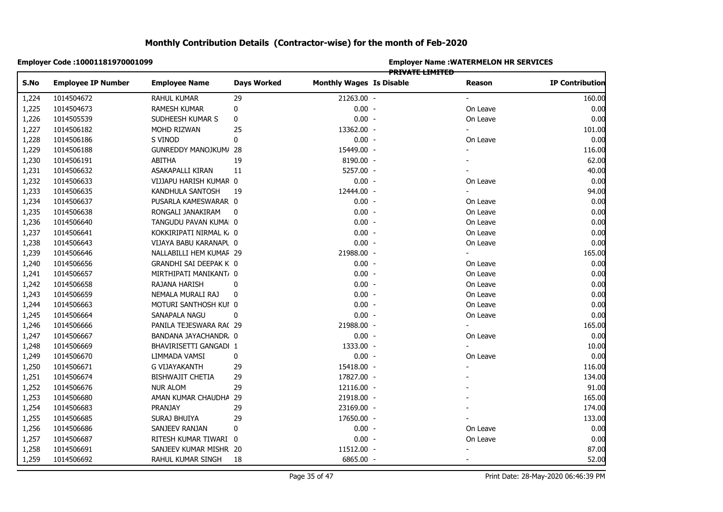|       | Employer Code: 10001181970001099 |                         |                    | <b>Employer Name: WATERMELON HR SERVICES</b><br><del>PRIVATE LIMITED</del> |  |                          |                        |  |  |
|-------|----------------------------------|-------------------------|--------------------|----------------------------------------------------------------------------|--|--------------------------|------------------------|--|--|
| S.No  | <b>Employee IP Number</b>        | <b>Employee Name</b>    | <b>Days Worked</b> | <b>Monthly Wages Is Disable</b>                                            |  | Reason                   | <b>IP Contribution</b> |  |  |
| 1,224 | 1014504672                       | RAHUL KUMAR             | 29                 | 21263.00 -                                                                 |  |                          | 160.00                 |  |  |
| 1,225 | 1014504673                       | <b>RAMESH KUMAR</b>     | 0                  | $0.00 -$                                                                   |  | On Leave                 | 0.00                   |  |  |
| 1,226 | 1014505539                       | SUDHEESH KUMAR S        | 0                  | $0.00 -$                                                                   |  | On Leave                 | 0.00                   |  |  |
| 1,227 | 1014506182                       | MOHD RIZWAN             | 25                 | 13362.00 -                                                                 |  |                          | 101.00                 |  |  |
| 1,228 | 1014506186                       | S VINOD                 | 0                  | $0.00 -$                                                                   |  | On Leave                 | 0.00                   |  |  |
| 1,229 | 1014506188                       | GUNREDDY MANOJKUM/ 28   |                    | 15449.00 -                                                                 |  |                          | 116.00                 |  |  |
| 1,230 | 1014506191                       | ABITHA                  | 19                 | 8190.00 -                                                                  |  |                          | 62.00                  |  |  |
| 1,231 | 1014506632                       | ASAKAPALLI KIRAN        | 11                 | 5257.00 -                                                                  |  |                          | 40.00                  |  |  |
| 1,232 | 1014506633                       | VIJJAPU HARISH KUMAR 0  |                    | $0.00 -$                                                                   |  | On Leave                 | 0.00                   |  |  |
| 1,233 | 1014506635                       | KANDHULA SANTOSH        | 19                 | 12444.00 -                                                                 |  | $\overline{\phantom{0}}$ | 94.00                  |  |  |
| 1,234 | 1014506637                       | PUSARLA KAMESWARAR 0    |                    | $0.00 -$                                                                   |  | On Leave                 | 0.00                   |  |  |
| 1,235 | 1014506638                       | RONGALI JANAKIRAM       | 0                  | $0.00 -$                                                                   |  | On Leave                 | 0.00                   |  |  |
| 1,236 | 1014506640                       | TANGUDU PAVAN KUMA 0    |                    | $0.00 -$                                                                   |  | On Leave                 | 0.00                   |  |  |
| 1,237 | 1014506641                       | KOKKIRIPATI NIRMAL K 0  |                    | $0.00 -$                                                                   |  | On Leave                 | 0.00                   |  |  |
| 1,238 | 1014506643                       | VIJAYA BABU KARANAPL 0  |                    | $0.00 -$                                                                   |  | On Leave                 | 0.00                   |  |  |
| 1,239 | 1014506646                       | NALLABILLI HEM KUMAF 29 |                    | 21988.00 -                                                                 |  |                          | 165.00                 |  |  |
| 1,240 | 1014506656                       | GRANDHI SAI DEEPAK K 0  |                    | $0.00 -$                                                                   |  | On Leave                 | 0.00                   |  |  |
| 1,241 | 1014506657                       | MIRTHIPATI MANIKANT, 0  |                    | $0.00 -$                                                                   |  | On Leave                 | 0.00                   |  |  |
| 1,242 | 1014506658                       | RAJANA HARISH           | 0                  | $0.00 -$                                                                   |  | On Leave                 | 0.00                   |  |  |
| 1,243 | 1014506659                       | NEMALA MURALI RAJ       | 0                  | $0.00 -$                                                                   |  | On Leave                 | 0.00                   |  |  |
| 1,244 | 1014506663                       | MOTURI SANTHOSH KUI 0   |                    | $0.00 -$                                                                   |  | On Leave                 | 0.00                   |  |  |
| 1,245 | 1014506664                       | SANAPALA NAGU           | 0                  | $0.00 -$                                                                   |  | On Leave                 | 0.00                   |  |  |
| 1,246 | 1014506666                       | PANILA TEJESWARA RA(29  |                    | 21988.00 -                                                                 |  |                          | 165.00                 |  |  |
| 1,247 | 1014506667                       | BANDANA JAYACHANDR. 0   |                    | $0.00 -$                                                                   |  | On Leave                 | 0.00                   |  |  |
| 1,248 | 1014506669                       | BHAVIRISETTI GANGADI 1  |                    | 1333.00 -                                                                  |  |                          | 10.00                  |  |  |
| 1,249 | 1014506670                       | LIMMADA VAMSI           | 0                  | $0.00 -$                                                                   |  | On Leave                 | 0.00                   |  |  |
| 1,250 | 1014506671                       | G VIJAYAKANTH           | 29                 | 15418.00 -                                                                 |  |                          | 116.00                 |  |  |
| 1,251 | 1014506674                       | <b>BISHWAJIT CHETIA</b> | 29                 | 17827.00 -                                                                 |  |                          | 134.00                 |  |  |
| 1,252 | 1014506676                       | <b>NUR ALOM</b>         | 29                 | 12116.00 -                                                                 |  |                          | 91.00                  |  |  |
| 1,253 | 1014506680                       | AMAN KUMAR CHAUDHA 29   |                    | 21918.00 -                                                                 |  |                          | 165.00                 |  |  |
| 1,254 | 1014506683                       | PRANJAY                 | 29                 | 23169.00 -                                                                 |  |                          | 174.00                 |  |  |
| 1,255 | 1014506685                       | SURAJ BHUIYA            | 29                 | 17650.00 -                                                                 |  |                          | 133.00                 |  |  |
| 1,256 | 1014506686                       | SANJEEV RANJAN          | 0                  | $0.00 -$                                                                   |  | On Leave                 | 0.00                   |  |  |
| 1,257 | 1014506687                       | RITESH KUMAR TIWARI 0   |                    | $0.00 -$                                                                   |  | On Leave                 | 0.00                   |  |  |
| 1,258 | 1014506691                       | SANJEEV KUMAR MISHR 20  |                    | 11512.00 -                                                                 |  |                          | 87.00                  |  |  |
| 1,259 | 1014506692                       | RAHUL KUMAR SINGH       | 18                 | 6865.00 -                                                                  |  |                          | 52.00                  |  |  |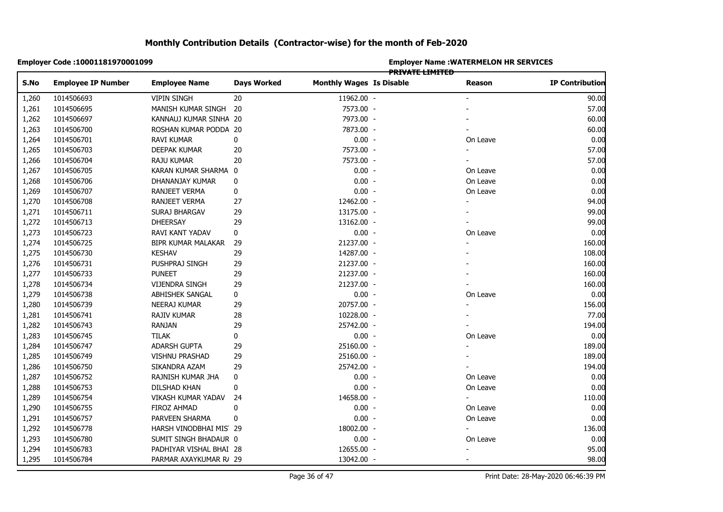|       | Employer Code: 10001181970001099 |                         |                    | <b>Employer Name: WATERMELON HR SERVICES</b><br><del>PRIVATE LIMITED</del> |  |                          |                        |  |  |
|-------|----------------------------------|-------------------------|--------------------|----------------------------------------------------------------------------|--|--------------------------|------------------------|--|--|
| S.No  | <b>Employee IP Number</b>        | <b>Employee Name</b>    | <b>Days Worked</b> | <b>Monthly Wages Is Disable</b>                                            |  | Reason                   | <b>IP Contribution</b> |  |  |
| 1,260 | 1014506693                       | <b>VIPIN SINGH</b>      | 20                 | 11962.00 -                                                                 |  |                          | 90.00                  |  |  |
| 1,261 | 1014506695                       | MANISH KUMAR SINGH 20   |                    | 7573.00 -                                                                  |  |                          | 57.00                  |  |  |
| 1,262 | 1014506697                       | KANNAUJ KUMAR SINHA 20  |                    | 7973.00 -                                                                  |  |                          | 60.00                  |  |  |
| 1,263 | 1014506700                       | ROSHAN KUMAR PODDA 20   |                    | 7873.00 -                                                                  |  |                          | 60.00                  |  |  |
| 1,264 | 1014506701                       | <b>RAVI KUMAR</b>       | 0                  | $0.00 -$                                                                   |  | On Leave                 | 0.00                   |  |  |
| 1,265 | 1014506703                       | DEEPAK KUMAR            | 20                 | 7573.00 -                                                                  |  |                          | 57.00                  |  |  |
| 1,266 | 1014506704                       | <b>RAJU KUMAR</b>       | 20                 | 7573.00 -                                                                  |  |                          | 57.00                  |  |  |
| 1,267 | 1014506705                       | KARAN KUMAR SHARMA 0    |                    | $0.00 -$                                                                   |  | On Leave                 | 0.00                   |  |  |
| 1,268 | 1014506706                       | DHANANJAY KUMAR         | 0                  | $0.00 -$                                                                   |  | On Leave                 | 0.00                   |  |  |
| 1,269 | 1014506707                       | RANJEET VERMA           | $\pmb{0}$          | $0.00 -$                                                                   |  | On Leave                 | 0.00                   |  |  |
| 1,270 | 1014506708                       | RANJEET VERMA           | 27                 | 12462.00 -                                                                 |  | $\overline{\phantom{a}}$ | 94.00                  |  |  |
| 1,271 | 1014506711                       | SURAJ BHARGAV           | 29                 | 13175.00 -                                                                 |  |                          | 99.00                  |  |  |
| 1,272 | 1014506713                       | <b>DHEERSAY</b>         | 29                 | 13162.00 -                                                                 |  |                          | 99.00                  |  |  |
| 1,273 | 1014506723                       | RAVI KANT YADAV         | 0                  | $0.00 -$                                                                   |  | On Leave                 | 0.00                   |  |  |
| 1,274 | 1014506725                       | BIPR KUMAR MALAKAR      | 29                 | 21237.00 -                                                                 |  |                          | 160.00                 |  |  |
| 1,275 | 1014506730                       | <b>KESHAV</b>           | 29                 | 14287.00 -                                                                 |  |                          | 108.00                 |  |  |
| 1,276 | 1014506731                       | PUSHPRAJ SINGH          | 29                 | 21237.00 -                                                                 |  |                          | 160.00                 |  |  |
| 1,277 | 1014506733                       | <b>PUNEET</b>           | 29                 | 21237.00 -                                                                 |  |                          | 160.00                 |  |  |
| 1,278 | 1014506734                       | <b>VIJENDRA SINGH</b>   | 29                 | 21237.00 -                                                                 |  |                          | 160.00                 |  |  |
| 1,279 | 1014506738                       | ABHISHEK SANGAL         | 0                  | $0.00 -$                                                                   |  | On Leave                 | 0.00                   |  |  |
| 1,280 | 1014506739                       | <b>NEERAJ KUMAR</b>     | 29                 | 20757.00 -                                                                 |  |                          | 156.00                 |  |  |
| 1,281 | 1014506741                       | <b>RAJIV KUMAR</b>      | 28                 | 10228.00 -                                                                 |  |                          | 77.00                  |  |  |
| 1,282 | 1014506743                       | <b>RANJAN</b>           | 29                 | 25742.00 -                                                                 |  |                          | 194.00                 |  |  |
| 1,283 | 1014506745                       | <b>TILAK</b>            | 0                  | $0.00 -$                                                                   |  | On Leave                 | 0.00                   |  |  |
| 1,284 | 1014506747                       | ADARSH GUPTA            | 29                 | 25160.00 -                                                                 |  |                          | 189.00                 |  |  |
| 1,285 | 1014506749                       | <b>VISHNU PRASHAD</b>   | 29                 | 25160.00 -                                                                 |  |                          | 189.00                 |  |  |
| 1,286 | 1014506750                       | SIKANDRA AZAM           | 29                 | 25742.00 -                                                                 |  |                          | 194.00                 |  |  |
| 1,287 | 1014506752                       | RAJNISH KUMAR JHA       | 0                  | $0.00 -$                                                                   |  | On Leave                 | 0.00                   |  |  |
| 1,288 | 1014506753                       | DILSHAD KHAN            | 0                  | $0.00 -$                                                                   |  | On Leave                 | 0.00                   |  |  |
| 1,289 | 1014506754                       | VIKASH KUMAR YADAV      | 24                 | 14658.00 -                                                                 |  | $\sim$                   | 110.00                 |  |  |
| 1,290 | 1014506755                       | <b>FIROZ AHMAD</b>      | 0                  | $0.00 -$                                                                   |  | On Leave                 | 0.00                   |  |  |
| 1,291 | 1014506757                       | PARVEEN SHARMA          | 0                  | $0.00 -$                                                                   |  | On Leave                 | 0.00                   |  |  |
| 1,292 | 1014506778                       | HARSH VINODBHAI MIS 29  |                    | 18002.00 -                                                                 |  |                          | 136.00                 |  |  |
| 1,293 | 1014506780                       | SUMIT SINGH BHADAUR 0   |                    | $0.00 -$                                                                   |  | On Leave                 | 0.00                   |  |  |
| 1,294 | 1014506783                       | PADHIYAR VISHAL BHAI 28 |                    | 12655.00 -                                                                 |  |                          | 95.00                  |  |  |
| 1,295 | 1014506784                       | PARMAR AXAYKUMAR R/ 29  |                    | 13042.00 -                                                                 |  | $\blacksquare$           | 98.00                  |  |  |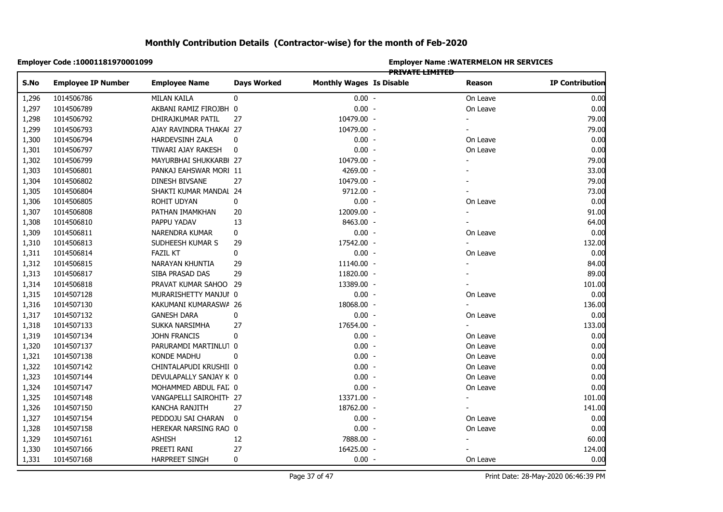|       | <b>Employer Code :10001181970001099</b> |                         |                    | <b>Employer Name: WATERMELON HR SERVICES</b><br><del>PRIVATE LIMITED</del> |  |                          |                        |  |  |
|-------|-----------------------------------------|-------------------------|--------------------|----------------------------------------------------------------------------|--|--------------------------|------------------------|--|--|
| S.No  | <b>Employee IP Number</b>               | <b>Employee Name</b>    | <b>Days Worked</b> | <b>Monthly Wages Is Disable</b>                                            |  | Reason                   | <b>IP Contribution</b> |  |  |
| 1,296 | 1014506786                              | <b>MILAN KAILA</b>      | 0                  | $0.00 -$                                                                   |  | On Leave                 | 0.00                   |  |  |
| 1,297 | 1014506789                              | AKBANI RAMIZ FIROJBH 0  |                    | $0.00 -$                                                                   |  | On Leave                 | 0.00                   |  |  |
| 1,298 | 1014506792                              | DHIRAJKUMAR PATIL       | 27                 | 10479.00 -                                                                 |  |                          | 79.00                  |  |  |
| 1,299 | 1014506793                              | AJAY RAVINDRA THAKAI 27 |                    | 10479.00 -                                                                 |  |                          | 79.00                  |  |  |
| 1,300 | 1014506794                              | HARDEVSINH ZALA         | 0                  | $0.00 -$                                                                   |  | On Leave                 | 0.00                   |  |  |
| 1,301 | 1014506797                              | TIWARI AJAY RAKESH      | $\mathbf 0$        | $0.00 -$                                                                   |  | On Leave                 | 0.00                   |  |  |
| 1,302 | 1014506799                              | MAYURBHAI SHUKKARBI 27  |                    | 10479.00 -                                                                 |  |                          | 79.00                  |  |  |
| 1,303 | 1014506801                              | PANKAJ EAHSWAR MORI 11  |                    | 4269.00 -                                                                  |  |                          | 33.00                  |  |  |
| 1,304 | 1014506802                              | DINESH BIVSANE          | 27                 | 10479.00 -                                                                 |  |                          | 79.00                  |  |  |
| 1,305 | 1014506804                              | SHAKTI KUMAR MANDAL 24  |                    | 9712.00 -                                                                  |  |                          | 73.00                  |  |  |
| 1,306 | 1014506805                              | ROHIT UDYAN             | 0                  | $0.00 -$                                                                   |  | On Leave                 | 0.00                   |  |  |
| 1,307 | 1014506808                              | PATHAN IMAMKHAN         | 20                 | 12009.00 -                                                                 |  | $\overline{\phantom{0}}$ | 91.00                  |  |  |
| 1,308 | 1014506810                              | PAPPU YADAV             | 13                 | 8463.00 -                                                                  |  |                          | 64.00                  |  |  |
| 1,309 | 1014506811                              | NARENDRA KUMAR          | 0                  | $0.00 -$                                                                   |  | On Leave                 | 0.00                   |  |  |
| 1,310 | 1014506813                              | SUDHEESH KUMAR S        | 29                 | 17542.00 -                                                                 |  |                          | 132.00                 |  |  |
| 1,311 | 1014506814                              | <b>FAZIL KT</b>         | 0                  | $0.00 -$                                                                   |  | On Leave                 | 0.00                   |  |  |
| 1,312 | 1014506815                              | NARAYAN KHUNTIA         | 29                 | 11140.00 -                                                                 |  |                          | 84.00                  |  |  |
| 1,313 | 1014506817                              | SIBA PRASAD DAS         | 29                 | 11820.00 -                                                                 |  |                          | 89.00                  |  |  |
| 1,314 | 1014506818                              | PRAVAT KUMAR SAHOO 29   |                    | 13389.00 -                                                                 |  |                          | 101.00                 |  |  |
| 1,315 | 1014507128                              | MURARISHETTY MANJUI 0   |                    | $0.00 -$                                                                   |  | On Leave                 | 0.00                   |  |  |
| 1,316 | 1014507130                              | KAKUMANI KUMARASWA 26   |                    | 18068.00 -                                                                 |  |                          | 136.00                 |  |  |
| 1,317 | 1014507132                              | <b>GANESH DARA</b>      | 0                  | $0.00 -$                                                                   |  | On Leave                 | 0.00                   |  |  |
| 1,318 | 1014507133                              | SUKKA NARSIMHA          | 27                 | 17654.00 -                                                                 |  |                          | 133.00                 |  |  |
| 1,319 | 1014507134                              | JOHN FRANCIS            | 0                  | $0.00 -$                                                                   |  | On Leave                 | 0.00                   |  |  |
| 1,320 | 1014507137                              | PARURAMDI MARTINLU1 0   |                    | $0.00 -$                                                                   |  | On Leave                 | 0.00                   |  |  |
| 1,321 | 1014507138                              | KONDE MADHU             | 0                  | $0.00 -$                                                                   |  | On Leave                 | 0.00                   |  |  |
| 1,322 | 1014507142                              | CHINTALAPUDI KRUSHII 0  |                    | $0.00 -$                                                                   |  | On Leave                 | 0.00                   |  |  |
| 1,323 | 1014507144                              | DEVULAPALLY SANJAY K 0  |                    | $0.00 -$                                                                   |  | On Leave                 | 0.00                   |  |  |
| 1,324 | 1014507147                              | MOHAMMED ABDUL FAI, 0   |                    | $0.00 -$                                                                   |  | On Leave                 | 0.00                   |  |  |
| 1,325 | 1014507148                              | VANGAPELLI SAIROHITI 27 |                    | 13371.00 -                                                                 |  | $\blacksquare$           | 101.00                 |  |  |
| 1,326 | 1014507150                              | KANCHA RANJITH          | 27                 | 18762.00 -                                                                 |  |                          | 141.00                 |  |  |
| 1,327 | 1014507154                              | PEDDOJU SAI CHARAN      | 0                  | $0.00 -$                                                                   |  | On Leave                 | 0.00                   |  |  |
| 1,328 | 1014507158                              | HEREKAR NARSING RAO 0   |                    | $0.00 -$                                                                   |  | On Leave                 | 0.00                   |  |  |
| 1,329 | 1014507161                              | <b>ASHISH</b>           | 12                 | 7888.00 -                                                                  |  |                          | 60.00                  |  |  |
| 1,330 | 1014507166                              | PREETI RANI             | 27                 | 16425.00 -                                                                 |  |                          | 124.00                 |  |  |
| 1,331 | 1014507168                              | HARPREET SINGH          | 0                  | $0.00 -$                                                                   |  | On Leave                 | 0.00                   |  |  |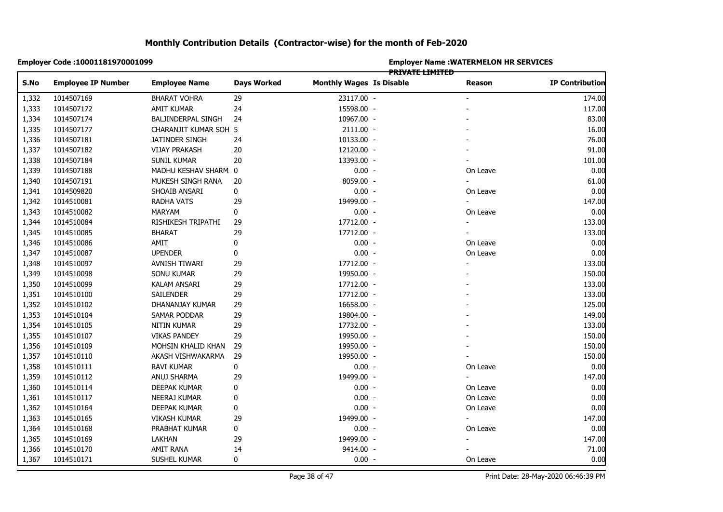|       | Employer Code: 10001181970001099 |                           |                    | <b>Employer Name : WATERMELON HR SERVICES</b><br><del>PRIVATE LIMITED</del> |  |                          |                        |  |
|-------|----------------------------------|---------------------------|--------------------|-----------------------------------------------------------------------------|--|--------------------------|------------------------|--|
| S.No  | <b>Employee IP Number</b>        | <b>Employee Name</b>      | <b>Days Worked</b> | <b>Monthly Wages Is Disable</b>                                             |  | Reason                   | <b>IP Contribution</b> |  |
| 1,332 | 1014507169                       | BHARAT VOHRA              | 29                 | 23117.00 -                                                                  |  |                          | 174.00                 |  |
| 1,333 | 1014507172                       | AMIT KUMAR                | 24                 | 15598.00 -                                                                  |  |                          | 117.00                 |  |
| 1,334 | 1014507174                       | <b>BALJINDERPAL SINGH</b> | 24                 | 10967.00 -                                                                  |  |                          | 83.00                  |  |
| 1,335 | 1014507177                       | CHARANJIT KUMAR SOH 5     |                    | 2111.00 -                                                                   |  |                          | 16.00                  |  |
| 1,336 | 1014507181                       | JATINDER SINGH            | 24                 | 10133.00 -                                                                  |  |                          | 76.00                  |  |
| 1,337 | 1014507182                       | <b>VIJAY PRAKASH</b>      | 20                 | 12120.00 -                                                                  |  |                          | 91.00                  |  |
| 1,338 | 1014507184                       | SUNIL KUMAR               | 20                 | 13393.00 -                                                                  |  |                          | 101.00                 |  |
| 1,339 | 1014507188                       | MADHU KESHAV SHARM 0      |                    | $0.00 -$                                                                    |  | On Leave                 | 0.00                   |  |
| 1,340 | 1014507191                       | MUKESH SINGH RANA         | 20                 | 8059.00 -                                                                   |  | $\blacksquare$           | 61.00                  |  |
| 1,341 | 1014509820                       | SHOAIB ANSARI             | 0                  | $0.00 -$                                                                    |  | On Leave                 | 0.00                   |  |
| 1,342 | 1014510081                       | RADHA VATS                | 29                 | 19499.00 -                                                                  |  | $\overline{\phantom{a}}$ | 147.00                 |  |
| 1,343 | 1014510082                       | MARYAM                    | 0                  | $0.00 -$                                                                    |  | On Leave                 | 0.00                   |  |
| 1,344 | 1014510084                       | RISHIKESH TRIPATHI        | 29                 | 17712.00 -                                                                  |  |                          | 133.00                 |  |
| 1,345 | 1014510085                       | <b>BHARAT</b>             | 29                 | 17712.00 -                                                                  |  |                          | 133.00                 |  |
| 1,346 | 1014510086                       | AMIT                      | $\pmb{0}$          | $0.00 -$                                                                    |  | On Leave                 | 0.00                   |  |
|       | 1014510087                       | <b>UPENDER</b>            | $\pmb{0}$          | $0.00 -$                                                                    |  | On Leave                 | 0.00                   |  |
|       | 1014510097                       | AVNISH TIWARI             | 29                 | 17712.00 -                                                                  |  |                          | 133.00                 |  |
|       | 1014510098                       | <b>SONU KUMAR</b>         | 29                 | 19950.00 -                                                                  |  |                          | 150.00                 |  |
|       | 1014510099                       | KALAM ANSARI              | 29                 | 17712.00 -                                                                  |  |                          | 133.00                 |  |
|       | 1014510100                       | SAILENDER                 | 29                 | 17712.00 -                                                                  |  |                          | 133.00                 |  |
|       | 1014510102                       | DHANANJAY KUMAR           | 29                 | 16658.00 -                                                                  |  |                          | 125.00                 |  |
| 1,353 | 1014510104                       | SAMAR PODDAR              | 29                 | 19804.00 -                                                                  |  |                          | 149.00                 |  |
|       | 1014510105                       | NITIN KUMAR               | 29                 | 17732.00 -                                                                  |  |                          | 133.00                 |  |
| 1,355 | 1014510107                       | <b>VIKAS PANDEY</b>       | 29                 | 19950.00 -                                                                  |  |                          | 150.00                 |  |
| 1,356 | 1014510109                       | MOHSIN KHALID KHAN        | 29                 | 19950.00 -                                                                  |  |                          | 150.00                 |  |
| 1,357 | 1014510110                       | AKASH VISHWAKARMA         | 29                 | 19950.00 -                                                                  |  |                          | 150.00                 |  |
| 1,358 | 1014510111                       | RAVI KUMAR                | $\pmb{0}$          | $0.00 -$                                                                    |  | On Leave                 | 0.00                   |  |
| 1,359 | 1014510112                       | ANUJ SHARMA               | 29                 | 19499.00 -                                                                  |  |                          | 147.00                 |  |
| 1,360 | 1014510114                       | DEEPAK KUMAR              | 0                  | $0.00 -$                                                                    |  | On Leave                 | 0.00                   |  |
|       | 1014510117                       | NEERAJ KUMAR              | 0                  | $0.00 -$                                                                    |  | On Leave                 | 0.00                   |  |
|       | 1014510164                       | DEEPAK KUMAR              | 0                  | $0.00 -$                                                                    |  | On Leave                 | 0.00                   |  |
| 1,363 | 1014510165                       | <b>VIKASH KUMAR</b>       | 29                 | 19499.00 -                                                                  |  | $\overline{\phantom{a}}$ | 147.00                 |  |
|       | 1014510168                       | PRABHAT KUMAR             | $\pmb{0}$          | $0.00 -$                                                                    |  | On Leave                 | 0.00                   |  |
| 1,365 | 1014510169                       | LAKHAN                    | 29                 | 19499.00 -                                                                  |  |                          | 147.00                 |  |
| 1,366 | 1014510170                       | AMIT RANA                 | 14                 | 9414.00 -                                                                   |  |                          | 71.00                  |  |
| 1,367 | 1014510171                       | SUSHEL KUMAR              | $\mathbf 0$        | $0.00 -$                                                                    |  | On Leave                 | 0.00                   |  |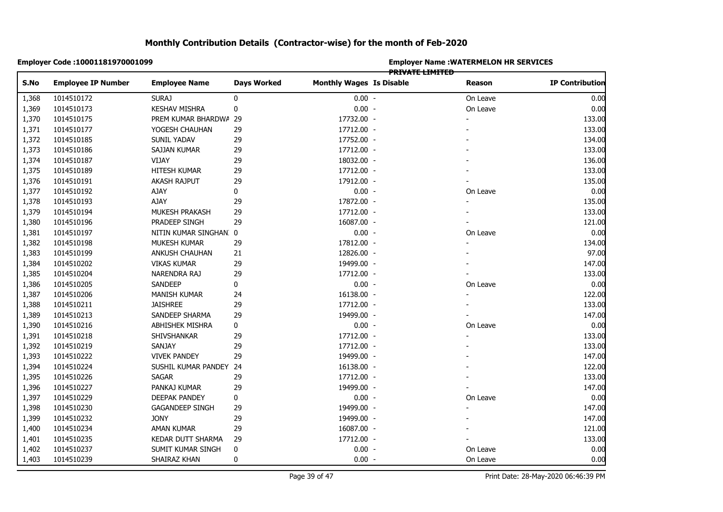|       | Employer Code : 10001181970001099 |                        |                    | <b>Employer Name : WATERMELON HR SERVICES</b><br><b>PRIVATE LIMITED</b> |  |                |                        |  |  |
|-------|-----------------------------------|------------------------|--------------------|-------------------------------------------------------------------------|--|----------------|------------------------|--|--|
| S.No  | <b>Employee IP Number</b>         | <b>Employee Name</b>   | <b>Days Worked</b> | <b>Monthly Wages Is Disable</b>                                         |  | Reason         | <b>IP Contribution</b> |  |  |
| 1,368 | 1014510172                        | SURAJ                  | 0                  | $0.00 -$                                                                |  | On Leave       | 0.00                   |  |  |
| 1,369 | 1014510173                        | <b>KESHAV MISHRA</b>   | 0                  | $0.00 -$                                                                |  | On Leave       | 0.00                   |  |  |
| 1,370 | 1014510175                        | PREM KUMAR BHARDWA 29  |                    | 17732.00 -                                                              |  |                | 133.00                 |  |  |
| 1,371 | 1014510177                        | YOGESH CHAUHAN         | 29                 | 17712.00 -                                                              |  |                | 133.00                 |  |  |
| 1,372 | 1014510185                        | <b>SUNIL YADAV</b>     | 29                 | 17752.00 -                                                              |  |                | 134.00                 |  |  |
| 1,373 | 1014510186                        | SAJJAN KUMAR           | 29                 | 17712.00 -                                                              |  |                | 133.00                 |  |  |
| 1,374 | 1014510187                        | VIJAY                  | 29                 | 18032.00 -                                                              |  |                | 136.00                 |  |  |
| 1,375 | 1014510189                        | HITESH KUMAR           | 29                 | 17712.00 -                                                              |  |                | 133.00                 |  |  |
| 1,376 | 1014510191                        | AKASH RAJPUT           | 29                 | 17912.00 -                                                              |  |                | 135.00                 |  |  |
| 1,377 | 1014510192                        | AJAY                   | 0                  | $0.00 -$                                                                |  | On Leave       | 0.00                   |  |  |
| 1,378 | 1014510193                        | AJAY                   | 29                 | 17872.00 -                                                              |  | $\blacksquare$ | 135.00                 |  |  |
| 1,379 | 1014510194                        | MUKESH PRAKASH         | 29                 | 17712.00 -                                                              |  |                | 133.00                 |  |  |
| 1,380 | 1014510196                        | PRADEEP SINGH          | 29                 | 16087.00 -                                                              |  |                | 121.00                 |  |  |
| 1,381 | 1014510197                        | NITIN KUMAR SINGHAN: 0 |                    | $0.00 -$                                                                |  | On Leave       | 0.00                   |  |  |
| 1,382 | 1014510198                        | MUKESH KUMAR           | 29                 | 17812.00 -                                                              |  |                | 134.00                 |  |  |
| 1,383 | 1014510199                        | ANKUSH CHAUHAN         | 21                 | 12826.00 -                                                              |  |                | 97.00                  |  |  |
| 1,384 | 1014510202                        | <b>VIKAS KUMAR</b>     | 29                 | 19499.00 -                                                              |  |                | 147.00                 |  |  |
| 1,385 | 1014510204                        | NARENDRA RAJ           | 29                 | 17712.00 -                                                              |  |                | 133.00                 |  |  |
| 1,386 | 1014510205                        | SANDEEP                | 0                  | $0.00 -$                                                                |  | On Leave       | 0.00                   |  |  |
| 1,387 | 1014510206                        | MANISH KUMAR           | 24                 | 16138.00 -                                                              |  |                | 122.00                 |  |  |
| 1,388 | 1014510211                        | <b>JAISHREE</b>        | 29                 | 17712.00 -                                                              |  |                | 133.00                 |  |  |
| 1,389 | 1014510213                        | SANDEEP SHARMA         | 29                 | 19499.00 -                                                              |  |                | 147.00                 |  |  |
| 1,390 | 1014510216                        | ABHISHEK MISHRA        | 0                  | $0.00 -$                                                                |  | On Leave       | 0.00                   |  |  |
| 1,391 | 1014510218                        | SHIVSHANKAR            | 29                 | 17712.00 -                                                              |  |                | 133.00                 |  |  |
| 1,392 | 1014510219                        | SANJAY                 | 29                 | 17712.00 -                                                              |  |                | 133.00                 |  |  |
| 1,393 | 1014510222                        | <b>VIVEK PANDEY</b>    | 29                 | 19499.00 -                                                              |  |                | 147.00                 |  |  |
| 1,394 | 1014510224                        | SUSHIL KUMAR PANDEY 24 |                    | 16138.00 -                                                              |  |                | 122.00                 |  |  |
| 1,395 | 1014510226                        | <b>SAGAR</b>           | 29                 | 17712.00 -                                                              |  |                | 133.00                 |  |  |
| 1,396 | 1014510227                        | PANKAJ KUMAR           | 29                 | 19499.00 -                                                              |  |                | 147.00                 |  |  |
| 1,397 | 1014510229                        | DEEPAK PANDEY          | 0                  | $0.00 -$                                                                |  | On Leave       | 0.00                   |  |  |
| 1,398 | 1014510230                        | <b>GAGANDEEP SINGH</b> | 29                 | 19499.00 -                                                              |  |                | 147.00                 |  |  |
| 1,399 | 1014510232                        | <b>JONY</b>            | 29                 | 19499.00 -                                                              |  |                | 147.00                 |  |  |
| 1,400 | 1014510234                        | AMAN KUMAR             | 29                 | 16087.00 -                                                              |  |                | 121.00                 |  |  |
| 1,401 | 1014510235                        | KEDAR DUTT SHARMA      | 29                 | 17712.00 -                                                              |  |                | 133.00                 |  |  |
| 1,402 | 1014510237                        | SUMIT KUMAR SINGH      | $\pmb{0}$          | $0.00 -$                                                                |  | On Leave       | 0.00                   |  |  |
| 1,403 | 1014510239                        | SHAIRAZ KHAN           | $\mathbf 0$        | $0.00 -$                                                                |  | On Leave       | 0.00                   |  |  |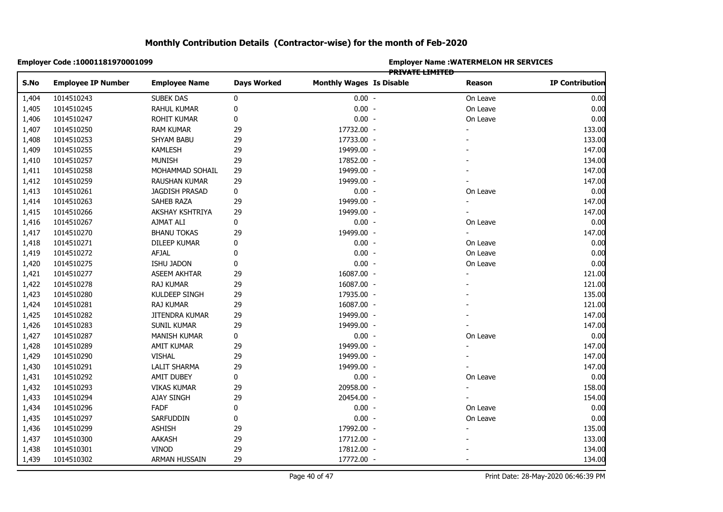|       | Employer Code: 10001181970001099 |                      |                    | <b>Employer Name: WATERMELON HR SERVICES</b><br>PRIVATE LIMITED |  |                |                        |  |  |
|-------|----------------------------------|----------------------|--------------------|-----------------------------------------------------------------|--|----------------|------------------------|--|--|
| S.No  | <b>Employee IP Number</b>        | <b>Employee Name</b> | <b>Days Worked</b> | <b>Monthly Wages Is Disable</b>                                 |  | <b>Reason</b>  | <b>IP Contribution</b> |  |  |
| 1,404 | 1014510243                       | SUBEK DAS            | 0                  | $0.00 -$                                                        |  | On Leave       | 0.00                   |  |  |
| 1,405 | 1014510245                       | RAHUL KUMAR          | 0                  | $0.00 -$                                                        |  | On Leave       | 0.00                   |  |  |
| 1,406 | 1014510247                       | ROHIT KUMAR          | 0                  | $0.00 -$                                                        |  | On Leave       | 0.00                   |  |  |
| 1,407 | 1014510250                       | <b>RAM KUMAR</b>     | 29                 | 17732.00 -                                                      |  |                | 133.00                 |  |  |
| 1,408 | 1014510253                       | SHYAM BABU           | 29                 | 17733.00 -                                                      |  |                | 133.00                 |  |  |
| 1,409 | 1014510255                       | <b>KAMLESH</b>       | 29                 | 19499.00 -                                                      |  |                | 147.00                 |  |  |
| 1,410 | 1014510257                       | <b>MUNISH</b>        | 29                 | 17852.00 -                                                      |  |                | 134.00                 |  |  |
| 1,411 | 1014510258                       | MOHAMMAD SOHAIL      | 29                 | 19499.00 -                                                      |  |                | 147.00                 |  |  |
| 1,412 | 1014510259                       | RAUSHAN KUMAR        | 29                 | 19499.00 -                                                      |  |                | 147.00                 |  |  |
| 1,413 | 1014510261                       | JAGDISH PRASAD       | 0                  | $0.00 -$                                                        |  | On Leave       | 0.00                   |  |  |
| 1,414 | 1014510263                       | SAHEB RAZA           | 29                 | 19499.00 -                                                      |  | $\blacksquare$ | 147.00                 |  |  |
| 1,415 | 1014510266                       | AKSHAY KSHTRIYA      | 29                 | 19499.00 -                                                      |  |                | 147.00                 |  |  |
| 1,416 | 1014510267                       | AJMAT ALI            | 0                  | $0.00 -$                                                        |  | On Leave       | 0.00                   |  |  |
| 1,417 | 1014510270                       | <b>BHANU TOKAS</b>   | 29                 | 19499.00 -                                                      |  |                | 147.00                 |  |  |
| 1,418 | 1014510271                       | DILEEP KUMAR         | 0                  | $0.00 -$                                                        |  | On Leave       | 0.00                   |  |  |
| 1,419 | 1014510272                       | AFJAL                | $\pmb{0}$          | $0.00 -$                                                        |  | On Leave       | 0.00                   |  |  |
| 1,420 | 1014510275                       | ISHU JADON           | 0                  | $0.00 -$                                                        |  | On Leave       | 0.00                   |  |  |
| 1,421 | 1014510277                       | ASEEM AKHTAR         | 29                 | 16087.00 -                                                      |  |                | 121.00                 |  |  |
| 1,422 | 1014510278                       | <b>RAJ KUMAR</b>     | 29                 | 16087.00 -                                                      |  |                | 121.00                 |  |  |
| 1,423 | 1014510280                       | KULDEEP SINGH        | 29                 | 17935.00 -                                                      |  |                | 135.00                 |  |  |
| 1,424 | 1014510281                       | <b>RAJ KUMAR</b>     | 29                 | 16087.00 -                                                      |  |                | 121.00                 |  |  |
| 1,425 | 1014510282                       | JITENDRA KUMAR       | 29                 | 19499.00 -                                                      |  |                | 147.00                 |  |  |
| 1,426 | 1014510283                       | SUNIL KUMAR          | 29                 | 19499.00 -                                                      |  |                | 147.00                 |  |  |
| 1,427 | 1014510287                       | MANISH KUMAR         | 0                  | $0.00 -$                                                        |  | On Leave       | 0.00                   |  |  |
| 1,428 | 1014510289                       | AMIT KUMAR           | 29                 | 19499.00 -                                                      |  |                | 147.00                 |  |  |
| 1,429 | 1014510290                       | VISHAL               | 29                 | 19499.00 -                                                      |  |                | 147.00                 |  |  |
| 1,430 | 1014510291                       | <b>LALIT SHARMA</b>  | 29                 | 19499.00 -                                                      |  |                | 147.00                 |  |  |
| 1,431 | 1014510292                       | <b>AMIT DUBEY</b>    | 0                  | $0.00 -$                                                        |  | On Leave       | 0.00                   |  |  |
| 1,432 | 1014510293                       | <b>VIKAS KUMAR</b>   | 29                 | 20958.00 -                                                      |  |                | 158.00                 |  |  |
| 1,433 | 1014510294                       | <b>AJAY SINGH</b>    | 29                 | 20454.00 -                                                      |  |                | 154.00                 |  |  |
| 1,434 | 1014510296                       | <b>FADF</b>          | 0                  | $0.00 -$                                                        |  | On Leave       | 0.00                   |  |  |
| 1,435 | 1014510297                       | SARFUDDIN            | 0                  | $0.00 -$                                                        |  | On Leave       | 0.00                   |  |  |
| 1,436 | 1014510299                       | <b>ASHISH</b>        | 29                 | 17992.00 -                                                      |  |                | 135.00                 |  |  |
| 1,437 | 1014510300                       | AAKASH               | 29                 | 17712.00 -                                                      |  |                | 133.00                 |  |  |
| 1,438 | 1014510301                       | VINOD                | 29                 | 17812.00 -                                                      |  |                | 134.00                 |  |  |
| 1,439 | 1014510302                       | <b>ARMAN HUSSAIN</b> | 29                 | 17772.00 -                                                      |  |                | 134.00                 |  |  |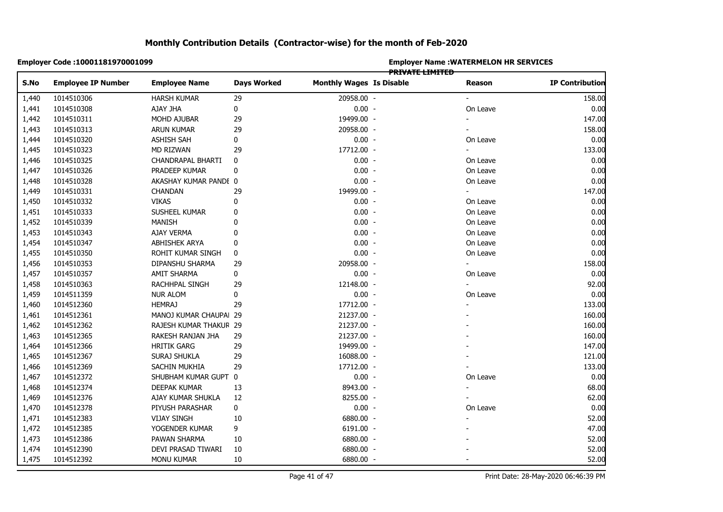|       | Employer Code : 10001181970001099 |                        |                    | <b>Employer Name : WATERMELON HR SERVICES</b><br><b>PRIVATE LIMITED</b> |  |          |                        |  |  |
|-------|-----------------------------------|------------------------|--------------------|-------------------------------------------------------------------------|--|----------|------------------------|--|--|
| S.No  | <b>Employee IP Number</b>         | <b>Employee Name</b>   | <b>Days Worked</b> | <b>Monthly Wages Is Disable</b>                                         |  | Reason   | <b>IP Contribution</b> |  |  |
| 1,440 | 1014510306                        | <b>HARSH KUMAR</b>     | 29                 | 20958.00 -                                                              |  |          | 158.00                 |  |  |
| 1,441 | 1014510308                        | AJAY JHA               | 0                  | $0.00 -$                                                                |  | On Leave | 0.00                   |  |  |
| 1,442 | 1014510311                        | MOHD AJUBAR            | 29                 | 19499.00 -                                                              |  |          | 147.00                 |  |  |
| 1,443 | 1014510313                        | ARUN KUMAR             | 29                 | 20958.00 -                                                              |  |          | 158.00                 |  |  |
| 1,444 | 1014510320                        | <b>ASHISH SAH</b>      | 0                  | $0.00 -$                                                                |  | On Leave | 0.00                   |  |  |
| 1,445 | 1014510323                        | MD RIZWAN              | 29                 | 17712.00 -                                                              |  |          | 133.00                 |  |  |
| 1,446 | 1014510325                        | CHANDRAPAL BHARTI      | 0                  | $0.00 -$                                                                |  | On Leave | 0.00                   |  |  |
| 1,447 | 1014510326                        | PRADEEP KUMAR          | 0                  | $0.00 -$                                                                |  | On Leave | 0.00                   |  |  |
| 1,448 | 1014510328                        | AKASHAY KUMAR PANDI 0  |                    | $0.00 -$                                                                |  | On Leave | 0.00                   |  |  |
| 1,449 | 1014510331                        | <b>CHANDAN</b>         | 29                 | 19499.00 -                                                              |  | $\sim$   | 147.00                 |  |  |
| 1,450 | 1014510332                        | <b>VIKAS</b>           | 0                  | $0.00 -$                                                                |  | On Leave | 0.00                   |  |  |
| 1,451 | 1014510333                        | SUSHEEL KUMAR          | $\mathbf 0$        | $0.00 -$                                                                |  | On Leave | 0.00                   |  |  |
| 1,452 | 1014510339                        | <b>MANISH</b>          | 0                  | $0.00 -$                                                                |  | On Leave | 0.00                   |  |  |
| 1,453 | 1014510343                        | AJAY VERMA             | 0                  | $0.00 -$                                                                |  | On Leave | 0.00                   |  |  |
| 1,454 | 1014510347                        | ABHISHEK ARYA          | 0                  | $0.00 -$                                                                |  | On Leave | 0.00                   |  |  |
| 1,455 | 1014510350                        | ROHIT KUMAR SINGH      | $\pmb{0}$          | $0.00 -$                                                                |  | On Leave | 0.00                   |  |  |
| 1,456 | 1014510353                        | DIPANSHU SHARMA        | 29                 | 20958.00 -                                                              |  |          | 158.00                 |  |  |
| 1,457 | 1014510357                        | AMIT SHARMA            | 0                  | $0.00 -$                                                                |  | On Leave | 0.00                   |  |  |
| 1,458 | 1014510363                        | RACHHPAL SINGH         | 29                 | 12148.00 -                                                              |  |          | 92.00                  |  |  |
| 1,459 | 1014511359                        | <b>NUR ALOM</b>        | 0                  | $0.00 -$                                                                |  | On Leave | 0.00                   |  |  |
| 1,460 | 1014512360                        | <b>HEMRAJ</b>          | 29                 | 17712.00 -                                                              |  |          | 133.00                 |  |  |
| 1,461 | 1014512361                        | MANOJ KUMAR CHAUPAI 29 |                    | 21237.00 -                                                              |  |          | 160.00                 |  |  |
| 1,462 | 1014512362                        | RAJESH KUMAR THAKUR 29 |                    | 21237.00 -                                                              |  |          | 160.00                 |  |  |
| 1,463 | 1014512365                        | RAKESH RANJAN JHA      | 29                 | 21237.00 -                                                              |  |          | 160.00                 |  |  |
| 1,464 | 1014512366                        | <b>HRITIK GARG</b>     | 29                 | 19499.00 -                                                              |  |          | 147.00                 |  |  |
| 1,465 | 1014512367                        | SURAJ SHUKLA           | 29                 | 16088.00 -                                                              |  |          | 121.00                 |  |  |
| 1,466 | 1014512369                        | SACHIN MUKHIA          | 29                 | 17712.00 -                                                              |  |          | 133.00                 |  |  |
| 1,467 | 1014512372                        | SHUBHAM KUMAR GUPT 0   |                    | $0.00 -$                                                                |  | On Leave | 0.00                   |  |  |
| 1,468 | 1014512374                        | DEEPAK KUMAR           | 13                 | 8943.00 -                                                               |  |          | 68.00                  |  |  |
| 1,469 | 1014512376                        | AJAY KUMAR SHUKLA      | 12                 | 8255.00 -                                                               |  |          | 62.00                  |  |  |
| 1,470 | 1014512378                        | PIYUSH PARASHAR        | 0                  | $0.00 -$                                                                |  | On Leave | 0.00                   |  |  |
| 1,471 | 1014512383                        | <b>VIJAY SINGH</b>     | 10                 | 6880.00 -                                                               |  |          | 52.00                  |  |  |
| 1,472 | 1014512385                        | YOGENDER KUMAR         | 9                  | 6191.00 -                                                               |  |          | 47.00                  |  |  |
| 1,473 | 1014512386                        | PAWAN SHARMA           | 10                 | 6880.00 -                                                               |  |          | 52.00                  |  |  |
| 1,474 | 1014512390                        | DEVI PRASAD TIWARI     | 10                 | 6880.00 -                                                               |  |          | 52.00                  |  |  |
| 1,475 | 1014512392                        | monu kumar             | 10                 | 6880.00 -                                                               |  |          | 52.00                  |  |  |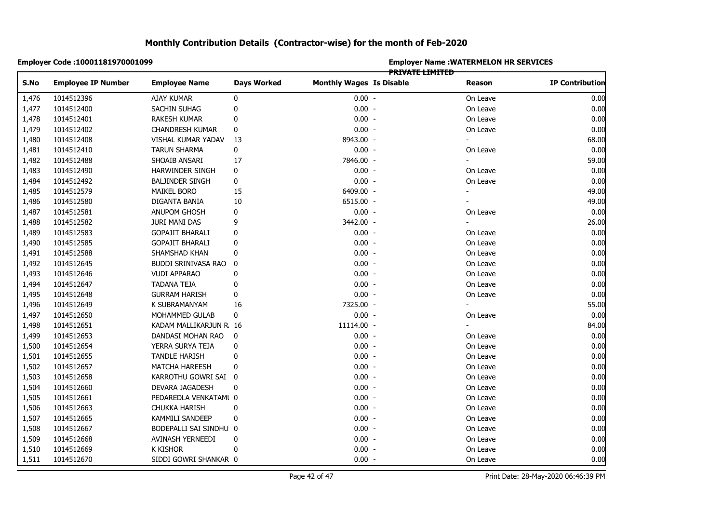|       | Employer Code : 10001181970001099 |                        |                    | <b>Employer Name : WATERMELON HR SERVICES</b><br><b>PRIVATE LIMITED</b> |  |                |                        |  |  |
|-------|-----------------------------------|------------------------|--------------------|-------------------------------------------------------------------------|--|----------------|------------------------|--|--|
| S.No  | <b>Employee IP Number</b>         | <b>Employee Name</b>   | <b>Days Worked</b> | <b>Monthly Wages Is Disable</b>                                         |  | Reason         | <b>IP Contribution</b> |  |  |
| 1,476 | 1014512396                        | AJAY KUMAR             | 0                  | $0.00 -$                                                                |  | On Leave       | 0.00                   |  |  |
| 1,477 | 1014512400                        | SACHIN SUHAG           | 0                  | $0.00 -$                                                                |  | On Leave       | 0.00                   |  |  |
| 1,478 | 1014512401                        | RAKESH KUMAR           | 0                  | $0.00 -$                                                                |  | On Leave       | 0.00                   |  |  |
| 1,479 | 1014512402                        | <b>CHANDRESH KUMAR</b> | 0                  | $0.00 -$                                                                |  | On Leave       | 0.00                   |  |  |
| 1,480 | 1014512408                        | VISHAL KUMAR YADAV     | 13                 | 8943.00 -                                                               |  |                | 68.00                  |  |  |
| 1,481 | 1014512410                        | <b>TARUN SHARMA</b>    | $\pmb{0}$          | $0.00 -$                                                                |  | On Leave       | 0.00                   |  |  |
| 1,482 | 1014512488                        | SHOAIB ANSARI          | 17                 | 7846.00 -                                                               |  | $\blacksquare$ | 59.00                  |  |  |
| 1,483 | 1014512490                        | HARWINDER SINGH        | 0                  | $0.00 -$                                                                |  | On Leave       | 0.00                   |  |  |
| 1,484 | 1014512492                        | <b>BALJINDER SINGH</b> | 0                  | $0.00 -$                                                                |  | On Leave       | 0.00                   |  |  |
| 1,485 | 1014512579                        | <b>MAIKEL BORO</b>     | 15                 | 6409.00 -                                                               |  |                | 49.00                  |  |  |
| 1,486 | 1014512580                        | DIGANTA BANIA          | 10                 | 6515.00 -                                                               |  | $\blacksquare$ | 49.00                  |  |  |
| 1,487 | 1014512581                        | ANUPOM GHOSH           | 0                  | $0.00 -$                                                                |  | On Leave       | 0.00                   |  |  |
| 1,488 | 1014512582                        | JURI MANI DAS          | 9                  | 3442.00 -                                                               |  |                | 26.00                  |  |  |
| 1,489 | 1014512583                        | <b>GOPAJIT BHARALI</b> | 0                  | $0.00 -$                                                                |  | On Leave       | 0.00                   |  |  |
| 1,490 | 1014512585                        | <b>GOPAJIT BHARALI</b> | 0                  | $0.00 -$                                                                |  | On Leave       | 0.00                   |  |  |
| 1,491 | 1014512588                        | SHAMSHAD KHAN          | 0                  | $0.00 -$                                                                |  | On Leave       | 0.00                   |  |  |
| 1,492 | 1014512645                        | BUDDI SRINIVASA RAO    | 0                  | $0.00 -$                                                                |  | On Leave       | 0.00                   |  |  |
| 1,493 | 1014512646                        | <b>VUDI APPARAO</b>    | $\mathbf 0$        | $0.00 -$                                                                |  | On Leave       | 0.00                   |  |  |
| 1,494 | 1014512647                        | <b>TADANA TEJA</b>     | 0                  | $0.00 -$                                                                |  | On Leave       | 0.00                   |  |  |
| 1,495 | 1014512648                        | <b>GURRAM HARISH</b>   | 0                  | $0.00 -$                                                                |  | On Leave       | 0.00                   |  |  |
| 1,496 | 1014512649                        | K SUBRAMANYAM          | 16                 | 7325.00 -                                                               |  |                | 55.00                  |  |  |
| 1,497 | 1014512650                        | MOHAMMED GULAB         | 0                  | $0.00 -$                                                                |  | On Leave       | 0.00                   |  |  |
| 1,498 | 1014512651                        | KADAM MALLIKARJUN R 16 |                    | 11114.00 -                                                              |  |                | 84.00                  |  |  |
| 1,499 | 1014512653                        | DANDASI MOHAN RAO      | 0                  | $0.00 -$                                                                |  | On Leave       | 0.00                   |  |  |
| 1,500 | 1014512654                        | YERRA SURYA TEJA       | 0                  | $0.00 -$                                                                |  | On Leave       | 0.00                   |  |  |
| 1,501 | 1014512655                        | <b>TANDLE HARISH</b>   | 0                  | $0.00 -$                                                                |  | On Leave       | 0.00                   |  |  |
| 1,502 | 1014512657                        | <b>MATCHA HAREESH</b>  | 0                  | $0.00 -$                                                                |  | On Leave       | 0.00                   |  |  |
| 1,503 | 1014512658                        | KARROTHU GOWRI SAI     | - 0                | $0.00 -$                                                                |  | On Leave       | 0.00                   |  |  |
| 1,504 | 1014512660                        | DEVARA JAGADESH        | 0                  | $0.00 -$                                                                |  | On Leave       | 0.00                   |  |  |
| 1,505 | 1014512661                        | PEDAREDLA VENKATAMI 0  |                    | $0.00 -$                                                                |  | On Leave       | 0.00                   |  |  |
| 1,506 | 1014512663                        | <b>CHUKKA HARISH</b>   | 0                  | $0.00 -$                                                                |  | On Leave       | 0.00                   |  |  |
| 1,507 | 1014512665                        | KAMMILI SANDEEP        | 0                  | $0.00 -$                                                                |  | On Leave       | 0.00                   |  |  |
| 1,508 | 1014512667                        | BODEPALLI SAI SINDHU 0 |                    | $0.00 -$                                                                |  | On Leave       | 0.00                   |  |  |
| 1,509 | 1014512668                        | AVINASH YERNEEDI       | 0                  | $0.00 -$                                                                |  | On Leave       | 0.00                   |  |  |
| 1,510 | 1014512669                        | <b>K KISHOR</b>        | $\mathbf{0}$       | $0.00 -$                                                                |  | On Leave       | 0.00                   |  |  |
| 1,511 | 1014512670                        | SIDDI GOWRI SHANKAR 0  |                    | $0.00 -$                                                                |  | On Leave       | 0.00                   |  |  |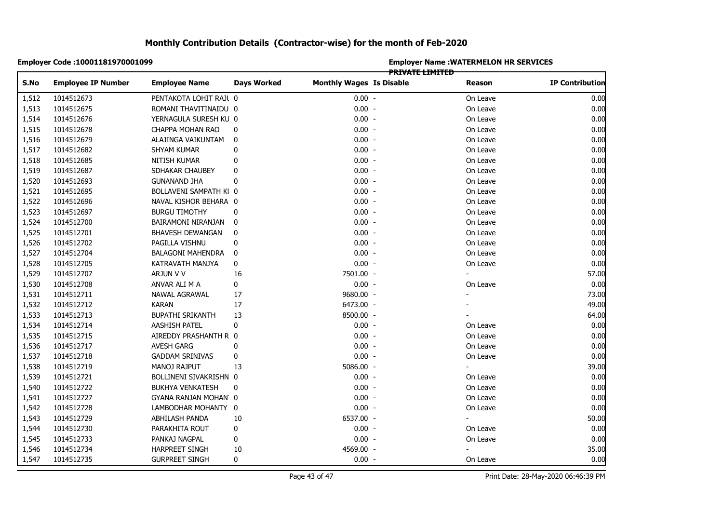|       | Employer Code :10001181970001099 |                          |                    |                                 |                        | <b>Employer Name: WATERMELON HR SERVICES</b> |                        |
|-------|----------------------------------|--------------------------|--------------------|---------------------------------|------------------------|----------------------------------------------|------------------------|
| S.No  | <b>Employee IP Number</b>        | <b>Employee Name</b>     | <b>Days Worked</b> | <b>Monthly Wages Is Disable</b> | <b>PRIVATE LIMITED</b> | Reason                                       | <b>IP Contribution</b> |
| 1,512 | 1014512673                       | PENTAKOTA LOHIT RAJI 0   |                    | $0.00 -$                        |                        | On Leave                                     | 0.00                   |
| 1,513 | 1014512675                       | ROMANI THAVITINAIDU 0    |                    | $0.00 -$                        |                        | On Leave                                     | 0.00                   |
| 1,514 | 1014512676                       | YERNAGULA SURESH KU 0    |                    | $0.00 -$                        |                        | On Leave                                     | 0.00                   |
| 1,515 | 1014512678                       | CHAPPA MOHAN RAO         | 0                  | $0.00 -$                        |                        | On Leave                                     | 0.00                   |
| 1,516 | 1014512679                       | ALAJINGA VAIKUNTAM       | 0                  | $0.00 -$                        |                        | On Leave                                     | 0.00                   |
| 1,517 | 1014512682                       | SHYAM KUMAR              | 0                  | $0.00 -$                        |                        | On Leave                                     | 0.00                   |
| 1,518 | 1014512685                       | NITISH KUMAR             | 0                  | $0.00 -$                        |                        | On Leave                                     | 0.00                   |
| 1,519 | 1014512687                       | SDHAKAR CHAUBEY          | 0                  | $0.00 -$                        |                        | On Leave                                     | 0.00                   |
| 1,520 | 1014512693                       | <b>GUNANAND JHA</b>      | 0                  | $0.00 -$                        |                        | On Leave                                     | 0.00                   |
| 1,521 | 1014512695                       | BOLLAVENI SAMPATH KI 0   |                    | $0.00 -$                        |                        | On Leave                                     | 0.00                   |
| 1,522 | 1014512696                       | NAVAL KISHOR BEHARA 0    |                    | $0.00 -$                        |                        | On Leave                                     | 0.00                   |
| 1,523 | 1014512697                       | <b>BURGU TIMOTHY</b>     | 0                  | $0.00 -$                        |                        | On Leave                                     | 0.00                   |
| 1,524 | 1014512700                       | BAIRAMONI NIRANJAN       | 0                  | $0.00 -$                        |                        | On Leave                                     | 0.00                   |
| 1,525 | 1014512701                       | BHAVESH DEWANGAN         | 0                  | $0.00 -$                        |                        | On Leave                                     | 0.00                   |
| 1,526 | 1014512702                       | PAGILLA VISHNU           | 0                  | $0.00 -$                        |                        | On Leave                                     | 0.00                   |
| 1,527 | 1014512704                       | <b>BALAGONI MAHENDRA</b> | 0                  | $0.00 -$                        |                        | On Leave                                     | 0.00                   |
| 1,528 | 1014512705                       | KATRAVATH MANJYA         | 0                  | $0.00 -$                        |                        | On Leave                                     | 0.00                   |
| 1,529 | 1014512707                       | ARJUN V V                | 16                 | 7501.00 -                       |                        | $\overline{\phantom{0}}$                     | 57.00                  |
| 1,530 | 1014512708                       | ANVAR ALI M A            | 0                  | $0.00 -$                        |                        | On Leave                                     | 0.00                   |
| 1,531 | 1014512711                       | NAWAL AGRAWAL            | 17                 | 9680.00 -                       |                        |                                              | 73.00                  |
| 1,532 | 1014512712                       | <b>KARAN</b>             | 17                 | 6473.00 -                       |                        |                                              | 49.00                  |
| 1,533 | 1014512713                       | <b>BUPATHI SRIKANTH</b>  | 13                 | 8500.00 -                       |                        |                                              | 64.00                  |
| 1,534 | 1014512714                       | AASHISH PATEL            | 0                  | $0.00 -$                        |                        | On Leave                                     | 0.00                   |
| 1,535 | 1014512715                       | AIREDDY PRASHANTH R 0    |                    | $0.00 -$                        |                        | On Leave                                     | 0.00                   |
| 1,536 | 1014512717                       | <b>AVESH GARG</b>        | 0                  | $0.00 -$                        |                        | On Leave                                     | 0.00                   |
| 1,537 | 1014512718                       | <b>GADDAM SRINIVAS</b>   | 0                  | $0.00 -$                        |                        | On Leave                                     | 0.00                   |
| 1,538 | 1014512719                       | MANOJ RAJPUT             | 13                 | 5086.00 -                       |                        | $\blacksquare$                               | 39.00                  |
| 1,539 | 1014512721                       | BOLLINENI SIVAKRISHN 0   |                    | $0.00 -$                        |                        | On Leave                                     | 0.00                   |
| 1,540 | 1014512722                       | <b>BUKHYA VENKATESH</b>  | 0                  | $0.00 -$                        |                        | On Leave                                     | 0.00                   |
| 1,541 | 1014512727                       | GYANA RANJAN MOHAN 0     |                    | $0.00 -$                        |                        | On Leave                                     | 0.00                   |
| 1,542 | 1014512728                       | LAMBODHAR MOHANTY 0      |                    | $0.00 -$                        |                        | On Leave                                     | 0.00                   |
| 1,543 | 1014512729                       | ABHILASH PANDA           | 10                 | 6537.00 -                       |                        |                                              | 50.00                  |
| 1,544 | 1014512730                       | PARAKHITA ROUT           | 0                  | $0.00 -$                        |                        | On Leave                                     | 0.00                   |
| 1,545 | 1014512733                       | PANKAJ NAGPAL            | 0                  | $0.00 -$                        |                        | On Leave                                     | 0.00                   |
| 1,546 | 1014512734                       | <b>HARPREET SINGH</b>    | 10                 | 4569.00 -                       |                        |                                              | 35.00                  |
| 1,547 | 1014512735                       | <b>GURPREET SINGH</b>    | 0                  | $0.00 -$                        |                        | On Leave                                     | 0.00                   |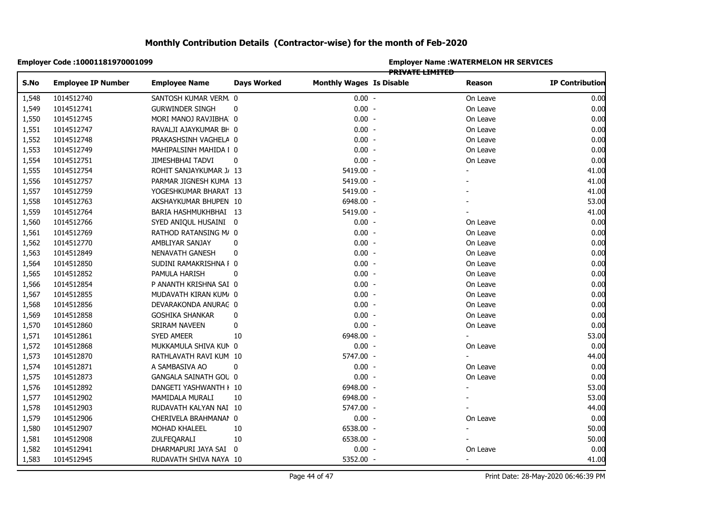|       | Employer Code: 10001181970001099 |                         |                    |                                 |                 | <b>Employer Name: WATERMELON HR SERVICES</b> |                        |
|-------|----------------------------------|-------------------------|--------------------|---------------------------------|-----------------|----------------------------------------------|------------------------|
| S.No  | <b>Employee IP Number</b>        | <b>Employee Name</b>    | <b>Days Worked</b> | <b>Monthly Wages Is Disable</b> | PRIVATE LIMITED | Reason                                       | <b>IP Contribution</b> |
| 1,548 | 1014512740                       | SANTOSH KUMAR VERM. 0   |                    | $0.00 -$                        |                 | On Leave                                     | 0.00                   |
| 1,549 | 1014512741                       | <b>GURWINDER SINGH</b>  | 0                  | $0.00 -$                        |                 | On Leave                                     | 0.00                   |
| 1,550 | 1014512745                       | MORI MANOJ RAVJIBHA 0   |                    | $0.00 -$                        |                 | On Leave                                     | 0.00                   |
| 1,551 | 1014512747                       | RAVALJI AJAYKUMAR BH 0  |                    | $0.00 -$                        |                 | On Leave                                     | 0.00                   |
| 1,552 | 1014512748                       | PRAKASHSINH VAGHELA 0   |                    | $0.00 -$                        |                 | On Leave                                     | 0.00                   |
| 1,553 | 1014512749                       | MAHIPALSINH MAHIDA I 0  |                    | $0.00 -$                        |                 | On Leave                                     | 0.00                   |
| 1,554 | 1014512751                       | JIMESHBHAI TADVI        | 0                  | $0.00 -$                        |                 | On Leave                                     | 0.00                   |
| 1,555 | 1014512754                       | ROHIT SANJAYKUMAR J/ 13 |                    | 5419.00 -                       |                 |                                              | 41.00                  |
| 1,556 | 1014512757                       | PARMAR JIGNESH KUMA 13  |                    | 5419.00 -                       |                 |                                              | 41.00                  |
| 1,557 | 1014512759                       | YOGESHKUMAR BHARAT 13   |                    | 5419.00 -                       |                 |                                              | 41.00                  |
| 1,558 | 1014512763                       | AKSHAYKUMAR BHUPEN 10   |                    | 6948.00 -                       |                 |                                              | 53.00                  |
| 1,559 | 1014512764                       | BARIA HASHMUKHBHAI 13   |                    | 5419.00 -                       |                 |                                              | 41.00                  |
| 1,560 | 1014512766                       | SYED ANIQUL HUSAINI 0   |                    | $0.00 -$                        |                 | On Leave                                     | 0.00                   |
| 1,561 | 1014512769                       | RATHOD RATANSING M/ 0   |                    | $0.00 -$                        |                 | On Leave                                     | 0.00                   |
| 1,562 | 1014512770                       | AMBLIYAR SANJAY         | 0                  | $0.00 -$                        |                 | On Leave                                     | 0.00                   |
| 1,563 | 1014512849                       | NENAVATH GANESH         | 0                  | $0.00 -$                        |                 | On Leave                                     | 0.00                   |
| 1,564 | 1014512850                       | SUDINI RAMAKRISHNA I 0  |                    | $0.00 -$                        |                 | On Leave                                     | 0.00                   |
| 1,565 | 1014512852                       | PAMULA HARISH           | 0                  | $0.00 -$                        |                 | On Leave                                     | 0.00                   |
| 1,566 | 1014512854                       | P ANANTH KRISHNA SAI 0  |                    | $0.00 -$                        |                 | On Leave                                     | 0.00                   |
| 1,567 | 1014512855                       | MUDAVATH KIRAN KUM/ 0   |                    | $0.00 -$                        |                 | On Leave                                     | 0.00                   |
| 1,568 | 1014512856                       | DEVARAKONDA ANURAC 0    |                    | $0.00 -$                        |                 | On Leave                                     | 0.00                   |
| 1,569 | 1014512858                       | <b>GOSHIKA SHANKAR</b>  | 0                  | $0.00 -$                        |                 | On Leave                                     | 0.00                   |
| 1,570 | 1014512860                       | SRIRAM NAVEEN           | 0                  | $0.00 -$                        |                 | On Leave                                     | 0.00                   |
| 1,571 | 1014512861                       | SYED AMEER              | 10                 | 6948.00 -                       |                 |                                              | 53.00                  |
| 1,572 | 1014512868                       | MUKKAMULA SHIVA KUN 0   |                    | $0.00 -$                        |                 | On Leave                                     | 0.00                   |
| 1,573 | 1014512870                       | RATHLAVATH RAVI KUM 10  |                    | 5747.00 -                       |                 |                                              | 44.00                  |
| 1,574 | 1014512871                       | A SAMBASIVA AO          | 0                  | $0.00 -$                        |                 | On Leave                                     | 0.00                   |
| 1,575 | 1014512873                       | GANGALA SAINATH GOU 0   |                    | $0.00 -$                        |                 | On Leave                                     | 0.00                   |
| 1,576 | 1014512892                       | DANGETI YASHWANTH I 10  |                    | 6948.00 -                       |                 |                                              | 53.00                  |
| 1,577 | 1014512902                       | MAMIDALA MURALI         | 10                 | 6948.00 -                       |                 |                                              | 53.00                  |
| 1,578 | 1014512903                       | RUDAVATH KALYAN NAI 10  |                    | 5747.00 -                       |                 |                                              | 44.00                  |
| 1,579 | 1014512906                       | CHERIVELA BRAHMANAN 0   |                    | $0.00 -$                        |                 | On Leave                                     | 0.00                   |
| 1,580 | 1014512907                       | MOHAD KHALEEL           | 10                 | 6538.00 -                       |                 |                                              | 50.00                  |
| 1,581 | 1014512908                       | ZULFEQARALI             | 10                 | 6538.00 -                       |                 |                                              | 50.00                  |
| 1,582 | 1014512941                       | DHARMAPURI JAYA SAI 0   |                    | $0.00 -$                        |                 | On Leave                                     | 0.00                   |
| 1,583 | 1014512945                       | RUDAVATH SHIVA NAYA 10  |                    | 5352.00 -                       |                 | $\blacksquare$                               | 41.00                  |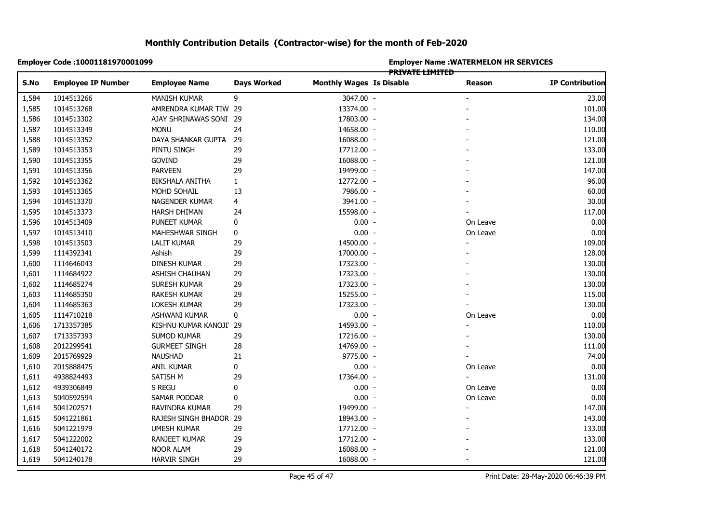|                | Employer Code : 10001181970001099 |                        |                    | <b>Employer Name : WATERMELON HR SERVICES</b><br><del>PRIVATE LIMITED</del> |  |          |                        |  |  |
|----------------|-----------------------------------|------------------------|--------------------|-----------------------------------------------------------------------------|--|----------|------------------------|--|--|
| S.No           | <b>Employee IP Number</b>         | <b>Employee Name</b>   | <b>Days Worked</b> | <b>Monthly Wages Is Disable</b>                                             |  | Reason   | <b>IP Contribution</b> |  |  |
| 1,584          | 1014513266                        | <b>MANISH KUMAR</b>    | 9                  | 3047.00 -                                                                   |  |          | 23.00                  |  |  |
| 1,585          | 1014513268                        | AMRENDRA KUMAR TIW 29  |                    | 13374.00 -                                                                  |  |          | 101.00                 |  |  |
| 1,586          | 1014513302                        | AJAY SHRINAWAS SONI 29 |                    | 17803.00 -                                                                  |  |          | 134.00                 |  |  |
| 1,587          | 1014513349                        | <b>MONU</b>            | 24                 | 14658.00 -                                                                  |  |          | 110.00                 |  |  |
| 1,588          | 1014513352                        | DAYA SHANKAR GUPTA     | 29                 | 16088.00 -                                                                  |  |          | 121.00                 |  |  |
| 1,589          | 1014513353                        | PINTU SINGH            | 29                 | 17712.00 -                                                                  |  |          | 133.00                 |  |  |
| 1,590          | 1014513355                        | GOVIND                 | 29                 | 16088.00 -                                                                  |  |          | 121.00                 |  |  |
| 1,591          | 1014513356                        | <b>PARVEEN</b>         | 29                 | 19499.00 -                                                                  |  |          | 147.00                 |  |  |
| 1,592          | 1014513362                        | <b>BIKSHALA ANITHA</b> | $\mathbf{1}$       | 12772.00 -                                                                  |  |          | 96.00                  |  |  |
| 1,593          | 1014513365                        | MOHD SOHAIL            | 13                 | 7986.00 -                                                                   |  |          | 60.00                  |  |  |
| 1,594          | 1014513370                        | NAGENDER KUMAR         | 4                  | 3941.00 -                                                                   |  |          | 30.00                  |  |  |
| 1,595          | 1014513373                        | HARSH DHIMAN           | 24                 | 15598.00 -                                                                  |  |          | 117.00                 |  |  |
| 1,596          | 1014513409                        | PUNEET KUMAR           | 0                  | $0.00 -$                                                                    |  | On Leave | 0.00                   |  |  |
| 1,597          | 1014513410                        | MAHESHWAR SINGH        | 0                  | $0.00 -$                                                                    |  | On Leave | 0.00                   |  |  |
| 1,598          | 1014513503                        | <b>LALIT KUMAR</b>     | 29                 | 14500.00 -                                                                  |  |          | 109.00                 |  |  |
|                | 1114392341                        | Ashish                 | 29                 | 17000.00 -                                                                  |  |          | 128.00                 |  |  |
|                | 1114646043                        | DINESH KUMAR           | 29                 | 17323.00 -                                                                  |  |          | 130.00                 |  |  |
|                | 1114684922                        | <b>ASHISH CHAUHAN</b>  | 29                 | 17323.00 -                                                                  |  |          | 130.00                 |  |  |
| 1,601<br>1,602 | 1114685274                        | SURESH KUMAR           | 29                 | 17323.00 -                                                                  |  |          | 130.00                 |  |  |
|                | 1114685350                        | RAKESH KUMAR           | 29                 | 15255.00 -                                                                  |  |          | 115.00                 |  |  |
| 1,604          | 1114685363                        | LOKESH KUMAR           | 29                 | 17323.00 -                                                                  |  |          | 130.00                 |  |  |
| 1,605          | 1114710218                        | ASHWANI KUMAR          | 0                  | $0.00 -$                                                                    |  | On Leave | 0.00                   |  |  |
|                | 1713357385                        | KISHNU KUMAR KANOJI 29 |                    | 14593.00 -                                                                  |  |          | 110.00                 |  |  |
|                | 1713357393                        | SUMOD KUMAR            | 29                 | 17216.00 -                                                                  |  |          | 130.00                 |  |  |
| 1,608          | 2012299541                        | <b>GURMEET SINGH</b>   | 28                 | 14769.00 -                                                                  |  |          | 111.00                 |  |  |
| 1,609          | 2015769929                        | <b>NAUSHAD</b>         | 21                 | 9775.00 -                                                                   |  |          | 74.00                  |  |  |
| 1,610          | 2015888475                        | ANIL KUMAR             | 0                  | $0.00 -$                                                                    |  | On Leave | 0.00                   |  |  |
| 1,611          | 4938824493                        | SATISH M               | 29                 | 17364.00 -                                                                  |  |          | 131.00                 |  |  |
| 1,612          | 4939306849                        | S REGU                 | 0                  | $0.00 -$                                                                    |  | On Leave | 0.00                   |  |  |
| 1,613          | 5040592594                        | SAMAR PODDAR           | 0                  | $0.00 -$                                                                    |  | On Leave | 0.00                   |  |  |
|                | 5041202571                        | RAVINDRA KUMAR         | 29                 | 19499.00 -                                                                  |  |          | 147.00                 |  |  |
| 1,615          | 5041221861                        | RAJESH SINGH BHADOR 29 |                    | 18943.00 -                                                                  |  |          | 143.00                 |  |  |
| 1,616          | 5041221979                        | <b>UMESH KUMAR</b>     | 29                 | 17712.00 -                                                                  |  |          | 133.00                 |  |  |
| 1,617          | 5041222002                        | RANJEET KUMAR          | 29                 | 17712.00 -                                                                  |  |          | 133.00                 |  |  |
| 1,618          | 5041240172                        | <b>NOOR ALAM</b>       | 29                 | 16088.00 -                                                                  |  |          | 121.00                 |  |  |
| 1,619          | 5041240178                        | <b>HARVIR SINGH</b>    | 29                 | 16088.00 -                                                                  |  |          | 121.00                 |  |  |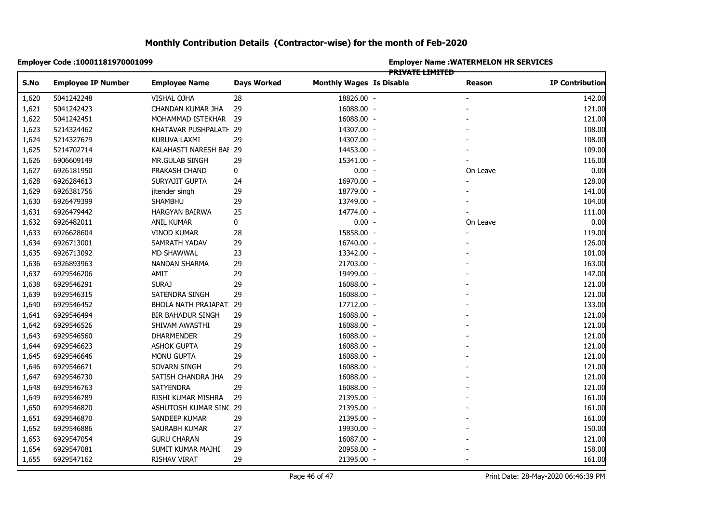|       | Employer Code : 10001181970001099 |                          |                    | <b>Employer Name: WATERMELON HR SERVICES</b><br><del>PRIVATE LIMITED</del> |  |                |                        |  |  |
|-------|-----------------------------------|--------------------------|--------------------|----------------------------------------------------------------------------|--|----------------|------------------------|--|--|
| S.No  | <b>Employee IP Number</b>         | <b>Employee Name</b>     | <b>Days Worked</b> | <b>Monthly Wages Is Disable</b>                                            |  | Reason         | <b>IP Contribution</b> |  |  |
| 1,620 | 5041242248                        | VISHAL OJHA              | 28                 | 18826.00 -                                                                 |  |                | 142.00                 |  |  |
| 1,621 | 5041242423                        | CHANDAN KUMAR JHA        | 29                 | 16088.00 -                                                                 |  |                | 121.00                 |  |  |
| 1,622 | 5041242451                        | MOHAMMAD ISTEKHAR 29     |                    | 16088.00 -                                                                 |  |                | 121.00                 |  |  |
| 1,623 | 5214324462                        | KHATAVAR PUSHPALATI 29   |                    | 14307.00 -                                                                 |  |                | 108.00                 |  |  |
| 1,624 | 5214327679                        | KURUVA LAXMI             | 29                 | 14307.00 -                                                                 |  |                | 108.00                 |  |  |
| 1,625 | 5214702714                        | KALAHASTI NARESH BAI 29  |                    | 14453.00 -                                                                 |  |                | 109.00                 |  |  |
| 1,626 | 6906609149                        | MR.GULAB SINGH           | 29                 | 15341.00 -                                                                 |  |                | 116.00                 |  |  |
| 1,627 | 6926181950                        | PRAKASH CHAND            | 0                  | $0.00 -$                                                                   |  | On Leave       | 0.00                   |  |  |
| 1,628 | 6926284613                        | SURYAJIT GUPTA           | 24                 | 16970.00 -                                                                 |  | $\blacksquare$ | 128.00                 |  |  |
| 1,629 | 6926381756                        | jitender singh           | 29                 | 18779.00 -                                                                 |  |                | 141.00                 |  |  |
| 1,630 | 6926479399                        | <b>SHAMBHU</b>           | 29                 | 13749.00 -                                                                 |  |                | 104.00                 |  |  |
| 1,631 | 6926479442                        | HARGYAN BAIRWA           | 25                 | 14774.00 -                                                                 |  |                | 111.00                 |  |  |
| 1,632 | 6926482011                        | ANIL KUMAR               | $\pmb{0}$          | $0.00 -$                                                                   |  | On Leave       | 0.00                   |  |  |
| 1,633 | 6926628604                        | <b>VINOD KUMAR</b>       | 28                 | 15858.00 -                                                                 |  |                | 119.00                 |  |  |
| 1,634 | 6926713001                        | SAMRATH YADAV            | 29                 | 16740.00 -                                                                 |  |                | 126.00                 |  |  |
| 1,635 | 6926713092                        | MD SHAWWAL               | 23                 | 13342.00 -                                                                 |  |                | 101.00                 |  |  |
| 1,636 | 6926893963                        | NANDAN SHARMA            | 29                 | 21703.00 -                                                                 |  |                | 163.00                 |  |  |
| 1,637 | 6929546206                        | AMIT                     | 29                 | 19499.00 -                                                                 |  |                | 147.00                 |  |  |
| 1,638 | 6929546291                        | <b>SURAJ</b>             | 29                 | 16088.00 -                                                                 |  |                | 121.00                 |  |  |
| 1,639 | 6929546315                        | SATENDRA SINGH           | 29                 | 16088.00 -                                                                 |  |                | 121.00                 |  |  |
| 1,640 | 6929546452                        | BHOLA NATH PRAJAPAT. 29  |                    | 17712.00 -                                                                 |  |                | 133.00                 |  |  |
| 1,641 | 6929546494                        | <b>BIR BAHADUR SINGH</b> | 29                 | 16088.00 -                                                                 |  |                | 121.00                 |  |  |
| 1,642 | 6929546526                        | SHIVAM AWASTHI           | 29                 | 16088.00 -                                                                 |  |                | 121.00                 |  |  |
| 1,643 | 6929546560                        | <b>DHARMENDER</b>        | 29                 | 16088.00 -                                                                 |  |                | 121.00                 |  |  |
| 1,644 | 6929546623                        | <b>ASHOK GUPTA</b>       | 29                 | 16088.00 -                                                                 |  |                | 121.00                 |  |  |
| 1,645 | 6929546646                        | MONU GUPTA               | 29                 | 16088.00 -                                                                 |  |                | 121.00                 |  |  |
| 1,646 | 6929546671                        | SOVARN SINGH             | 29                 | 16088.00 -                                                                 |  |                | 121.00                 |  |  |
| 1,647 | 6929546730                        | SATISH CHANDRA JHA       | 29                 | 16088.00 -                                                                 |  |                | 121.00                 |  |  |
| 1,648 | 6929546763                        | <b>SATYENDRA</b>         | 29                 | 16088.00 -                                                                 |  |                | 121.00                 |  |  |
| 1,649 | 6929546789                        | RISHI KUMAR MISHRA       | 29                 | 21395.00 -                                                                 |  |                | 161.00                 |  |  |
| 1,650 | 6929546820                        | ASHUTOSH KUMAR SINC 29   |                    | 21395.00 -                                                                 |  |                | 161.00                 |  |  |
| 1,651 | 6929546870                        | SANDEEP KUMAR            | 29                 | 21395.00 -                                                                 |  |                | 161.00                 |  |  |
| 1,652 | 6929546886                        | SAURABH KUMAR            | 27                 | 19930.00 -                                                                 |  |                | 150.00                 |  |  |
| 1,653 | 6929547054                        | <b>GURU CHARAN</b>       | 29                 | 16087.00 -                                                                 |  |                | 121.00                 |  |  |
| 1,654 | 6929547081                        | SUMIT KUMAR MAJHI        | 29                 | 20958.00 -                                                                 |  |                | 158.00                 |  |  |
| 1,655 | 6929547162                        | RISHAV VIRAT             | 29                 | 21395.00 -                                                                 |  |                | 161.00                 |  |  |